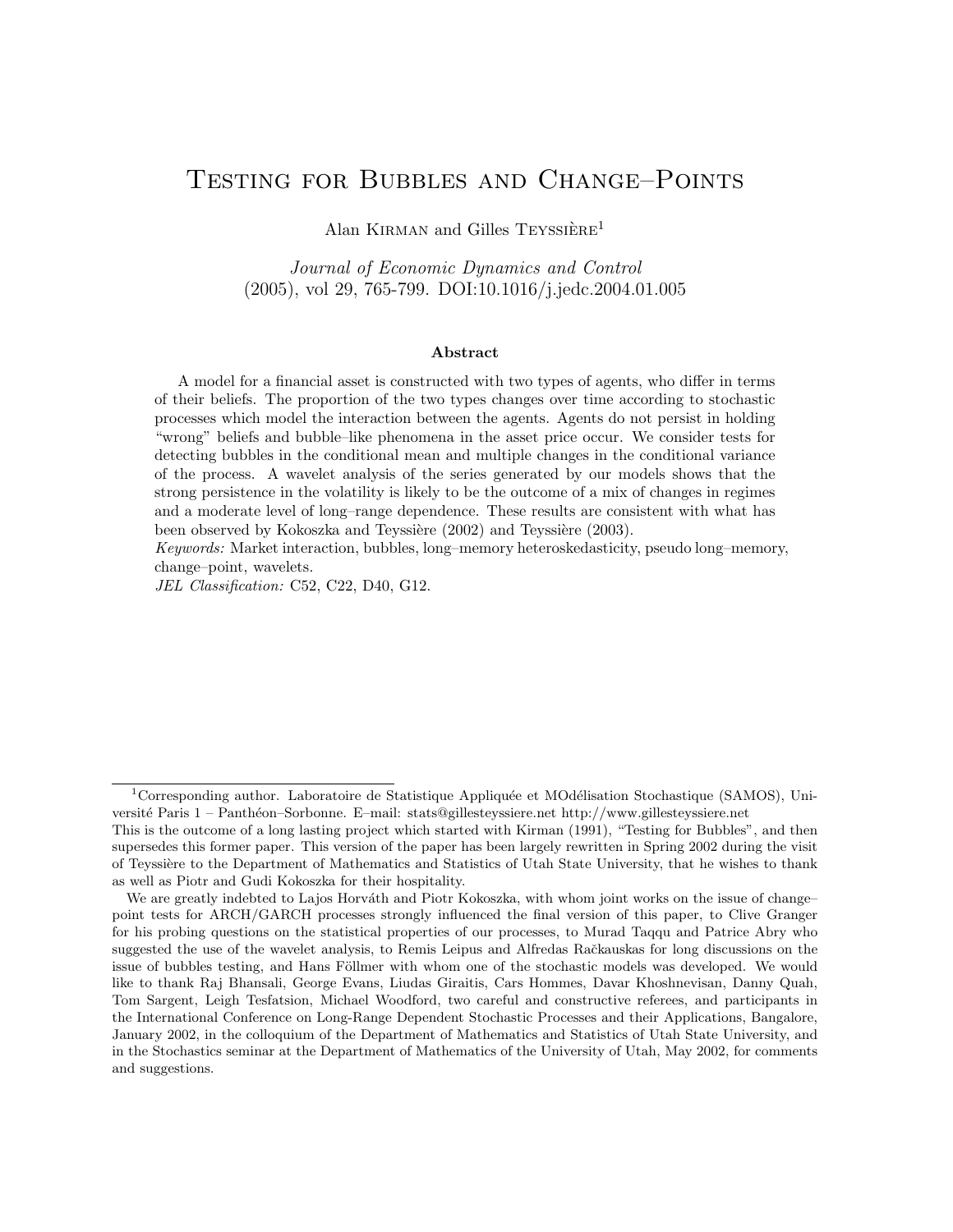# Testing for Bubbles and Change–Points

Alan KIRMAN and Gilles  $\mathrm{TEYSSI}\grave{\mathrm{E}}\mathrm{RE}^1$ 

Journal of Economic Dynamics and Control (2005), vol 29, 765-799. DOI:10.1016/j.jedc.2004.01.005

#### Abstract

A model for a financial asset is constructed with two types of agents, who differ in terms of their beliefs. The proportion of the two types changes over time according to stochastic processes which model the interaction between the agents. Agents do not persist in holding "wrong" beliefs and bubble–like phenomena in the asset price occur. We consider tests for detecting bubbles in the conditional mean and multiple changes in the conditional variance of the process. A wavelet analysis of the series generated by our models shows that the strong persistence in the volatility is likely to be the outcome of a mix of changes in regimes and a moderate level of long–range dependence. These results are consistent with what has been observed by Kokoszka and Teyssière (2002) and Teyssière (2003).

*Keywords:* Market interaction, bubbles, long–memory heteroskedasticity, pseudo long–memory, change–point, wavelets.

*JEL Classification:* C52, C22, D40, G12.

 $1$ Corresponding author. Laboratoire de Statistique Appliquée et MOdélisation Stochastique (SAMOS), Université Paris 1 – Panthéon–Sorbonne. E–mail: stats@gillesteyssiere.net http://www.gillesteyssiere.net

This is the outcome of a long lasting project which started with Kirman (1991), "Testing for Bubbles", and then supersedes this former paper. This version of the paper has been largely rewritten in Spring 2002 during the visit of Teyssière to the Department of Mathematics and Statistics of Utah State University, that he wishes to thank as well as Piotr and Gudi Kokoszka for their hospitality.

We are greatly indebted to Lajos Horváth and Piotr Kokoszka, with whom joint works on the issue of change– point tests for ARCH/GARCH processes strongly influenced the final version of this paper, to Clive Granger for his probing questions on the statistical properties of our processes, to Murad Taqqu and Patrice Abry who suggested the use of the wavelet analysis, to Remis Leipus and Alfredas Račkauskas for long discussions on the issue of bubbles testing, and Hans Föllmer with whom one of the stochastic models was developed. We would like to thank Raj Bhansali, George Evans, Liudas Giraitis, Cars Hommes, Davar Khoshnevisan, Danny Quah, Tom Sargent, Leigh Tesfatsion, Michael Woodford, two careful and constructive referees, and participants in the International Conference on Long-Range Dependent Stochastic Processes and their Applications, Bangalore, January 2002, in the colloquium of the Department of Mathematics and Statistics of Utah State University, and in the Stochastics seminar at the Department of Mathematics of the University of Utah, May 2002, for comments and suggestions.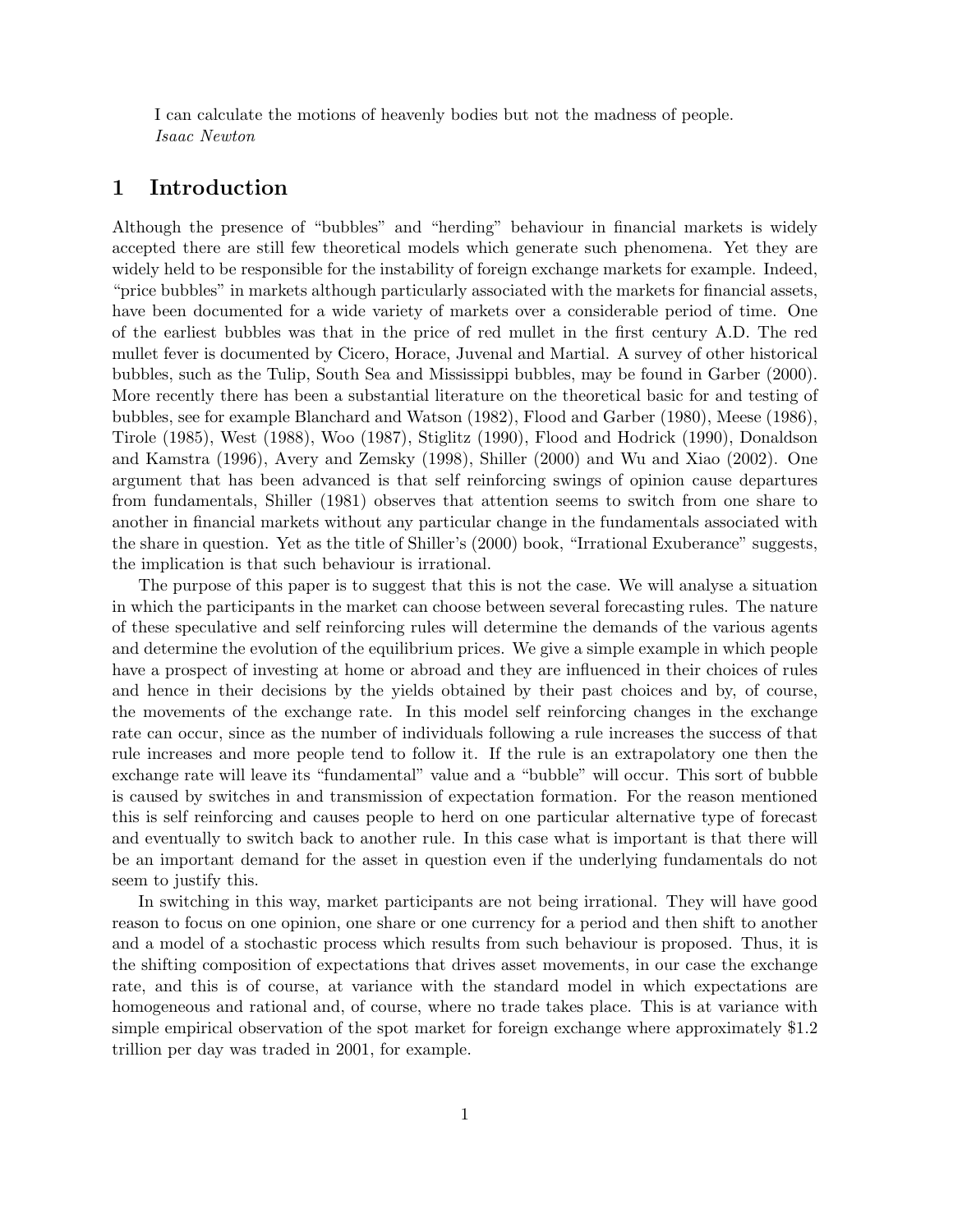I can calculate the motions of heavenly bodies but not the madness of people. *Isaac Newton*

## 1 Introduction

Although the presence of "bubbles" and "herding" behaviour in financial markets is widely accepted there are still few theoretical models which generate such phenomena. Yet they are widely held to be responsible for the instability of foreign exchange markets for example. Indeed, "price bubbles" in markets although particularly associated with the markets for financial assets, have been documented for a wide variety of markets over a considerable period of time. One of the earliest bubbles was that in the price of red mullet in the first century A.D. The red mullet fever is documented by Cicero, Horace, Juvenal and Martial. A survey of other historical bubbles, such as the Tulip, South Sea and Mississippi bubbles, may be found in Garber (2000). More recently there has been a substantial literature on the theoretical basic for and testing of bubbles, see for example Blanchard and Watson (1982), Flood and Garber (1980), Meese (1986), Tirole (1985), West (1988), Woo (1987), Stiglitz (1990), Flood and Hodrick (1990), Donaldson and Kamstra (1996), Avery and Zemsky (1998), Shiller (2000) and Wu and Xiao (2002). One argument that has been advanced is that self reinforcing swings of opinion cause departures from fundamentals, Shiller (1981) observes that attention seems to switch from one share to another in financial markets without any particular change in the fundamentals associated with the share in question. Yet as the title of Shiller's (2000) book, "Irrational Exuberance" suggests, the implication is that such behaviour is irrational.

The purpose of this paper is to suggest that this is not the case. We will analyse a situation in which the participants in the market can choose between several forecasting rules. The nature of these speculative and self reinforcing rules will determine the demands of the various agents and determine the evolution of the equilibrium prices. We give a simple example in which people have a prospect of investing at home or abroad and they are influenced in their choices of rules and hence in their decisions by the yields obtained by their past choices and by, of course, the movements of the exchange rate. In this model self reinforcing changes in the exchange rate can occur, since as the number of individuals following a rule increases the success of that rule increases and more people tend to follow it. If the rule is an extrapolatory one then the exchange rate will leave its "fundamental" value and a "bubble" will occur. This sort of bubble is caused by switches in and transmission of expectation formation. For the reason mentioned this is self reinforcing and causes people to herd on one particular alternative type of forecast and eventually to switch back to another rule. In this case what is important is that there will be an important demand for the asset in question even if the underlying fundamentals do not seem to justify this.

In switching in this way, market participants are not being irrational. They will have good reason to focus on one opinion, one share or one currency for a period and then shift to another and a model of a stochastic process which results from such behaviour is proposed. Thus, it is the shifting composition of expectations that drives asset movements, in our case the exchange rate, and this is of course, at variance with the standard model in which expectations are homogeneous and rational and, of course, where no trade takes place. This is at variance with simple empirical observation of the spot market for foreign exchange where approximately \$1.2 trillion per day was traded in 2001, for example.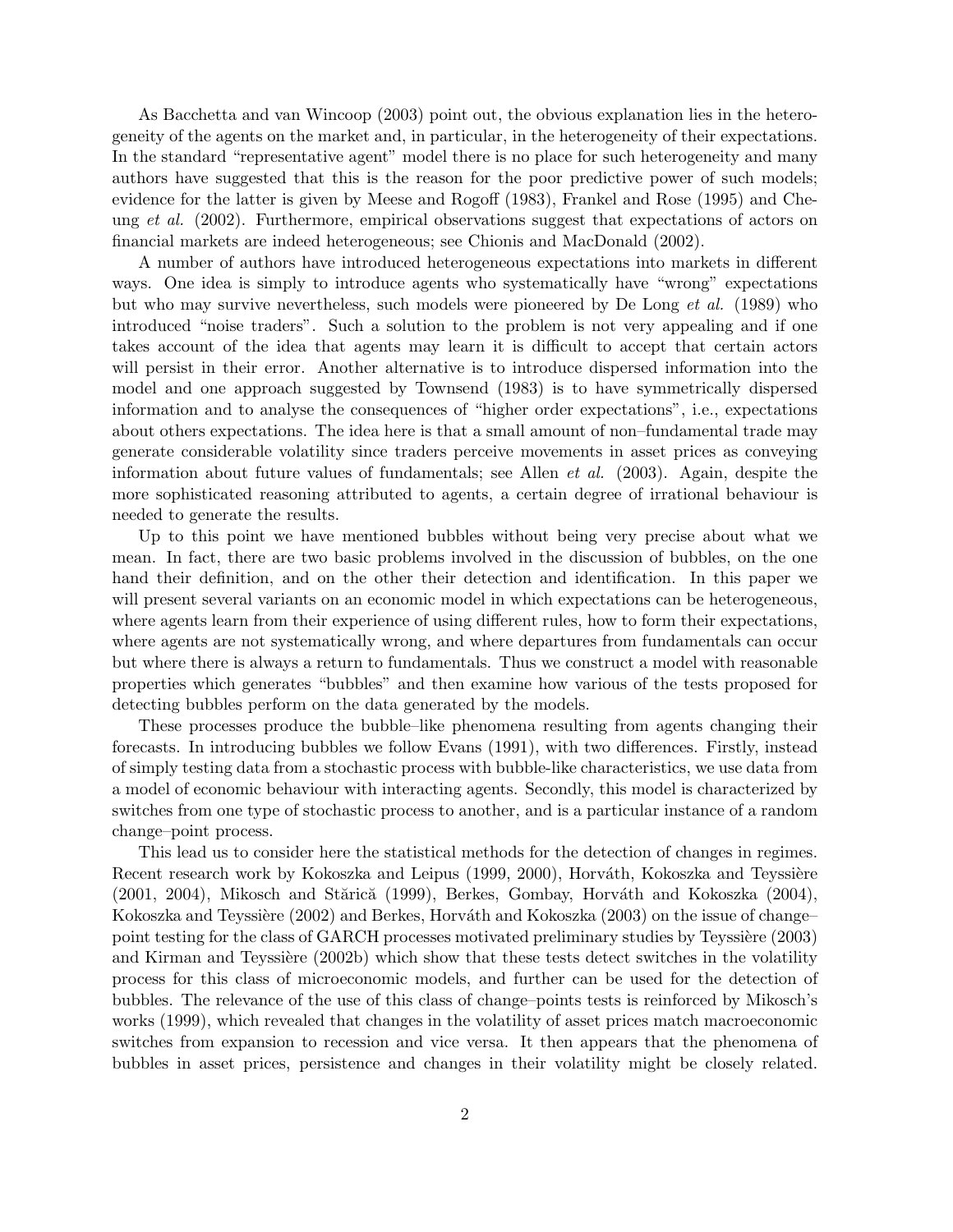As Bacchetta and van Wincoop (2003) point out, the obvious explanation lies in the heterogeneity of the agents on the market and, in particular, in the heterogeneity of their expectations. In the standard "representative agent" model there is no place for such heterogeneity and many authors have suggested that this is the reason for the poor predictive power of such models; evidence for the latter is given by Meese and Rogoff (1983), Frankel and Rose (1995) and Cheung *et al.* (2002). Furthermore, empirical observations suggest that expectations of actors on financial markets are indeed heterogeneous; see Chionis and MacDonald (2002).

A number of authors have introduced heterogeneous expectations into markets in different ways. One idea is simply to introduce agents who systematically have "wrong" expectations but who may survive nevertheless, such models were pioneered by De Long *et al.* (1989) who introduced "noise traders". Such a solution to the problem is not very appealing and if one takes account of the idea that agents may learn it is difficult to accept that certain actors will persist in their error. Another alternative is to introduce dispersed information into the model and one approach suggested by Townsend (1983) is to have symmetrically dispersed information and to analyse the consequences of "higher order expectations", i.e., expectations about others expectations. The idea here is that a small amount of non–fundamental trade may generate considerable volatility since traders perceive movements in asset prices as conveying information about future values of fundamentals; see Allen *et al.* (2003). Again, despite the more sophisticated reasoning attributed to agents, a certain degree of irrational behaviour is needed to generate the results.

Up to this point we have mentioned bubbles without being very precise about what we mean. In fact, there are two basic problems involved in the discussion of bubbles, on the one hand their definition, and on the other their detection and identification. In this paper we will present several variants on an economic model in which expectations can be heterogeneous, where agents learn from their experience of using different rules, how to form their expectations, where agents are not systematically wrong, and where departures from fundamentals can occur but where there is always a return to fundamentals. Thus we construct a model with reasonable properties which generates "bubbles" and then examine how various of the tests proposed for detecting bubbles perform on the data generated by the models.

These processes produce the bubble–like phenomena resulting from agents changing their forecasts. In introducing bubbles we follow Evans (1991), with two differences. Firstly, instead of simply testing data from a stochastic process with bubble-like characteristics, we use data from a model of economic behaviour with interacting agents. Secondly, this model is characterized by switches from one type of stochastic process to another, and is a particular instance of a random change–point process.

This lead us to consider here the statistical methods for the detection of changes in regimes. Recent research work by Kokoszka and Leipus (1999, 2000), Horváth, Kokoszka and Teyssière  $(2001, 2004)$ , Mikosch and Stărică  $(1999)$ , Berkes, Gombay, Horváth and Kokoszka  $(2004)$ , Kokoszka and Teyssière (2002) and Berkes, Horváth and Kokoszka (2003) on the issue of change– point testing for the class of GARCH processes motivated preliminary studies by Teyssière (2003) and Kirman and Teyssière (2002b) which show that these tests detect switches in the volatility process for this class of microeconomic models, and further can be used for the detection of bubbles. The relevance of the use of this class of change–points tests is reinforced by Mikosch's works (1999), which revealed that changes in the volatility of asset prices match macroeconomic switches from expansion to recession and vice versa. It then appears that the phenomena of bubbles in asset prices, persistence and changes in their volatility might be closely related.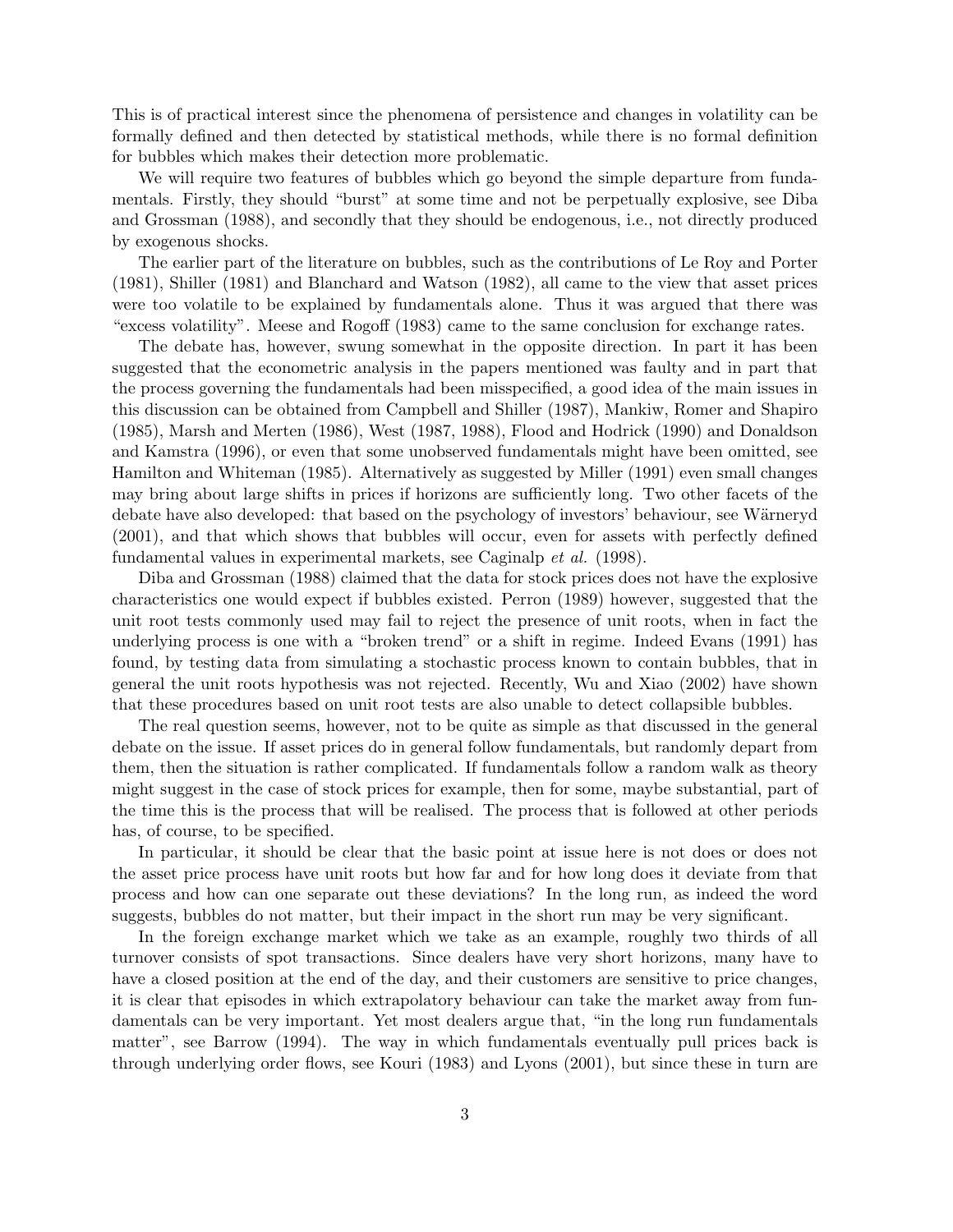This is of practical interest since the phenomena of persistence and changes in volatility can be formally defined and then detected by statistical methods, while there is no formal definition for bubbles which makes their detection more problematic.

We will require two features of bubbles which go beyond the simple departure from fundamentals. Firstly, they should "burst" at some time and not be perpetually explosive, see Diba and Grossman (1988), and secondly that they should be endogenous, i.e., not directly produced by exogenous shocks.

The earlier part of the literature on bubbles, such as the contributions of Le Roy and Porter (1981), Shiller (1981) and Blanchard and Watson (1982), all came to the view that asset prices were too volatile to be explained by fundamentals alone. Thus it was argued that there was "excess volatility". Meese and Rogoff (1983) came to the same conclusion for exchange rates.

The debate has, however, swung somewhat in the opposite direction. In part it has been suggested that the econometric analysis in the papers mentioned was faulty and in part that the process governing the fundamentals had been misspecified, a good idea of the main issues in this discussion can be obtained from Campbell and Shiller (1987), Mankiw, Romer and Shapiro (1985), Marsh and Merten (1986), West (1987, 1988), Flood and Hodrick (1990) and Donaldson and Kamstra (1996), or even that some unobserved fundamentals might have been omitted, see Hamilton and Whiteman (1985). Alternatively as suggested by Miller (1991) even small changes may bring about large shifts in prices if horizons are sufficiently long. Two other facets of the debate have also developed: that based on the psychology of investors' behaviour, see Wärneryd (2001), and that which shows that bubbles will occur, even for assets with perfectly defined fundamental values in experimental markets, see Caginalp *et al.* (1998).

Diba and Grossman (1988) claimed that the data for stock prices does not have the explosive characteristics one would expect if bubbles existed. Perron (1989) however, suggested that the unit root tests commonly used may fail to reject the presence of unit roots, when in fact the underlying process is one with a "broken trend" or a shift in regime. Indeed Evans (1991) has found, by testing data from simulating a stochastic process known to contain bubbles, that in general the unit roots hypothesis was not rejected. Recently, Wu and Xiao (2002) have shown that these procedures based on unit root tests are also unable to detect collapsible bubbles.

The real question seems, however, not to be quite as simple as that discussed in the general debate on the issue. If asset prices do in general follow fundamentals, but randomly depart from them, then the situation is rather complicated. If fundamentals follow a random walk as theory might suggest in the case of stock prices for example, then for some, maybe substantial, part of the time this is the process that will be realised. The process that is followed at other periods has, of course, to be specified.

In particular, it should be clear that the basic point at issue here is not does or does not the asset price process have unit roots but how far and for how long does it deviate from that process and how can one separate out these deviations? In the long run, as indeed the word suggests, bubbles do not matter, but their impact in the short run may be very significant.

In the foreign exchange market which we take as an example, roughly two thirds of all turnover consists of spot transactions. Since dealers have very short horizons, many have to have a closed position at the end of the day, and their customers are sensitive to price changes, it is clear that episodes in which extrapolatory behaviour can take the market away from fundamentals can be very important. Yet most dealers argue that, "in the long run fundamentals matter", see Barrow (1994). The way in which fundamentals eventually pull prices back is through underlying order flows, see Kouri (1983) and Lyons (2001), but since these in turn are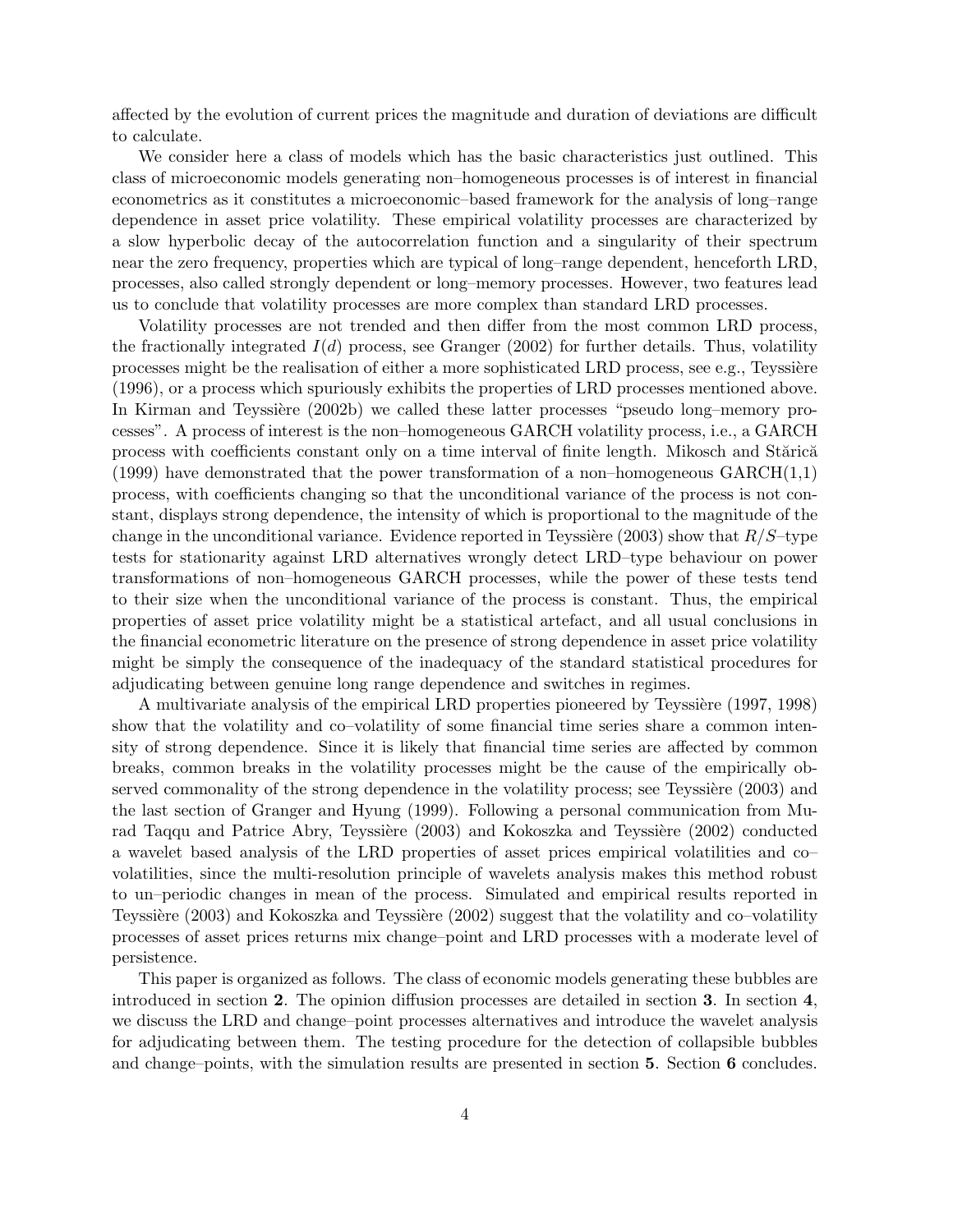affected by the evolution of current prices the magnitude and duration of deviations are difficult to calculate.

We consider here a class of models which has the basic characteristics just outlined. This class of microeconomic models generating non–homogeneous processes is of interest in financial econometrics as it constitutes a microeconomic–based framework for the analysis of long–range dependence in asset price volatility. These empirical volatility processes are characterized by a slow hyperbolic decay of the autocorrelation function and a singularity of their spectrum near the zero frequency, properties which are typical of long–range dependent, henceforth LRD, processes, also called strongly dependent or long–memory processes. However, two features lead us to conclude that volatility processes are more complex than standard LRD processes.

Volatility processes are not trended and then differ from the most common LRD process, the fractionally integrated  $I(d)$  process, see Granger (2002) for further details. Thus, volatility processes might be the realisation of either a more sophisticated LRD process, see e.g., Teyssière (1996), or a process which spuriously exhibits the properties of LRD processes mentioned above. In Kirman and Teyssière (2002b) we called these latter processes "pseudo long–memory processes". A process of interest is the non–homogeneous GARCH volatility process, i.e., a GARCH process with coefficients constant only on a time interval of finite length. Mikosch and Stărică (1999) have demonstrated that the power transformation of a non–homogeneous  $\text{GARCH}(1,1)$ process, with coefficients changing so that the unconditional variance of the process is not constant, displays strong dependence, the intensity of which is proportional to the magnitude of the change in the unconditional variance. Evidence reported in Teyssière (2003) show that  $R/S$ –type tests for stationarity against LRD alternatives wrongly detect LRD–type behaviour on power transformations of non–homogeneous GARCH processes, while the power of these tests tend to their size when the unconditional variance of the process is constant. Thus, the empirical properties of asset price volatility might be a statistical artefact, and all usual conclusions in the financial econometric literature on the presence of strong dependence in asset price volatility might be simply the consequence of the inadequacy of the standard statistical procedures for adjudicating between genuine long range dependence and switches in regimes.

A multivariate analysis of the empirical LRD properties pioneered by Teyssière (1997, 1998) show that the volatility and co–volatility of some financial time series share a common intensity of strong dependence. Since it is likely that financial time series are affected by common breaks, common breaks in the volatility processes might be the cause of the empirically observed commonality of the strong dependence in the volatility process; see Teyssière (2003) and the last section of Granger and Hyung (1999). Following a personal communication from Murad Taqqu and Patrice Abry, Teyssière (2003) and Kokoszka and Teyssière (2002) conducted a wavelet based analysis of the LRD properties of asset prices empirical volatilities and co– volatilities, since the multi-resolution principle of wavelets analysis makes this method robust to un–periodic changes in mean of the process. Simulated and empirical results reported in Teyssière (2003) and Kokoszka and Teyssière (2002) suggest that the volatility and co–volatility processes of asset prices returns mix change–point and LRD processes with a moderate level of persistence.

This paper is organized as follows. The class of economic models generating these bubbles are introduced in section 2. The opinion diffusion processes are detailed in section 3. In section 4, we discuss the LRD and change–point processes alternatives and introduce the wavelet analysis for adjudicating between them. The testing procedure for the detection of collapsible bubbles and change–points, with the simulation results are presented in section 5. Section 6 concludes.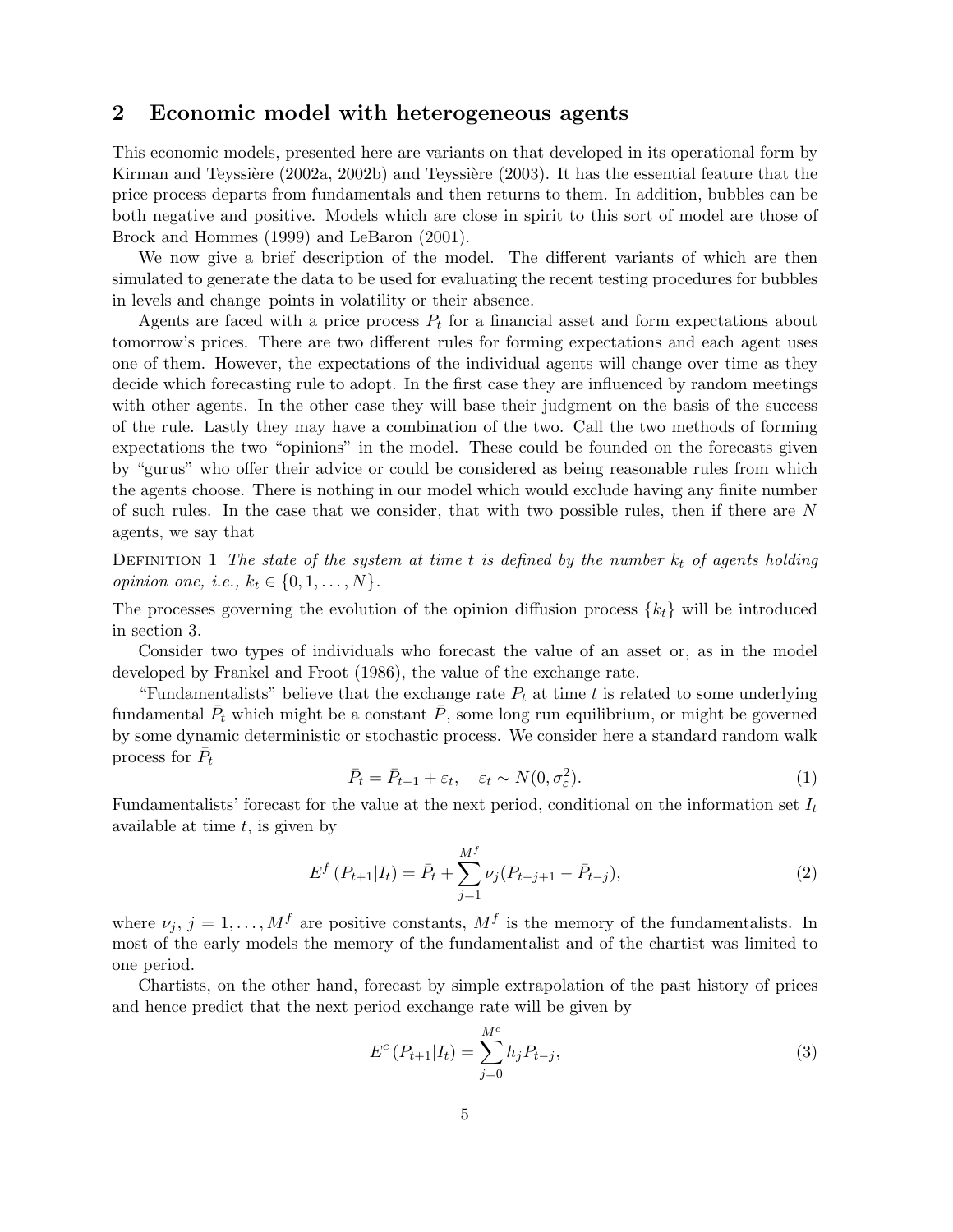## 2 Economic model with heterogeneous agents

This economic models, presented here are variants on that developed in its operational form by Kirman and Teyssière (2002a, 2002b) and Teyssière (2003). It has the essential feature that the price process departs from fundamentals and then returns to them. In addition, bubbles can be both negative and positive. Models which are close in spirit to this sort of model are those of Brock and Hommes (1999) and LeBaron (2001).

We now give a brief description of the model. The different variants of which are then simulated to generate the data to be used for evaluating the recent testing procedures for bubbles in levels and change–points in volatility or their absence.

Agents are faced with a price process  $P_t$  for a financial asset and form expectations about tomorrow's prices. There are two different rules for forming expectations and each agent uses one of them. However, the expectations of the individual agents will change over time as they decide which forecasting rule to adopt. In the first case they are influenced by random meetings with other agents. In the other case they will base their judgment on the basis of the success of the rule. Lastly they may have a combination of the two. Call the two methods of forming expectations the two "opinions" in the model. These could be founded on the forecasts given by "gurus" who offer their advice or could be considered as being reasonable rules from which the agents choose. There is nothing in our model which would exclude having any finite number of such rules. In the case that we consider, that with two possible rules, then if there are N agents, we say that

DEFINITION 1 The state of the system at time t is defined by the number  $k_t$  of agents holding *opinion one, i.e.,*  $k_t \in \{0, 1, ..., N\}$ .

The processes governing the evolution of the opinion diffusion process  $\{k_t\}$  will be introduced in section 3.

Consider two types of individuals who forecast the value of an asset or, as in the model developed by Frankel and Froot (1986), the value of the exchange rate.

"Fundamentalists" believe that the exchange rate  $P_t$  at time t is related to some underlying fundamental  $\bar{P}_t$  which might be a constant  $\bar{P}$ , some long run equilibrium, or might be governed by some dynamic deterministic or stochastic process. We consider here a standard random walk process for  $\bar{P}_t$ 

$$
\bar{P}_t = \bar{P}_{t-1} + \varepsilon_t, \quad \varepsilon_t \sim N(0, \sigma_\varepsilon^2). \tag{1}
$$

Fundamentalists' forecast for the value at the next period, conditional on the information set  $I_t$ available at time  $t$ , is given by

$$
E^f\left(P_{t+1}|I_t\right) = \bar{P}_t + \sum_{j=1}^{M^f} \nu_j (P_{t-j+1} - \bar{P}_{t-j}),\tag{2}
$$

where  $\nu_j$ ,  $j = 1, ..., M^f$  are positive constants,  $M^f$  is the memory of the fundamentalists. In most of the early models the memory of the fundamentalist and of the chartist was limited to one period.

Chartists, on the other hand, forecast by simple extrapolation of the past history of prices and hence predict that the next period exchange rate will be given by

$$
E^{c}(P_{t+1}|I_{t}) = \sum_{j=0}^{M^{c}} h_{j}P_{t-j},
$$
\n(3)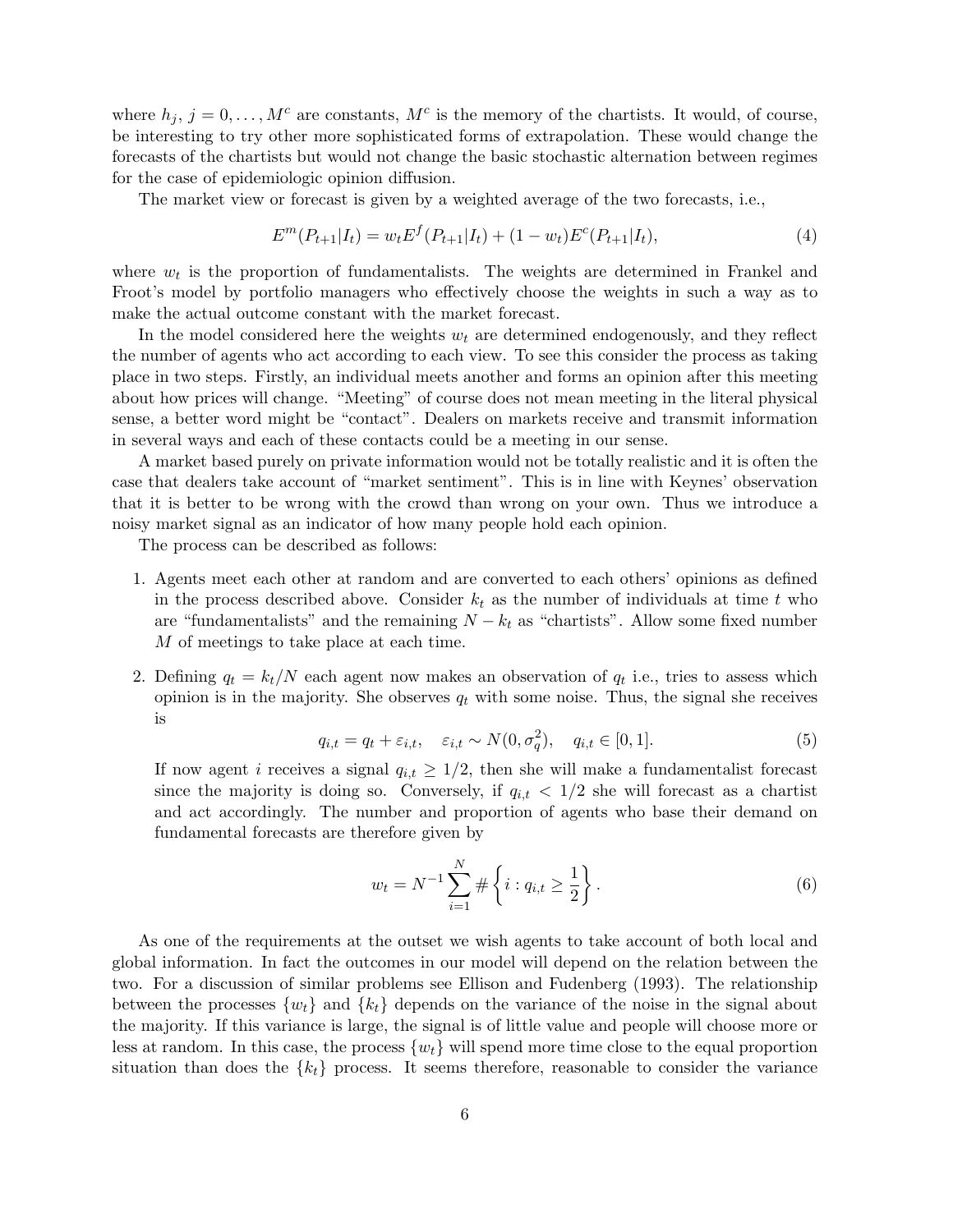where  $h_j, j = 0, \ldots, M^c$  are constants,  $M^c$  is the memory of the chartists. It would, of course, be interesting to try other more sophisticated forms of extrapolation. These would change the forecasts of the chartists but would not change the basic stochastic alternation between regimes for the case of epidemiologic opinion diffusion.

The market view or forecast is given by a weighted average of the two forecasts, i.e.,

$$
E^{m}(P_{t+1}|I_t) = w_t E^{f}(P_{t+1}|I_t) + (1 - w_t) E^{c}(P_{t+1}|I_t),
$$
\n(4)

where  $w_t$  is the proportion of fundamentalists. The weights are determined in Frankel and Froot's model by portfolio managers who effectively choose the weights in such a way as to make the actual outcome constant with the market forecast.

In the model considered here the weights  $w_t$  are determined endogenously, and they reflect the number of agents who act according to each view. To see this consider the process as taking place in two steps. Firstly, an individual meets another and forms an opinion after this meeting about how prices will change. "Meeting" of course does not mean meeting in the literal physical sense, a better word might be "contact". Dealers on markets receive and transmit information in several ways and each of these contacts could be a meeting in our sense.

A market based purely on private information would not be totally realistic and it is often the case that dealers take account of "market sentiment". This is in line with Keynes' observation that it is better to be wrong with the crowd than wrong on your own. Thus we introduce a noisy market signal as an indicator of how many people hold each opinion.

The process can be described as follows:

- 1. Agents meet each other at random and are converted to each others' opinions as defined in the process described above. Consider  $k_t$  as the number of individuals at time t who are "fundamentalists" and the remaining  $N - k_t$  as "chartists". Allow some fixed number M of meetings to take place at each time.
- 2. Defining  $q_t = k_t/N$  each agent now makes an observation of  $q_t$  i.e., tries to assess which opinion is in the majority. She observes  $q_t$  with some noise. Thus, the signal she receives is

$$
q_{i,t} = q_t + \varepsilon_{i,t}, \quad \varepsilon_{i,t} \sim N(0, \sigma_q^2), \quad q_{i,t} \in [0, 1].
$$
 (5)

If now agent i receives a signal  $q_{i,t} \geq 1/2$ , then she will make a fundamentalist forecast since the majority is doing so. Conversely, if  $q_{i,t} < 1/2$  she will forecast as a chartist and act accordingly. The number and proportion of agents who base their demand on fundamental forecasts are therefore given by

$$
w_t = N^{-1} \sum_{i=1}^{N} \# \left\{ i : q_{i,t} \ge \frac{1}{2} \right\}.
$$
 (6)

As one of the requirements at the outset we wish agents to take account of both local and global information. In fact the outcomes in our model will depend on the relation between the two. For a discussion of similar problems see Ellison and Fudenberg (1993). The relationship between the processes  $\{w_t\}$  and  $\{k_t\}$  depends on the variance of the noise in the signal about the majority. If this variance is large, the signal is of little value and people will choose more or less at random. In this case, the process  $\{w_t\}$  will spend more time close to the equal proportion situation than does the  ${k_t}$  process. It seems therefore, reasonable to consider the variance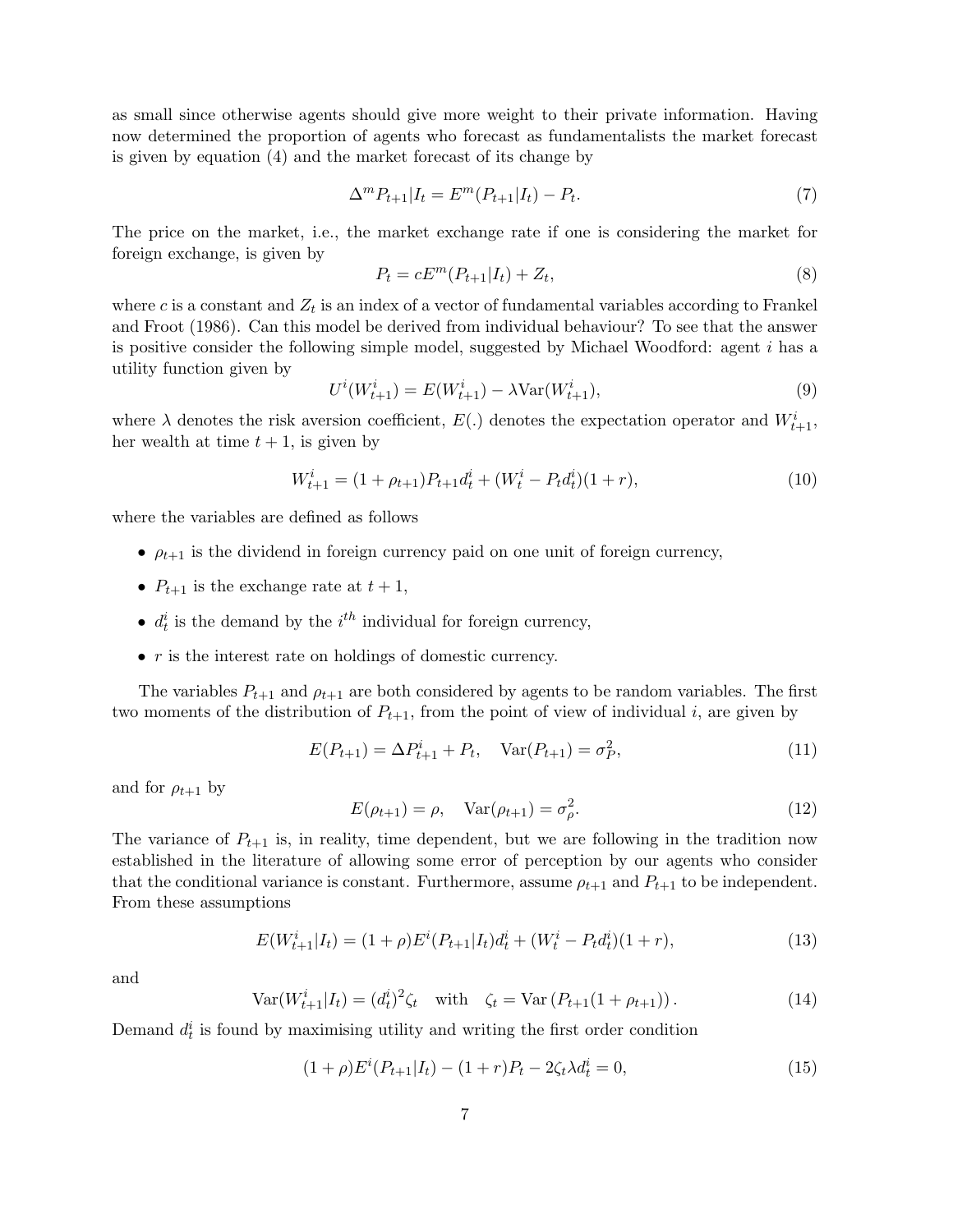as small since otherwise agents should give more weight to their private information. Having now determined the proportion of agents who forecast as fundamentalists the market forecast is given by equation (4) and the market forecast of its change by

$$
\Delta^{m} P_{t+1} | I_t = E^{m} (P_{t+1} | I_t) - P_t.
$$
\n(7)

The price on the market, i.e., the market exchange rate if one is considering the market for foreign exchange, is given by

$$
P_t = cE^m(P_{t+1}|I_t) + Z_t,
$$
\n(8)

where c is a constant and  $Z_t$  is an index of a vector of fundamental variables according to Frankel and Froot (1986). Can this model be derived from individual behaviour? To see that the answer is positive consider the following simple model, suggested by Michael Woodford: agent i has a utility function given by

$$
U^{i}(W_{t+1}^{i}) = E(W_{t+1}^{i}) - \lambda \text{Var}(W_{t+1}^{i}),
$$
\n(9)

where  $\lambda$  denotes the risk aversion coefficient,  $E(.)$  denotes the expectation operator and  $W_{t+1}^i$ , her wealth at time  $t + 1$ , is given by

$$
W_{t+1}^i = (1 + \rho_{t+1})P_{t+1}d_t^i + (W_t^i - P_t d_t^i)(1+r),
$$
\n(10)

where the variables are defined as follows

- $\rho_{t+1}$  is the dividend in foreign currency paid on one unit of foreign currency,
- $P_{t+1}$  is the exchange rate at  $t+1$ ,
- $d_t^i$  is the demand by the  $i^{th}$  individual for foreign currency,
- r is the interest rate on holdings of domestic currency.

The variables  $P_{t+1}$  and  $\rho_{t+1}$  are both considered by agents to be random variables. The first two moments of the distribution of  $P_{t+1}$ , from the point of view of individual i, are given by

$$
E(P_{t+1}) = \Delta P_{t+1}^i + P_t, \quad \text{Var}(P_{t+1}) = \sigma_P^2,
$$
\n(11)

and for  $\rho_{t+1}$  by

$$
E(\rho_{t+1}) = \rho, \quad \text{Var}(\rho_{t+1}) = \sigma_{\rho}^2. \tag{12}
$$

The variance of  $P_{t+1}$  is, in reality, time dependent, but we are following in the tradition now established in the literature of allowing some error of perception by our agents who consider that the conditional variance is constant. Furthermore, assume  $\rho_{t+1}$  and  $P_{t+1}$  to be independent. From these assumptions

$$
E(W_{t+1}^i | I_t) = (1+\rho)E^i(P_{t+1} | I_t)d_t^i + (W_t^i - P_t d_t^i)(1+r),
$$
\n(13)

and

$$
Var(W_{t+1}^i | I_t) = (d_t^i)^2 \zeta_t \quad \text{with} \quad \zeta_t = Var(P_{t+1}(1 + \rho_{t+1})). \tag{14}
$$

Demand  $d_t^i$  is found by maximising utility and writing the first order condition

$$
(1+\rho)E^{i}(P_{t+1}|I_t) - (1+r)P_t - 2\zeta_t\lambda d_t^{i} = 0,
$$
\n(15)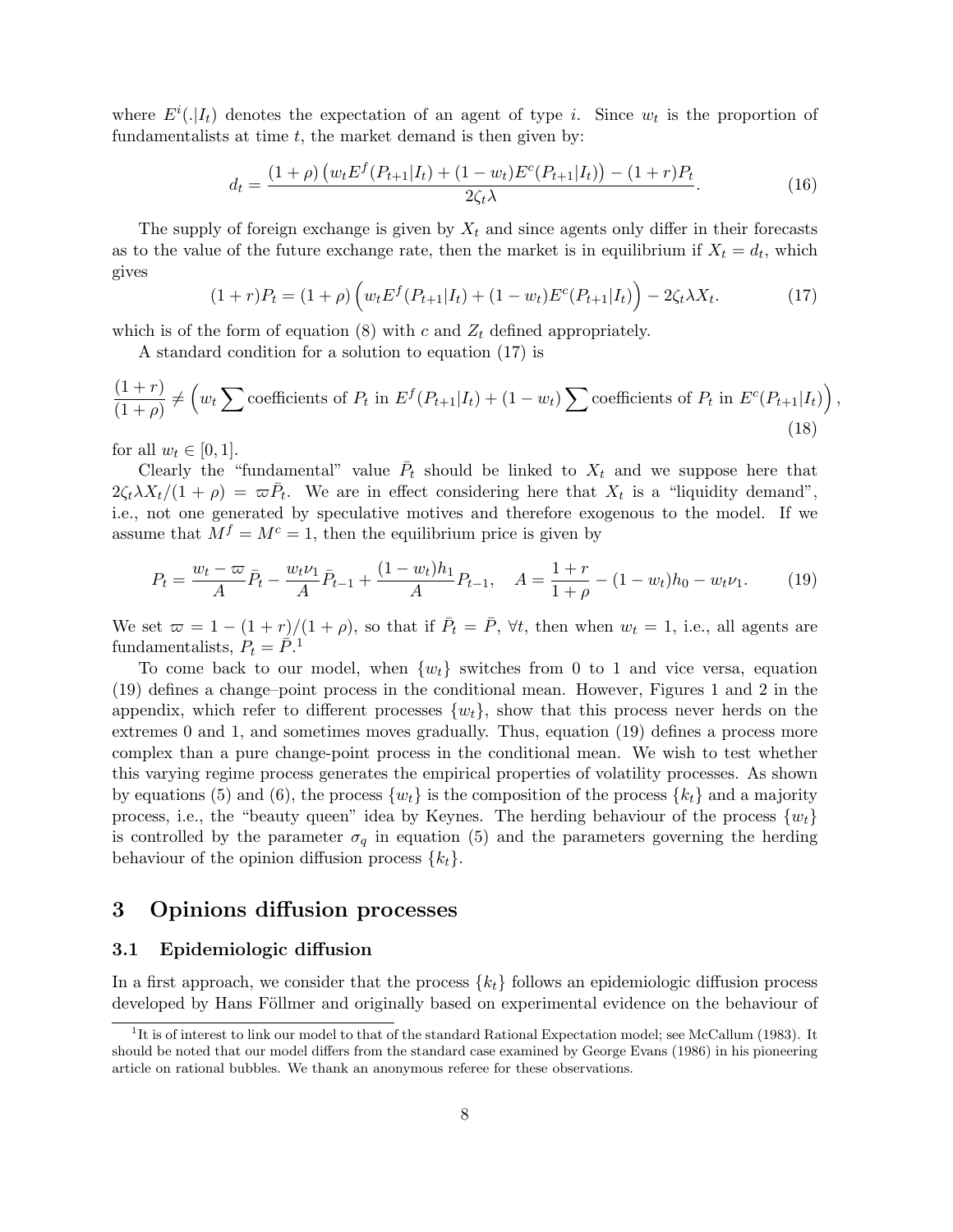where  $E^{i}(.|I_t)$  denotes the expectation of an agent of type *i*. Since  $w_t$  is the proportion of fundamentalists at time  $t$ , the market demand is then given by:

$$
d_{t} = \frac{(1+\rho)\left(w_{t}E^{f}(P_{t+1}|I_{t}) + (1-w_{t})E^{c}(P_{t+1}|I_{t})\right) - (1+r)P_{t}}{2\zeta_{t}\lambda}.
$$
\n(16)

The supply of foreign exchange is given by  $X_t$  and since agents only differ in their forecasts as to the value of the future exchange rate, then the market is in equilibrium if  $X_t = d_t$ , which gives

$$
(1+r)P_t = (1+\rho)\left(w_t E^f(P_{t+1}|I_t) + (1-w_t)E^c(P_{t+1}|I_t)\right) - 2\zeta_t \lambda X_t.
$$
 (17)

which is of the form of equation (8) with c and  $Z_t$  defined appropriately.

A standard condition for a solution to equation (17) is

$$
\frac{(1+r)}{(1+\rho)} \neq \left(w_t \sum \text{coefficients of } P_t \text{ in } E^f(P_{t+1}|I_t) + (1-w_t) \sum \text{coefficients of } P_t \text{ in } E^c(P_{t+1}|I_t)\right),\tag{18}
$$

for all  $w_t \in [0,1]$ .

Clearly the "fundamental" value  $\bar{P}_t$  should be linked to  $X_t$  and we suppose here that  $2\zeta_t \lambda X_t/(1+\rho) = \varpi \bar{P}_t$ . We are in effect considering here that  $X_t$  is a "liquidity demand", i.e., not one generated by speculative motives and therefore exogenous to the model. If we assume that  $M^f = M^c = 1$ , then the equilibrium price is given by

$$
P_t = \frac{w_t - \varpi}{A} \bar{P}_t - \frac{w_t \nu_1}{A} \bar{P}_{t-1} + \frac{(1 - w_t)h_1}{A} P_{t-1}, \quad A = \frac{1 + r}{1 + \rho} - (1 - w_t)h_0 - w_t \nu_1.
$$
 (19)

We set  $\overline{\omega} = 1 - (1 + r)/(1 + \rho)$ , so that if  $\overline{P}_t = \overline{P}$ ,  $\forall t$ , then when  $w_t = 1$ , i.e., all agents are fundamentalists,  $P_t = \bar{P}$ <sup>1</sup>.

To come back to our model, when  $\{w_t\}$  switches from 0 to 1 and vice versa, equation (19) defines a change–point process in the conditional mean. However, Figures 1 and 2 in the appendix, which refer to different processes  $\{w_t\}$ , show that this process never herds on the extremes 0 and 1, and sometimes moves gradually. Thus, equation (19) defines a process more complex than a pure change-point process in the conditional mean. We wish to test whether this varying regime process generates the empirical properties of volatility processes. As shown by equations (5) and (6), the process  $\{w_t\}$  is the composition of the process  $\{k_t\}$  and a majority process, i.e., the "beauty queen" idea by Keynes. The herding behaviour of the process  $\{w_t\}$ is controlled by the parameter  $\sigma_q$  in equation (5) and the parameters governing the herding behaviour of the opinion diffusion process  $\{k_t\}$ .

## 3 Opinions diffusion processes

#### 3.1 Epidemiologic diffusion

In a first approach, we consider that the process  $\{k_t\}$  follows an epidemiologic diffusion process developed by Hans Föllmer and originally based on experimental evidence on the behaviour of

<sup>&</sup>lt;sup>1</sup>It is of interest to link our model to that of the standard Rational Expectation model; see McCallum (1983). It should be noted that our model differs from the standard case examined by George Evans (1986) in his pioneering article on rational bubbles. We thank an anonymous referee for these observations.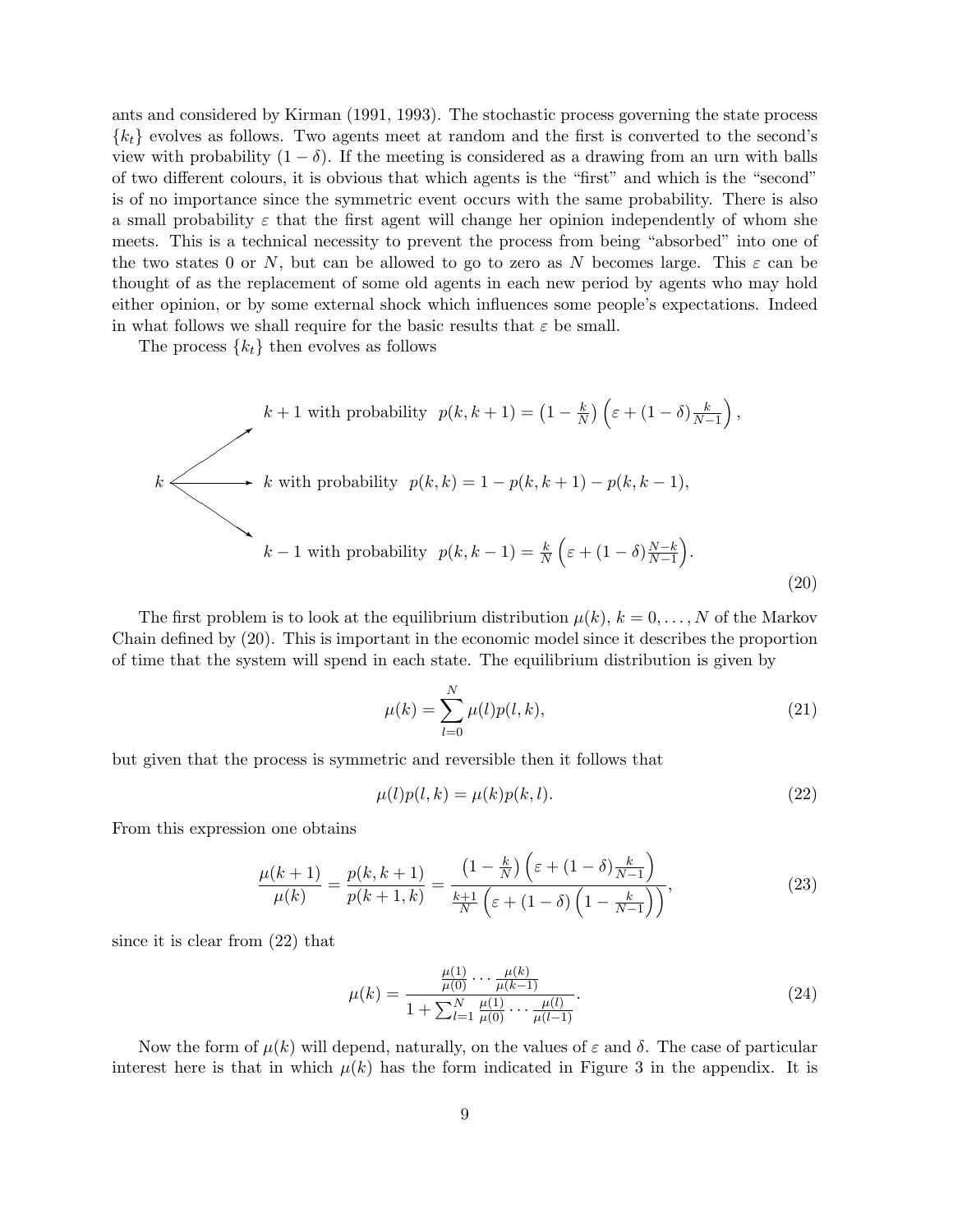ants and considered by Kirman (1991, 1993). The stochastic process governing the state process  $\{k_t\}$  evolves as follows. Two agents meet at random and the first is converted to the second's view with probability  $(1 - \delta)$ . If the meeting is considered as a drawing from an urn with balls of two different colours, it is obvious that which agents is the "first" and which is the "second" is of no importance since the symmetric event occurs with the same probability. There is also a small probability  $\varepsilon$  that the first agent will change her opinion independently of whom she meets. This is a technical necessity to prevent the process from being "absorbed" into one of the two states 0 or N, but can be allowed to go to zero as N becomes large. This  $\varepsilon$  can be thought of as the replacement of some old agents in each new period by agents who may hold either opinion, or by some external shock which influences some people's expectations. Indeed in what follows we shall require for the basic results that  $\varepsilon$  be small.

The process  $\{k_t\}$  then evolves as follows

$$
k+1 \text{ with probability } p(k, k+1) = \left(1 - \frac{k}{N}\right) \left(\varepsilon + (1 - \delta)\frac{k}{N-1}\right),
$$
\n
$$
k \longrightarrow k \text{ with probability } p(k, k) = 1 - p(k, k+1) - p(k, k-1),
$$
\n
$$
k-1 \text{ with probability } p(k, k-1) = \frac{k}{N} \left(\varepsilon + (1 - \delta)\frac{N-k}{N-1}\right).
$$
\n(20)

The first problem is to look at the equilibrium distribution  $\mu(k)$ ,  $k = 0, \ldots, N$  of the Markov Chain defined by (20). This is important in the economic model since it describes the proportion of time that the system will spend in each state. The equilibrium distribution is given by

$$
\mu(k) = \sum_{l=0}^{N} \mu(l)p(l,k),
$$
\n(21)

but given that the process is symmetric and reversible then it follows that

$$
\mu(l)p(l,k) = \mu(k)p(k,l). \tag{22}
$$

From this expression one obtains

$$
\frac{\mu(k+1)}{\mu(k)} = \frac{p(k,k+1)}{p(k+1,k)} = \frac{\left(1 - \frac{k}{N}\right)\left(\varepsilon + \left(1 - \delta\right)\frac{k}{N-1}\right)}{\frac{k+1}{N}\left(\varepsilon + \left(1 - \delta\right)\left(1 - \frac{k}{N-1}\right)\right)},\tag{23}
$$

since it is clear from (22) that

$$
\mu(k) = \frac{\frac{\mu(1)}{\mu(0)} \cdots \frac{\mu(k)}{\mu(k-1)}}{1 + \sum_{l=1}^{N} \frac{\mu(1)}{\mu(0)} \cdots \frac{\mu(l)}{\mu(l-1)}}.
$$
\n(24)

Now the form of  $\mu(k)$  will depend, naturally, on the values of  $\varepsilon$  and  $\delta$ . The case of particular interest here is that in which  $\mu(k)$  has the form indicated in Figure 3 in the appendix. It is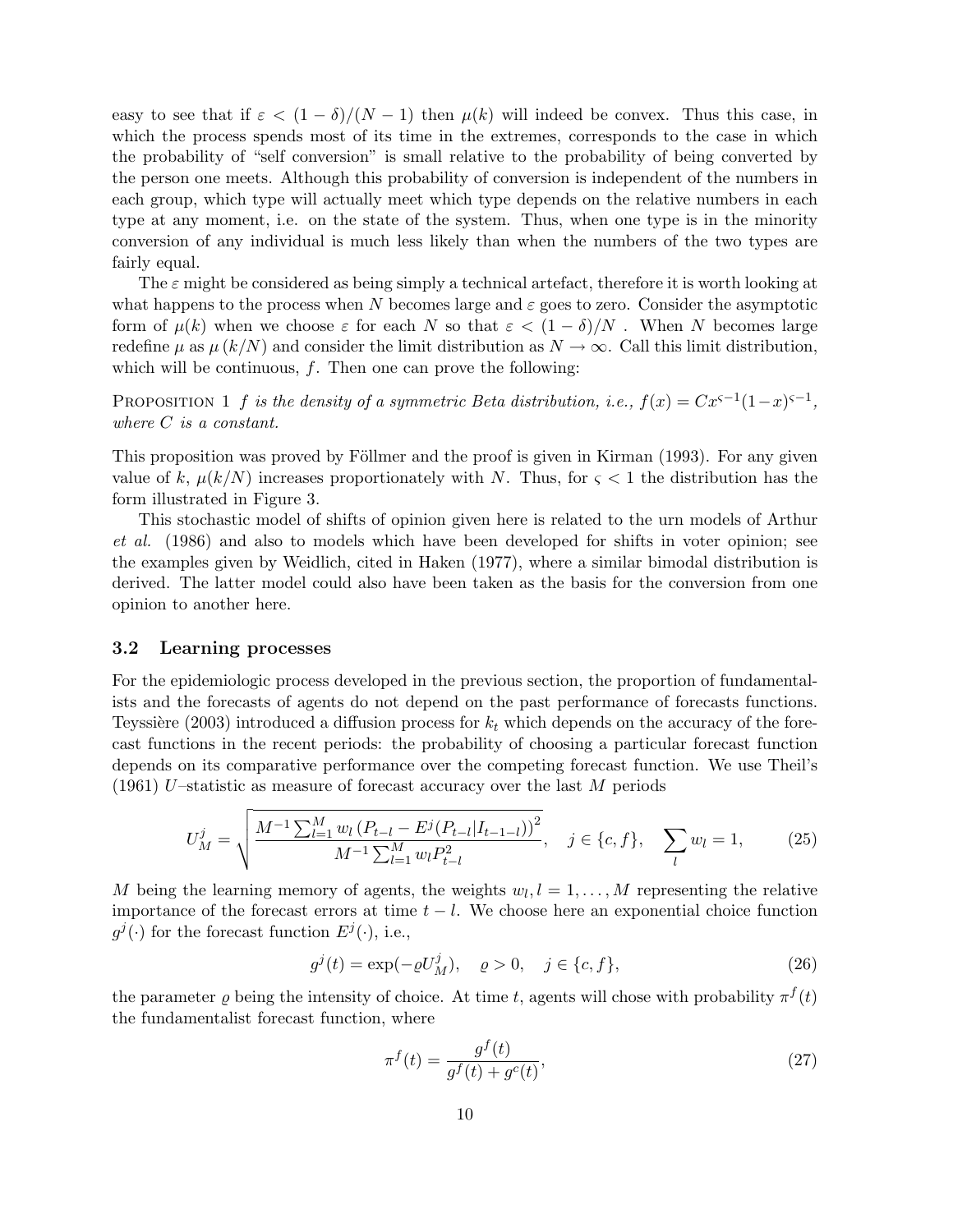easy to see that if  $\varepsilon < (1 - \delta)/(N - 1)$  then  $\mu(k)$  will indeed be convex. Thus this case, in which the process spends most of its time in the extremes, corresponds to the case in which the probability of "self conversion" is small relative to the probability of being converted by the person one meets. Although this probability of conversion is independent of the numbers in each group, which type will actually meet which type depends on the relative numbers in each type at any moment, i.e. on the state of the system. Thus, when one type is in the minority conversion of any individual is much less likely than when the numbers of the two types are fairly equal.

The  $\varepsilon$  might be considered as being simply a technical artefact, therefore it is worth looking at what happens to the process when N becomes large and  $\varepsilon$  goes to zero. Consider the asymptotic form of  $\mu(k)$  when we choose  $\varepsilon$  for each N so that  $\varepsilon < (1 - \delta)/N$ . When N becomes large redefine  $\mu$  as  $\mu$  (k/N) and consider the limit distribution as  $N \to \infty$ . Call this limit distribution, which will be continuous,  $f$ . Then one can prove the following:

PROPOSITION 1 f *is the density of a symmetric Beta distribution, i.e.,*  $f(x) = Cx^{c-1}(1-x)^{c-1}$ , *where* C *is a constant.*

This proposition was proved by Föllmer and the proof is given in Kirman (1993). For any given value of k,  $\mu(k/N)$  increases proportionately with N. Thus, for  $\varsigma < 1$  the distribution has the form illustrated in Figure 3.

This stochastic model of shifts of opinion given here is related to the urn models of Arthur *et al.* (1986) and also to models which have been developed for shifts in voter opinion; see the examples given by Weidlich, cited in Haken (1977), where a similar bimodal distribution is derived. The latter model could also have been taken as the basis for the conversion from one opinion to another here.

#### 3.2 Learning processes

For the epidemiologic process developed in the previous section, the proportion of fundamentalists and the forecasts of agents do not depend on the past performance of forecasts functions. Teyssière (2003) introduced a diffusion process for  $k_t$  which depends on the accuracy of the forecast functions in the recent periods: the probability of choosing a particular forecast function depends on its comparative performance over the competing forecast function. We use Theil's (1961) U–statistic as measure of forecast accuracy over the last  $M$  periods

$$
U_M^j = \sqrt{\frac{M^{-1} \sum_{l=1}^M w_l (P_{t-l} - E^j (P_{t-l} | I_{t-1-l}))^2}{M^{-1} \sum_{l=1}^M w_l P_{t-l}^2}}, \quad j \in \{c, f\}, \quad \sum_l w_l = 1,
$$
 (25)

M being the learning memory of agents, the weights  $w_l, l = 1, \ldots, M$  representing the relative importance of the forecast errors at time  $t - l$ . We choose here an exponential choice function  $g^j(\cdot)$  for the forecast function  $E^j(\cdot)$ , i.e.,

$$
g^{j}(t) = \exp(-\varrho U_M^j), \quad \varrho > 0, \quad j \in \{c, f\},
$$
\n(26)

the parameter  $\varrho$  being the intensity of choice. At time t, agents will chose with probability  $\pi^f(t)$ the fundamentalist forecast function, where

$$
\pi^{f}(t) = \frac{g^{f}(t)}{g^{f}(t) + g^{c}(t)},
$$
\n(27)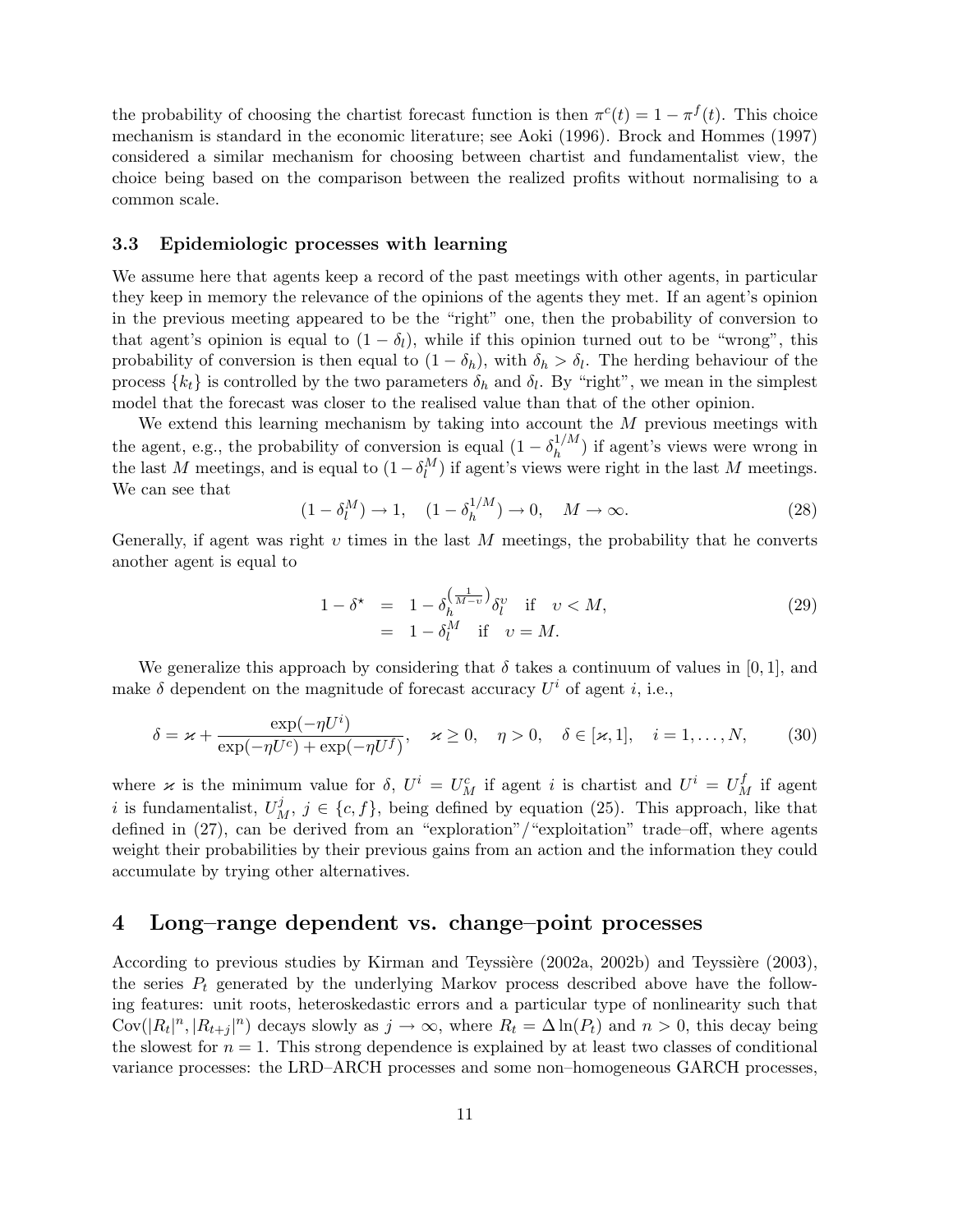the probability of choosing the chartist forecast function is then  $\pi^c(t) = 1 - \pi^f(t)$ . This choice mechanism is standard in the economic literature; see Aoki (1996). Brock and Hommes (1997) considered a similar mechanism for choosing between chartist and fundamentalist view, the choice being based on the comparison between the realized profits without normalising to a common scale.

#### 3.3 Epidemiologic processes with learning

We assume here that agents keep a record of the past meetings with other agents, in particular they keep in memory the relevance of the opinions of the agents they met. If an agent's opinion in the previous meeting appeared to be the "right" one, then the probability of conversion to that agent's opinion is equal to  $(1 - \delta_l)$ , while if this opinion turned out to be "wrong", this probability of conversion is then equal to  $(1 - \delta_h)$ , with  $\delta_h > \delta_l$ . The herding behaviour of the process  $\{k_t\}$  is controlled by the two parameters  $\delta_h$  and  $\delta_l$ . By "right", we mean in the simplest model that the forecast was closer to the realised value than that of the other opinion.

We extend this learning mechanism by taking into account the  $M$  previous meetings with the agent, e.g., the probability of conversion is equal  $(1 - \delta_h^{1/M})$  $h^{1/M}$ ) if agent's views were wrong in the last M meetings, and is equal to  $(1 - \delta_l^M)$  if agent's views were right in the last M meetings. We can see that

$$
(1 - \delta_l^M) \to 1, \quad (1 - \delta_h^{1/M}) \to 0, \quad M \to \infty.
$$
 (28)

Generally, if agent was right  $v$  times in the last M meetings, the probability that he converts another agent is equal to

$$
1 - \delta^* = 1 - \delta_h^{\left(\frac{1}{M-v}\right)} \delta_l^v \quad \text{if} \quad v < M,
$$
\n
$$
= 1 - \delta_l^M \quad \text{if} \quad v = M.
$$
\n
$$
(29)
$$

We generalize this approach by considering that  $\delta$  takes a continuum of values in [0, 1], and make  $\delta$  dependent on the magnitude of forecast accuracy  $U^i$  of agent i, i.e.,

$$
\delta = \varkappa + \frac{\exp(-\eta U^i)}{\exp(-\eta U^c) + \exp(-\eta U^f)}, \quad \varkappa \ge 0, \quad \eta > 0, \quad \delta \in [\varkappa, 1], \quad i = 1, \dots, N,
$$
 (30)

where  $\varkappa$  is the minimum value for  $\delta$ ,  $U^i = U_M^c$  if agent i is chartist and  $U^i = U_M^f$  if agent i is fundamentalist,  $U_M^j$ ,  $j \in \{c, f\}$ , being defined by equation (25). This approach, like that defined in (27), can be derived from an "exploration"/"exploitation" trade–off, where agents weight their probabilities by their previous gains from an action and the information they could accumulate by trying other alternatives.

## 4 Long–range dependent vs. change–point processes

According to previous studies by Kirman and Teyssière  $(2002a, 2002b)$  and Teyssière  $(2003)$ , the series  $P_t$  generated by the underlying Markov process described above have the following features: unit roots, heteroskedastic errors and a particular type of nonlinearity such that  $Cov(|R_t|^n, |R_{t+j}|^n)$  decays slowly as  $j \to \infty$ , where  $R_t = \Delta \ln(P_t)$  and  $n > 0$ , this decay being the slowest for  $n = 1$ . This strong dependence is explained by at least two classes of conditional variance processes: the LRD–ARCH processes and some non–homogeneous GARCH processes,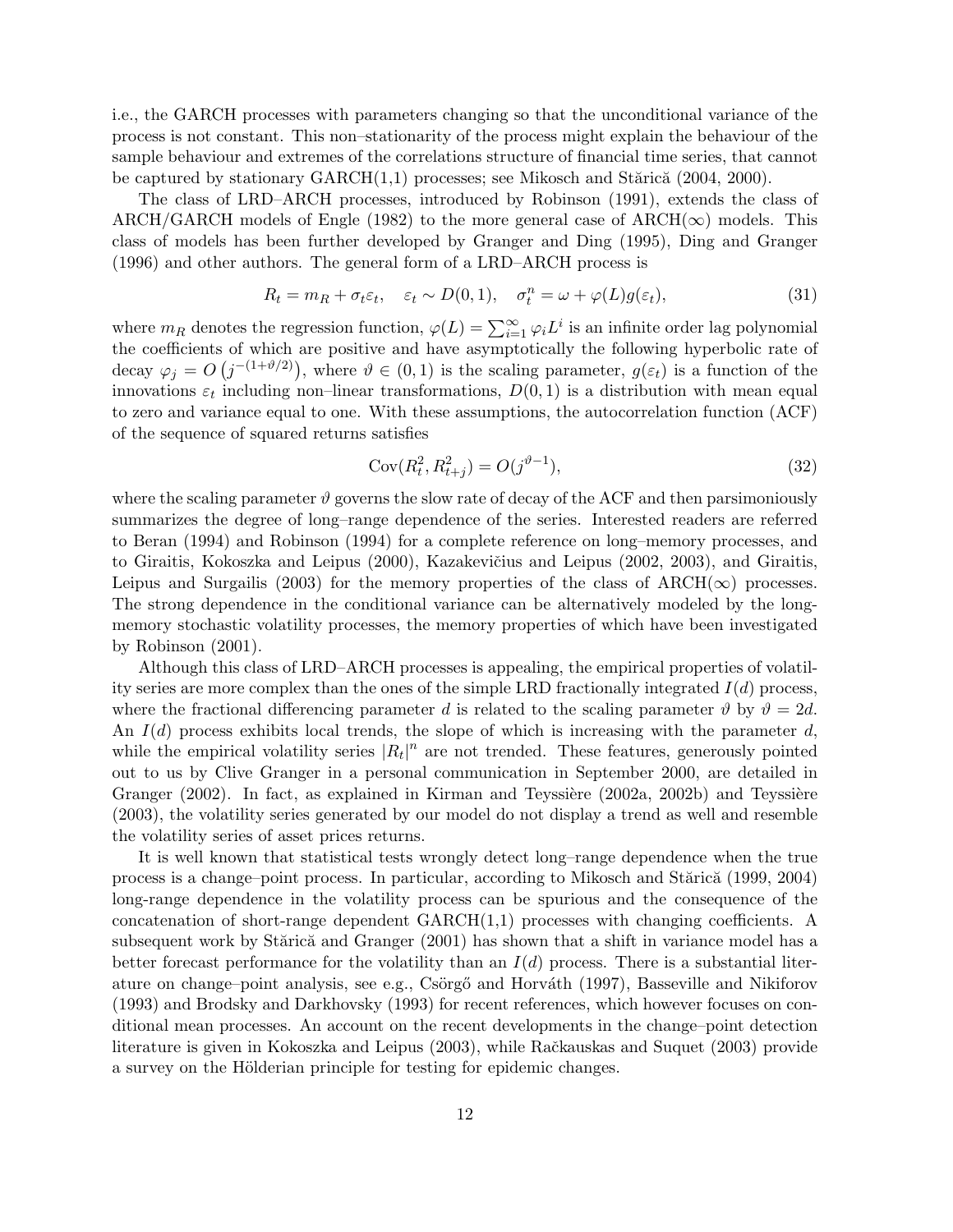i.e., the GARCH processes with parameters changing so that the unconditional variance of the process is not constant. This non–stationarity of the process might explain the behaviour of the sample behaviour and extremes of the correlations structure of financial time series, that cannot be captured by stationary  $GARCH(1,1)$  processes; see Mikosch and Stărică (2004, 2000).

The class of LRD–ARCH processes, introduced by Robinson (1991), extends the class of ARCH/GARCH models of Engle (1982) to the more general case of ARCH( $\infty$ ) models. This class of models has been further developed by Granger and Ding (1995), Ding and Granger (1996) and other authors. The general form of a LRD–ARCH process is

$$
R_t = m_R + \sigma_t \varepsilon_t, \quad \varepsilon_t \sim D(0, 1), \quad \sigma_t^n = \omega + \varphi(L)g(\varepsilon_t), \tag{31}
$$

where  $m_R$  denotes the regression function,  $\varphi(L) = \sum_{i=1}^{\infty} \varphi_i L^i$  is an infinite order lag polynomial the coefficients of which are positive and have asymptotically the following hyperbolic rate of decay  $\varphi_j = O(j^{-(1+\vartheta/2)})$ , where  $\vartheta \in (0,1)$  is the scaling parameter,  $g(\varepsilon_t)$  is a function of the innovations  $\varepsilon_t$  including non-linear transformations,  $D(0, 1)$  is a distribution with mean equal to zero and variance equal to one. With these assumptions, the autocorrelation function (ACF) of the sequence of squared returns satisfies

$$
Cov(R_t^2, R_{t+j}^2) = O(j^{\vartheta - 1}),
$$
\n(32)

where the scaling parameter  $\vartheta$  governs the slow rate of decay of the ACF and then parsimoniously summarizes the degree of long–range dependence of the series. Interested readers are referred to Beran (1994) and Robinson (1994) for a complete reference on long–memory processes, and to Giraitis, Kokoszka and Leipus (2000), Kazakevičius and Leipus (2002, 2003), and Giraitis, Leipus and Surgailis (2003) for the memory properties of the class of ARCH( $\infty$ ) processes. The strong dependence in the conditional variance can be alternatively modeled by the longmemory stochastic volatility processes, the memory properties of which have been investigated by Robinson (2001).

Although this class of LRD–ARCH processes is appealing, the empirical properties of volatility series are more complex than the ones of the simple LRD fractionally integrated  $I(d)$  process, where the fractional differencing parameter d is related to the scaling parameter  $\vartheta$  by  $\vartheta = 2d$ . An  $I(d)$  process exhibits local trends, the slope of which is increasing with the parameter d, while the empirical volatility series  $|R_t|^n$  are not trended. These features, generously pointed out to us by Clive Granger in a personal communication in September 2000, are detailed in Granger (2002). In fact, as explained in Kirman and Teyssière (2002a, 2002b) and Teyssière (2003), the volatility series generated by our model do not display a trend as well and resemble the volatility series of asset prices returns.

It is well known that statistical tests wrongly detect long–range dependence when the true process is a change–point process. In particular, according to Mikosch and Stărică (1999, 2004) long-range dependence in the volatility process can be spurious and the consequence of the concatenation of short-range dependent  $GARCH(1,1)$  processes with changing coefficients. A subsequent work by Stărică and Granger (2001) has shown that a shift in variance model has a better forecast performance for the volatility than an  $I(d)$  process. There is a substantial literature on change–point analysis, see e.g., Csörgő and Horváth (1997), Basseville and Nikiforov (1993) and Brodsky and Darkhovsky (1993) for recent references, which however focuses on conditional mean processes. An account on the recent developments in the change–point detection literature is given in Kokoszka and Leipus (2003), while Račkauskas and Suquet (2003) provide a survey on the Hölderian principle for testing for epidemic changes.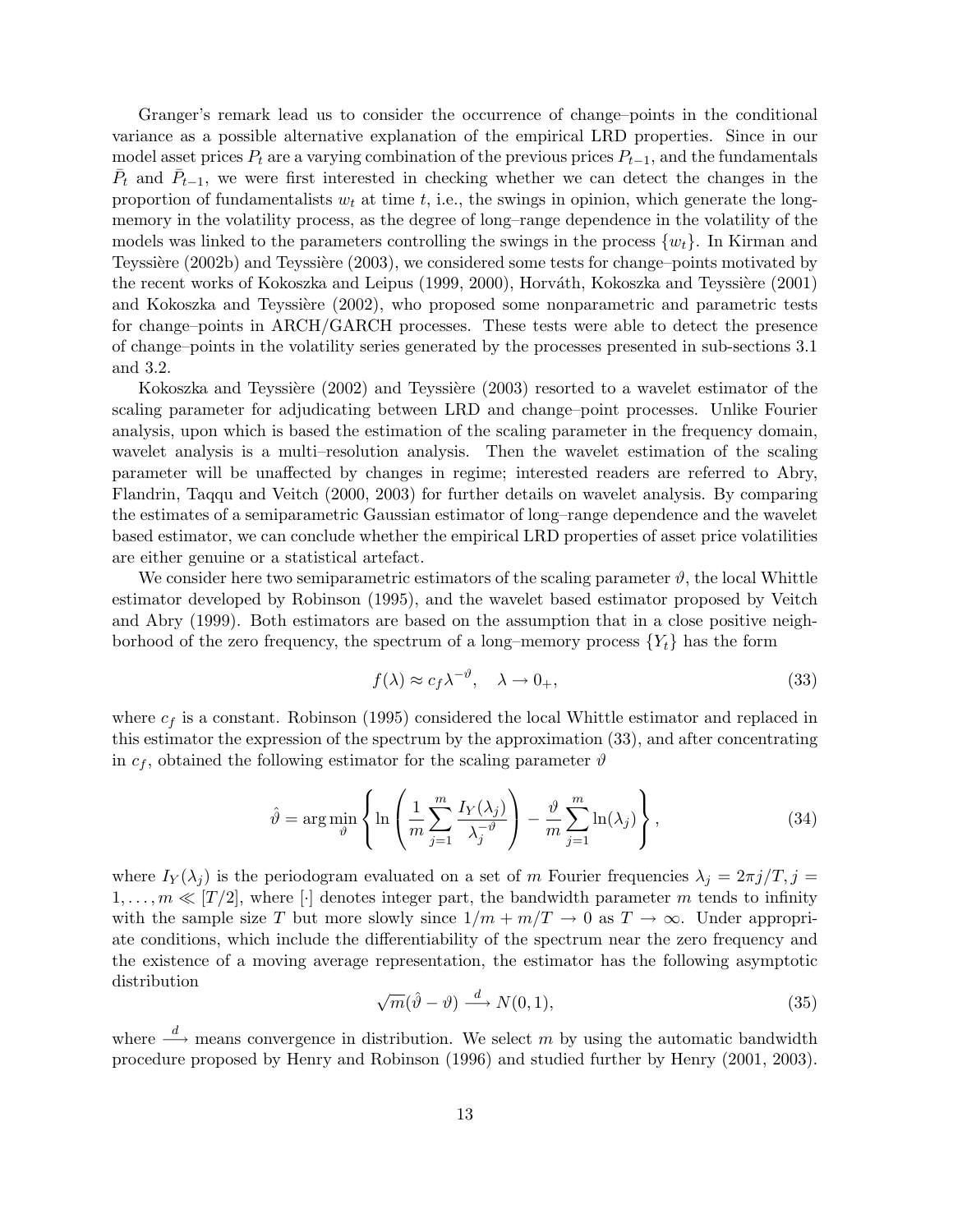Granger's remark lead us to consider the occurrence of change–points in the conditional variance as a possible alternative explanation of the empirical LRD properties. Since in our model asset prices  $P_t$  are a varying combination of the previous prices  $P_{t-1}$ , and the fundamentals  $\bar{P}_t$  and  $\bar{P}_{t-1}$ , we were first interested in checking whether we can detect the changes in the proportion of fundamentalists  $w_t$  at time t, i.e., the swings in opinion, which generate the longmemory in the volatility process, as the degree of long–range dependence in the volatility of the models was linked to the parameters controlling the swings in the process  $\{w_t\}$ . In Kirman and Teyssière (2002b) and Teyssière (2003), we considered some tests for change–points motivated by the recent works of Kokoszka and Leipus (1999, 2000), Horváth, Kokoszka and Teyssière (2001) and Kokoszka and Teyssière (2002), who proposed some nonparametric and parametric tests for change–points in ARCH/GARCH processes. These tests were able to detect the presence of change–points in the volatility series generated by the processes presented in sub-sections 3.1 and 3.2.

Kokoszka and Teyssière  $(2002)$  and Teyssière  $(2003)$  resorted to a wavelet estimator of the scaling parameter for adjudicating between LRD and change–point processes. Unlike Fourier analysis, upon which is based the estimation of the scaling parameter in the frequency domain, wavelet analysis is a multi–resolution analysis. Then the wavelet estimation of the scaling parameter will be unaffected by changes in regime; interested readers are referred to Abry, Flandrin, Taqqu and Veitch (2000, 2003) for further details on wavelet analysis. By comparing the estimates of a semiparametric Gaussian estimator of long–range dependence and the wavelet based estimator, we can conclude whether the empirical LRD properties of asset price volatilities are either genuine or a statistical artefact.

We consider here two semiparametric estimators of the scaling parameter  $\vartheta$ , the local Whittle estimator developed by Robinson (1995), and the wavelet based estimator proposed by Veitch and Abry (1999). Both estimators are based on the assumption that in a close positive neighborhood of the zero frequency, the spectrum of a long–memory process  ${Y_t}$  has the form

$$
f(\lambda) \approx c_f \lambda^{-\vartheta}, \quad \lambda \to 0_+, \tag{33}
$$

where  $c_f$  is a constant. Robinson (1995) considered the local Whittle estimator and replaced in this estimator the expression of the spectrum by the approximation (33), and after concentrating in  $c_f$ , obtained the following estimator for the scaling parameter  $\vartheta$ 

$$
\hat{\vartheta} = \arg\min_{\vartheta} \left\{ \ln \left( \frac{1}{m} \sum_{j=1}^{m} \frac{I_Y(\lambda_j)}{\lambda_j^{-\vartheta}} \right) - \frac{\vartheta}{m} \sum_{j=1}^{m} \ln(\lambda_j) \right\},\tag{34}
$$

where  $I_Y(\lambda_j)$  is the periodogram evaluated on a set of m Fourier frequencies  $\lambda_j = 2\pi j/T, j =$  $1, \ldots, m \ll [T/2]$ , where  $\lceil \cdot \rceil$  denotes integer part, the bandwidth parameter m tends to infinity with the sample size T but more slowly since  $1/m + m/T \to 0$  as  $T \to \infty$ . Under appropriate conditions, which include the differentiability of the spectrum near the zero frequency and the existence of a moving average representation, the estimator has the following asymptotic distribution

$$
\sqrt{m}(\hat{\vartheta} - \vartheta) \xrightarrow{d} N(0, 1), \tag{35}
$$

where  $\stackrel{d}{\longrightarrow}$  means convergence in distribution. We select m by using the automatic bandwidth procedure proposed by Henry and Robinson (1996) and studied further by Henry (2001, 2003).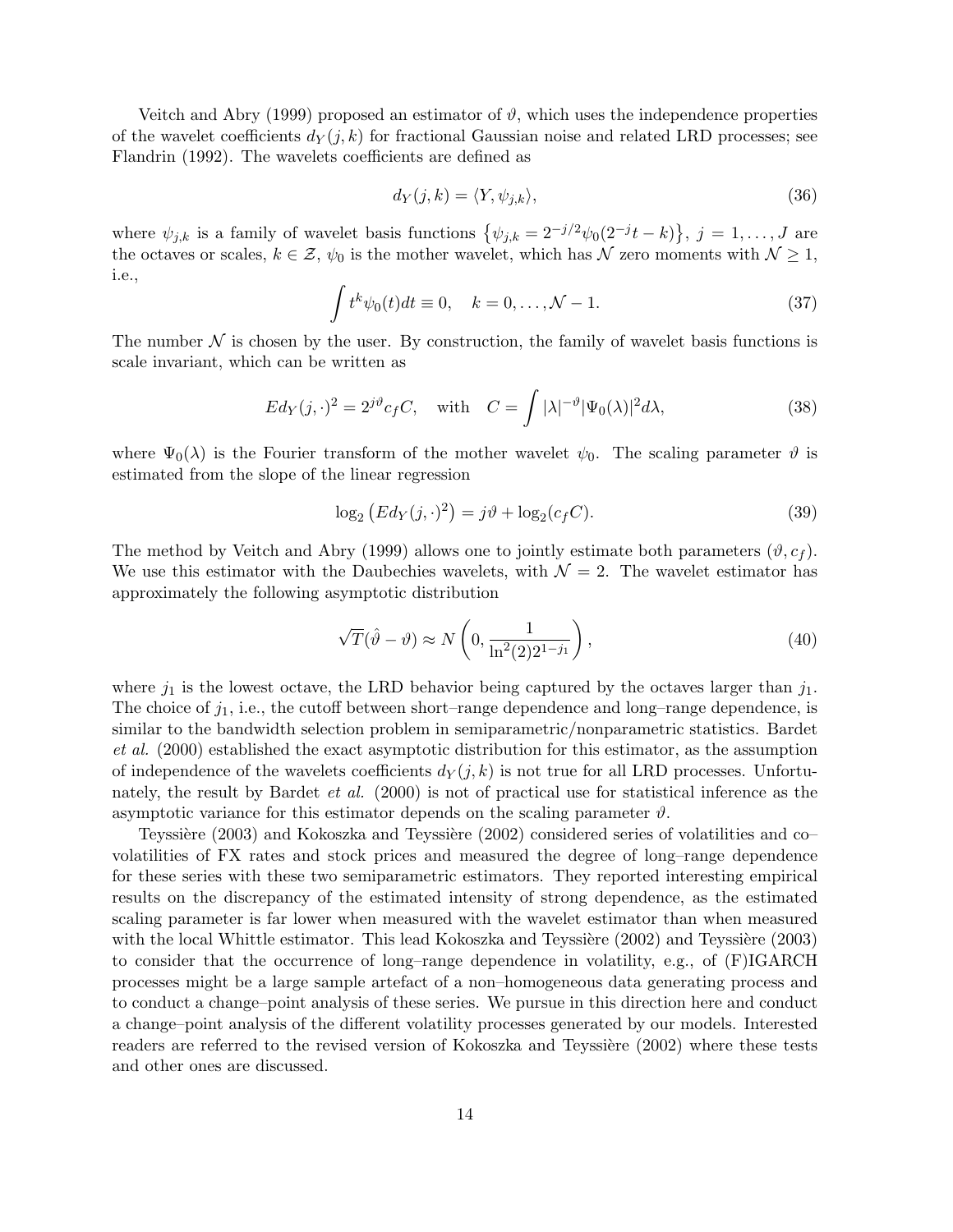Veitch and Abry (1999) proposed an estimator of  $\vartheta$ , which uses the independence properties of the wavelet coefficients  $d_Y(j, k)$  for fractional Gaussian noise and related LRD processes; see Flandrin (1992). The wavelets coefficients are defined as

$$
d_Y(j,k) = \langle Y, \psi_{j,k} \rangle, \tag{36}
$$

where  $\psi_{j,k}$  is a family of wavelet basis functions  $\{\psi_{j,k} = 2^{-j/2}\psi_0(2^{-j}t-k)\},\ j=1,\ldots,J$  are the octaves or scales,  $k \in \mathcal{Z}$ ,  $\psi_0$  is the mother wavelet, which has N zero moments with  $\mathcal{N} \geq 1$ , i.e.,

$$
\int t^k \psi_0(t) dt \equiv 0, \quad k = 0, \dots, \mathcal{N} - 1.
$$
 (37)

The number  $\mathcal N$  is chosen by the user. By construction, the family of wavelet basis functions is scale invariant, which can be written as

$$
Ed_Y(j, \cdot)^2 = 2^{j\vartheta} c_f C, \quad \text{with} \quad C = \int |\lambda|^{-\vartheta} |\Psi_0(\lambda)|^2 d\lambda,
$$
 (38)

where  $\Psi_0(\lambda)$  is the Fourier transform of the mother wavelet  $\psi_0$ . The scaling parameter  $\vartheta$  is estimated from the slope of the linear regression

$$
\log_2 \left( Ed_Y(j, \cdot)^2 \right) = j\vartheta + \log_2(c_f C). \tag{39}
$$

The method by Veitch and Abry (1999) allows one to jointly estimate both parameters  $(\vartheta, c_f)$ . We use this estimator with the Daubechies wavelets, with  $\mathcal{N}=2$ . The wavelet estimator has approximately the following asymptotic distribution

$$
\sqrt{T}(\hat{\vartheta} - \vartheta) \approx N\left(0, \frac{1}{\ln^2(2)2^{1-j_1}}\right),\tag{40}
$$

where  $j_1$  is the lowest octave, the LRD behavior being captured by the octaves larger than  $j_1$ . The choice of  $j_1$ , i.e., the cutoff between short–range dependence and long–range dependence, is similar to the bandwidth selection problem in semiparametric/nonparametric statistics. Bardet *et al.* (2000) established the exact asymptotic distribution for this estimator, as the assumption of independence of the wavelets coefficients  $d_Y(j, k)$  is not true for all LRD processes. Unfortunately, the result by Bardet *et al.* (2000) is not of practical use for statistical inference as the asymptotic variance for this estimator depends on the scaling parameter  $\vartheta$ .

Teyssière (2003) and Kokoszka and Teyssière (2002) considered series of volatilities and co– volatilities of FX rates and stock prices and measured the degree of long–range dependence for these series with these two semiparametric estimators. They reported interesting empirical results on the discrepancy of the estimated intensity of strong dependence, as the estimated scaling parameter is far lower when measured with the wavelet estimator than when measured with the local Whittle estimator. This lead Kokoszka and Teyssière  $(2002)$  and Teyssière  $(2003)$ to consider that the occurrence of long–range dependence in volatility, e.g., of (F)IGARCH processes might be a large sample artefact of a non–homogeneous data generating process and to conduct a change–point analysis of these series. We pursue in this direction here and conduct a change–point analysis of the different volatility processes generated by our models. Interested readers are referred to the revised version of Kokoszka and Teyssière (2002) where these tests and other ones are discussed.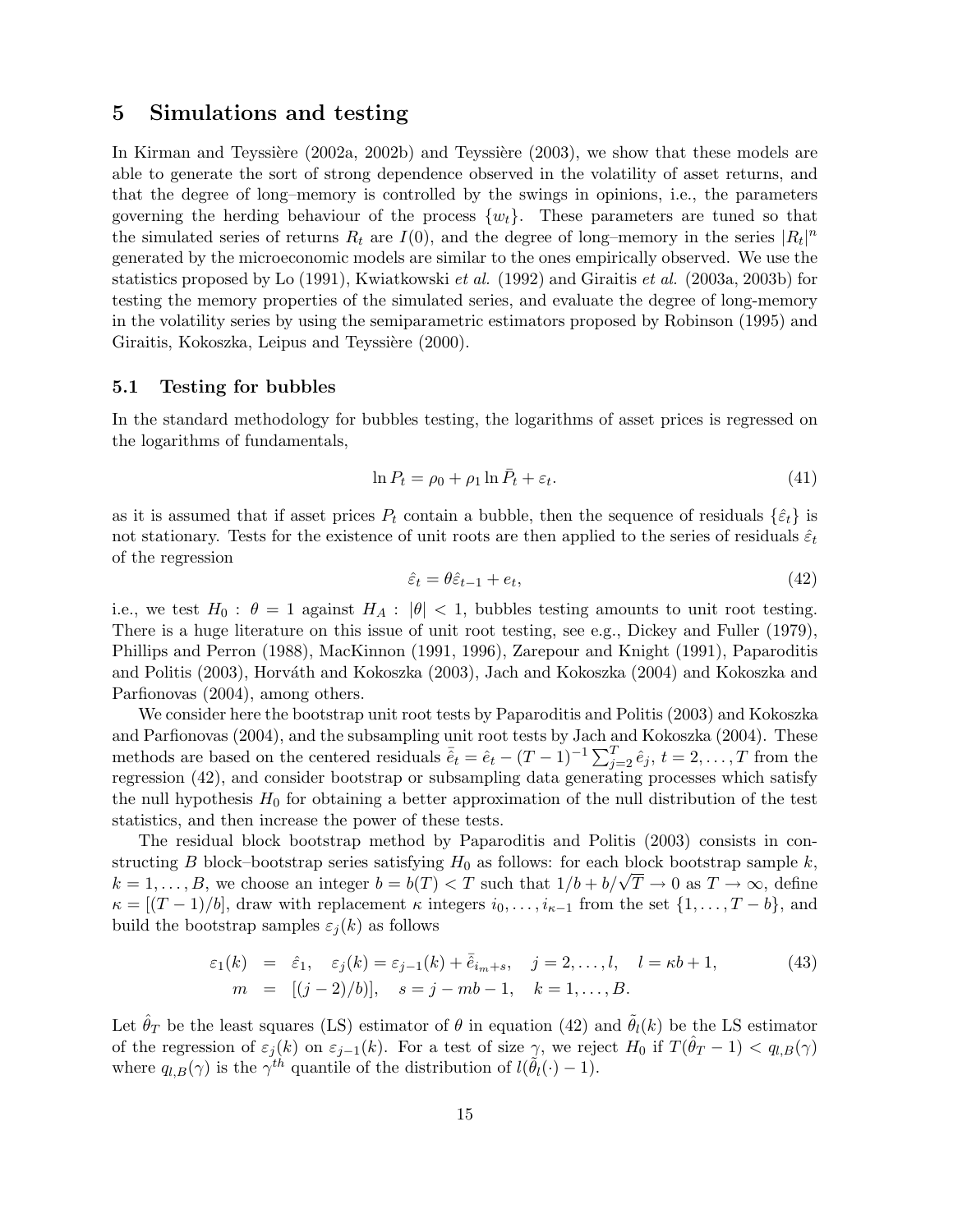### 5 Simulations and testing

In Kirman and Teyssière (2002a, 2002b) and Teyssière (2003), we show that these models are able to generate the sort of strong dependence observed in the volatility of asset returns, and that the degree of long–memory is controlled by the swings in opinions, i.e., the parameters governing the herding behaviour of the process  $\{w_t\}$ . These parameters are tuned so that the simulated series of returns  $R_t$  are  $I(0)$ , and the degree of long–memory in the series  $|R_t|^n$ generated by the microeconomic models are similar to the ones empirically observed. We use the statistics proposed by Lo (1991), Kwiatkowski *et al.* (1992) and Giraitis *et al.* (2003a, 2003b) for testing the memory properties of the simulated series, and evaluate the degree of long-memory in the volatility series by using the semiparametric estimators proposed by Robinson (1995) and Giraitis, Kokoszka, Leipus and Teyssière (2000).

#### 5.1 Testing for bubbles

In the standard methodology for bubbles testing, the logarithms of asset prices is regressed on the logarithms of fundamentals,

$$
\ln P_t = \rho_0 + \rho_1 \ln \bar{P}_t + \varepsilon_t. \tag{41}
$$

as it is assumed that if asset prices  $P_t$  contain a bubble, then the sequence of residuals  $\{\hat{\varepsilon}_t\}$  is not stationary. Tests for the existence of unit roots are then applied to the series of residuals  $\hat{\epsilon}_t$ of the regression

$$
\hat{\varepsilon}_t = \theta \hat{\varepsilon}_{t-1} + e_t,\tag{42}
$$

i.e., we test  $H_0: \theta = 1$  against  $H_A: |\theta| < 1$ , bubbles testing amounts to unit root testing. There is a huge literature on this issue of unit root testing, see e.g., Dickey and Fuller (1979), Phillips and Perron (1988), MacKinnon (1991, 1996), Zarepour and Knight (1991), Paparoditis and Politis (2003), Horváth and Kokoszka (2003), Jach and Kokoszka (2004) and Kokoszka and Parfionovas (2004), among others.

We consider here the bootstrap unit root tests by Paparoditis and Politis (2003) and Kokoszka and Parfionovas (2004), and the subsampling unit root tests by Jach and Kokoszka (2004). These methods are based on the centered residuals  $\bar{e}_t = \hat{e}_t - (T - 1)^{-1} \sum_{j=2}^T \hat{e}_j$ ,  $t = 2, \ldots, T$  from the regression (42), and consider bootstrap or subsampling data generating processes which satisfy the null hypothesis  $H_0$  for obtaining a better approximation of the null distribution of the test statistics, and then increase the power of these tests.

The residual block bootstrap method by Paparoditis and Politis (2003) consists in constructing B block–bootstrap series satisfying  $H_0$  as follows: for each block bootstrap sample k,  $k = 1, \ldots, B$ , we choose an integer  $b = b(T) < T$  such that  $1/b + b/\sqrt{T} \to 0$  as  $T \to \infty$ , define  $\kappa = \frac{(T-1)}{b}$ , draw with replacement  $\kappa$  integers  $i_0, \ldots, i_{\kappa-1}$  from the set  $\{1, \ldots, T-b\}$ , and build the bootstrap samples  $\varepsilon_i(k)$  as follows

$$
\varepsilon_1(k) = \hat{\varepsilon}_1, \quad \varepsilon_j(k) = \varepsilon_{j-1}(k) + \bar{\hat{e}}_{i_m+s}, \quad j = 2, ..., l, \quad l = \kappa b + 1, \nm = [(j-2)/b)], \quad s = j - mb - 1, \quad k = 1, ..., B.
$$
\n(43)

Let  $\hat{\theta}_T$  be the least squares (LS) estimator of  $\theta$  in equation (42) and  $\tilde{\theta}_l(k)$  be the LS estimator of the regression of  $\varepsilon_j(k)$  on  $\varepsilon_{j-1}(k)$ . For a test of size  $\gamma$ , we reject  $H_0$  if  $T(\hat{\theta}_T - 1) < q_{l,B}(\gamma)$ where  $q_{l,B}(\gamma)$  is the  $\gamma^{th}$  quantile of the distribution of  $l(\tilde{\theta}_l(\cdot) - 1)$ .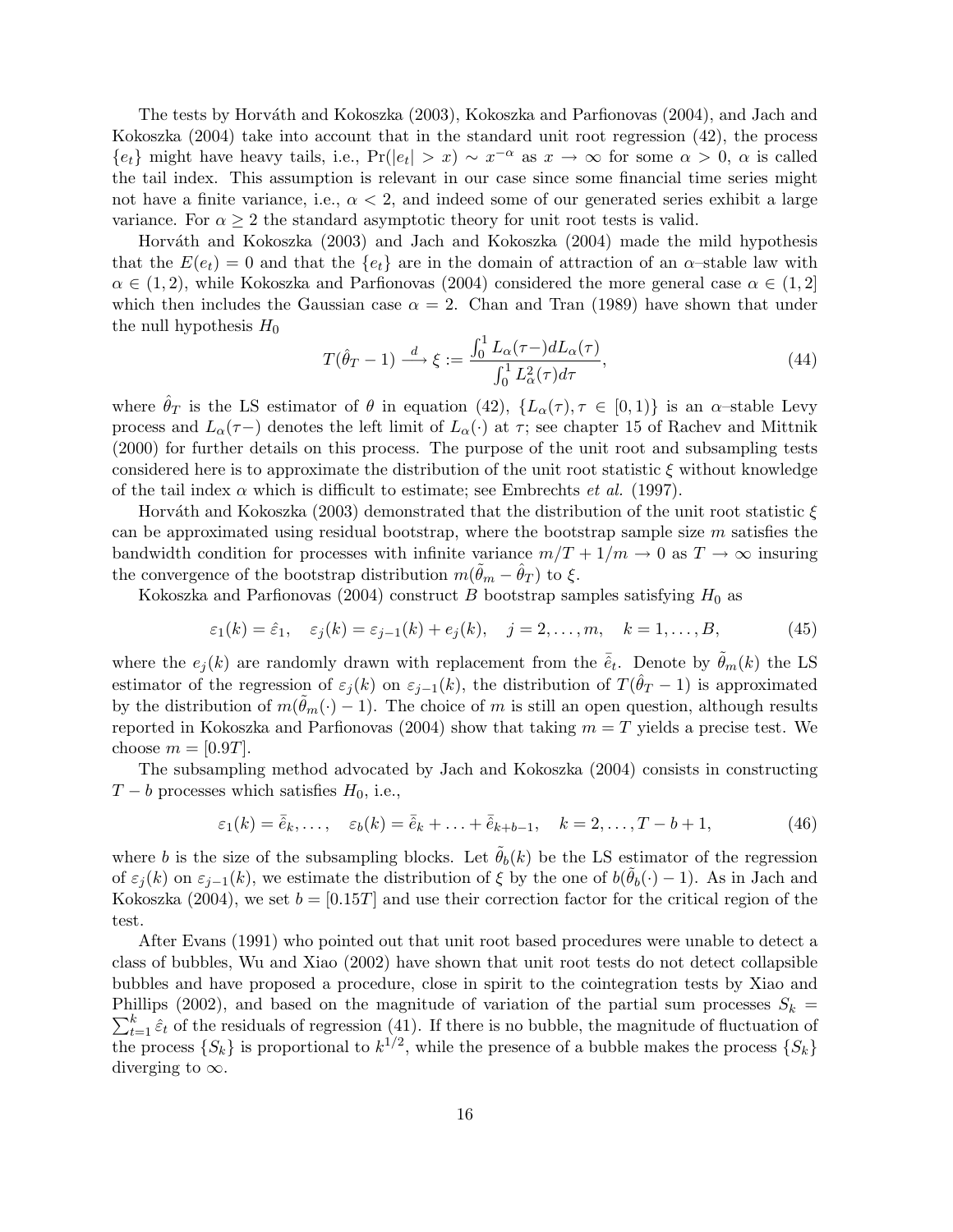The tests by Horváth and Kokoszka (2003), Kokoszka and Parfionovas (2004), and Jach and Kokoszka (2004) take into account that in the standard unit root regression (42), the process  ${e_t}$  might have heavy tails, i.e.,  $Pr(|e_t| > x) \sim x^{-\alpha}$  as  $x \to \infty$  for some  $\alpha > 0$ ,  $\alpha$  is called the tail index. This assumption is relevant in our case since some financial time series might not have a finite variance, i.e.,  $\alpha < 2$ , and indeed some of our generated series exhibit a large variance. For  $\alpha \geq 2$  the standard asymptotic theory for unit root tests is valid.

Horváth and Kokoszka (2003) and Jach and Kokoszka (2004) made the mild hypothesis that the  $E(e_t) = 0$  and that the  $\{e_t\}$  are in the domain of attraction of an  $\alpha$ -stable law with  $\alpha \in (1, 2)$ , while Kokoszka and Parfionovas (2004) considered the more general case  $\alpha \in (1, 2]$ which then includes the Gaussian case  $\alpha = 2$ . Chan and Tran (1989) have shown that under the null hypothesis  $H_0$ 

$$
T(\hat{\theta}_T - 1) \xrightarrow{d} \xi := \frac{\int_0^1 L_\alpha(\tau -) dL_\alpha(\tau)}{\int_0^1 L_\alpha^2(\tau) d\tau},\tag{44}
$$

where  $\hat{\theta}_T$  is the LS estimator of  $\theta$  in equation (42),  $\{L_\alpha(\tau), \tau \in [0,1)\}\$ is an  $\alpha$ -stable Levy process and  $L_{\alpha}(\tau-)$  denotes the left limit of  $L_{\alpha}(\cdot)$  at  $\tau$ ; see chapter 15 of Rachev and Mittnik (2000) for further details on this process. The purpose of the unit root and subsampling tests considered here is to approximate the distribution of the unit root statistic  $\xi$  without knowledge of the tail index  $\alpha$  which is difficult to estimate; see Embrechts *et al.* (1997).

Horváth and Kokoszka (2003) demonstrated that the distribution of the unit root statistic  $\xi$ can be approximated using residual bootstrap, where the bootstrap sample size  $m$  satisfies the bandwidth condition for processes with infinite variance  $m/T + 1/m \rightarrow 0$  as  $T \rightarrow \infty$  insuring the convergence of the bootstrap distribution  $m(\tilde{\theta}_m - \hat{\theta}_T)$  to  $\xi$ .

Kokoszka and Parfionovas (2004) construct B bootstrap samples satisfying  $H_0$  as

$$
\varepsilon_1(k) = \hat{\varepsilon}_1, \quad \varepsilon_j(k) = \varepsilon_{j-1}(k) + e_j(k), \quad j = 2, \dots, m, \quad k = 1, \dots, B,
$$
 (45)

where the  $e_j(k)$  are randomly drawn with replacement from the  $\bar{e}_t$ . Denote by  $\tilde{\theta}_m(k)$  the LS estimator of the regression of  $\varepsilon_j(k)$  on  $\varepsilon_{j-1}(k)$ , the distribution of  $T(\hat{\theta}_T - 1)$  is approximated by the distribution of  $m(\tilde{\theta}_m(\cdot) - 1)$ . The choice of m is still an open question, although results reported in Kokoszka and Parfionovas (2004) show that taking  $m = T$  yields a precise test. We choose  $m = |0.9T|$ .

The subsampling method advocated by Jach and Kokoszka (2004) consists in constructing  $T - b$  processes which satisfies  $H_0$ , i.e.,

$$
\varepsilon_1(k) = \bar{\hat{e}}_k, \dots, \quad \varepsilon_b(k) = \bar{\hat{e}}_k + \dots + \bar{\hat{e}}_{k+b-1}, \quad k = 2, \dots, T - b + 1,\tag{46}
$$

where b is the size of the subsampling blocks. Let  $\tilde{\theta}_b(k)$  be the LS estimator of the regression of  $\varepsilon_j(k)$  on  $\varepsilon_{j-1}(k)$ , we estimate the distribution of  $\xi$  by the one of  $b(\tilde{\theta}_b(\cdot) - 1)$ . As in Jach and Kokoszka (2004), we set  $b = [0.15T]$  and use their correction factor for the critical region of the test.

After Evans (1991) who pointed out that unit root based procedures were unable to detect a class of bubbles, Wu and Xiao (2002) have shown that unit root tests do not detect collapsible bubbles and have proposed a procedure, close in spirit to the cointegration tests by Xiao and Phillips (2002), and based on the magnitude of variation of the partial sum processes  $S_k =$  $\sum_{t=1}^{k} \hat{\varepsilon}_t$  of the residuals of regression (41). If there is no bubble, the magnitude of fluctuation of the process  $\{S_k\}$  is proportional to  $k^{1/2}$ , while the presence of a bubble makes the process  $\{S_k\}$ diverging to  $\infty$ .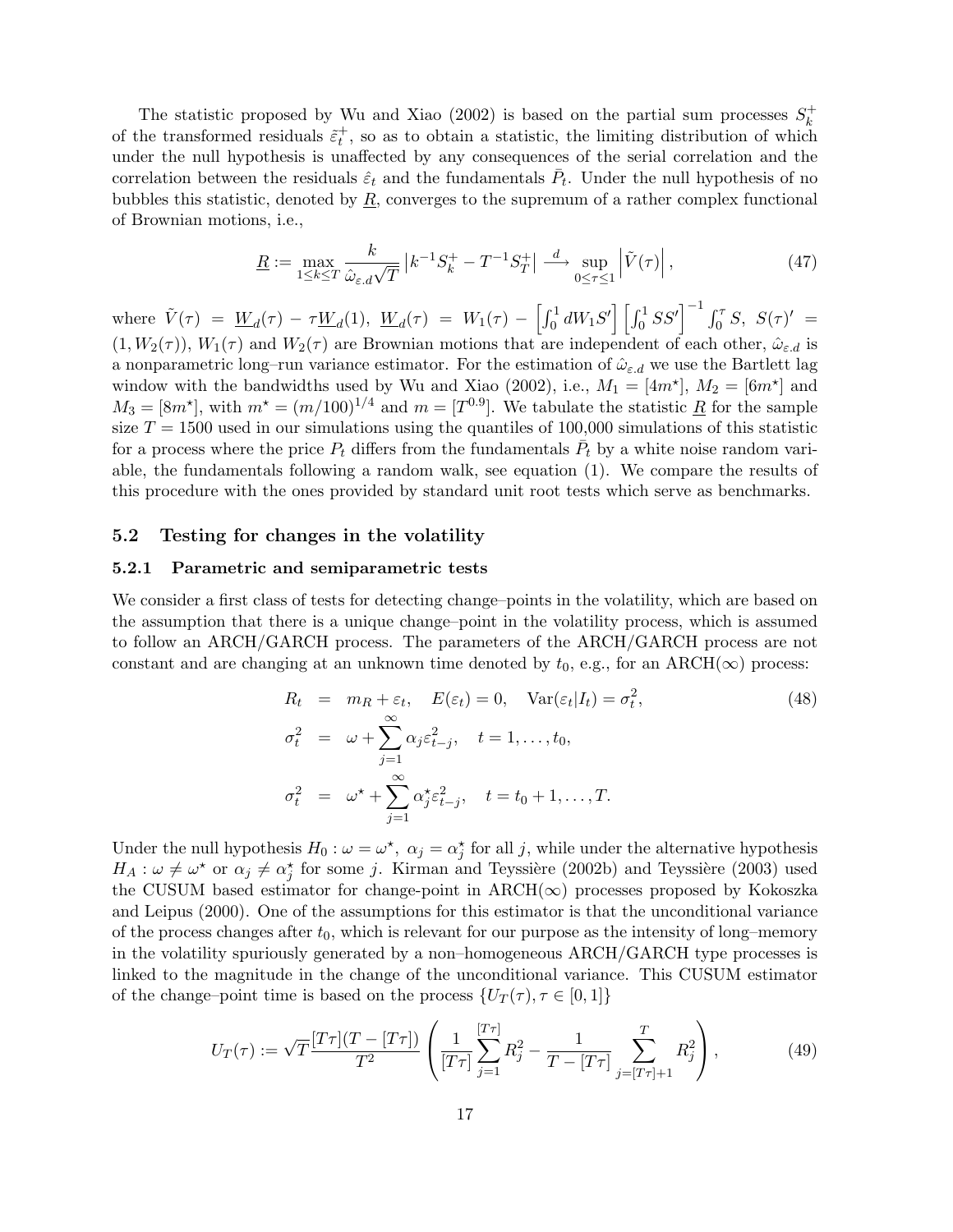The statistic proposed by Wu and Xiao (2002) is based on the partial sum processes  $S_k^+$ k of the transformed residuals  $\tilde{\varepsilon}_t^+$ , so as to obtain a statistic, the limiting distribution of which under the null hypothesis is unaffected by any consequences of the serial correlation and the correlation between the residuals  $\hat{\varepsilon}_t$  and the fundamentals  $\bar{P}_t$ . Under the null hypothesis of no bubbles this statistic, denoted by  $\underline{R}$ , converges to the supremum of a rather complex functional of Brownian motions, i.e.,

$$
\underline{R} := \max_{1 \le k \le T} \frac{k}{\hat{\omega}_{\varepsilon,d}\sqrt{T}} \left| k^{-1}S_k^+ - T^{-1}S_T^+ \right| \stackrel{d}{\longrightarrow} \sup_{0 \le \tau \le 1} \left| \tilde{V}(\tau) \right|, \tag{47}
$$

where  $\tilde{V}(\tau) = W_d(\tau) - \tau \underline{W}_d(1)$ ,  $\underline{W}_d(\tau) = W_1(\tau) - \left[\int_0^1 dW_1 S'\right] \left[\int_0^1 SS'\right]^{-1} \int_0^{\tau} S$ ,  $S(\tau)' =$  $(1, W_2(\tau))$ ,  $W_1(\tau)$  and  $W_2(\tau)$  are Brownian motions that are independent of each other,  $\hat{\omega}_{\varepsilon,d}$  is a nonparametric long–run variance estimator. For the estimation of  $\hat{\omega}_{\varepsilon,d}$  we use the Bartlett lag window with the bandwidths used by Wu and Xiao (2002), i.e.,  $M_1 = [4m^*], M_2 = [6m^*]$  and  $M_3 = [8m<sup>*</sup>]$ , with  $m<sup>*</sup> = (m/100)<sup>1/4</sup>$  and  $m = [T<sup>0.9</sup>]$ . We tabulate the statistic  $\underline{R}$  for the sample size  $T = 1500$  used in our simulations using the quantiles of 100,000 simulations of this statistic for a process where the price  $P_t$  differs from the fundamentals  $\bar{P}_t$  by a white noise random variable, the fundamentals following a random walk, see equation (1). We compare the results of this procedure with the ones provided by standard unit root tests which serve as benchmarks.

#### 5.2 Testing for changes in the volatility

#### 5.2.1 Parametric and semiparametric tests

We consider a first class of tests for detecting change–points in the volatility, which are based on the assumption that there is a unique change–point in the volatility process, which is assumed to follow an ARCH/GARCH process. The parameters of the ARCH/GARCH process are not constant and are changing at an unknown time denoted by  $t_0$ , e.g., for an ARCH( $\infty$ ) process:

$$
R_t = m_R + \varepsilon_t, \quad E(\varepsilon_t) = 0, \quad \text{Var}(\varepsilon_t | I_t) = \sigma_t^2,
$$
  
\n
$$
\sigma_t^2 = \omega + \sum_{j=1}^{\infty} \alpha_j \varepsilon_{t-j}^2, \quad t = 1, \dots, t_0,
$$
  
\n
$$
\sigma_t^2 = \omega^* + \sum_{j=1}^{\infty} \alpha_j^* \varepsilon_{t-j}^2, \quad t = t_0 + 1, \dots, T.
$$
\n(48)

Under the null hypothesis  $H_0: \omega = \omega^*$ ,  $\alpha_j = \alpha_j^*$  for all j, while under the alternative hypothesis  $H_A: \omega \neq \omega^*$  or  $\alpha_j \neq \alpha_j^*$  for some j. Kirman and Teyssière (2002b) and Teyssière (2003) used the CUSUM based estimator for change-point in  $\text{ARCH}(\infty)$  processes proposed by Kokoszka and Leipus (2000). One of the assumptions for this estimator is that the unconditional variance of the process changes after  $t_0$ , which is relevant for our purpose as the intensity of long–memory in the volatility spuriously generated by a non–homogeneous ARCH/GARCH type processes is linked to the magnitude in the change of the unconditional variance. This CUSUM estimator of the change–point time is based on the process  $\{U_T(\tau), \tau \in [0, 1]\}$ 

$$
U_T(\tau) := \sqrt{T} \frac{[T\tau](T - [T\tau])}{T^2} \left( \frac{1}{[T\tau]} \sum_{j=1}^{[T\tau]} R_j^2 - \frac{1}{T - [T\tau]} \sum_{j=[T\tau]+1}^{T} R_j^2 \right),\tag{49}
$$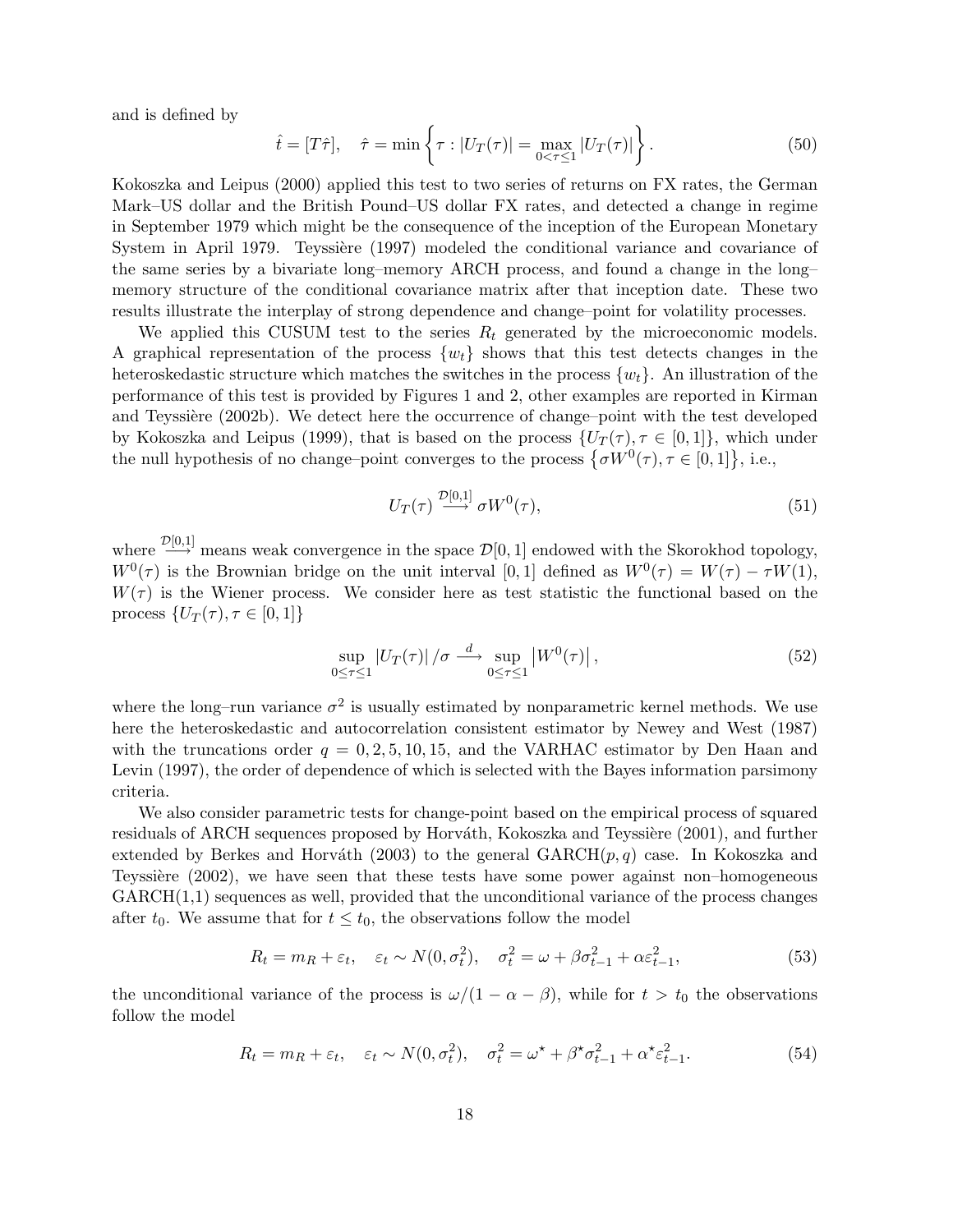and is defined by

$$
\hat{t} = [T\hat{\tau}], \quad \hat{\tau} = \min\left\{\tau : |U_T(\tau)| = \max_{0 < \tau \le 1} |U_T(\tau)|\right\}.\tag{50}
$$

Kokoszka and Leipus (2000) applied this test to two series of returns on FX rates, the German Mark–US dollar and the British Pound–US dollar FX rates, and detected a change in regime in September 1979 which might be the consequence of the inception of the European Monetary System in April 1979. Teyssière (1997) modeled the conditional variance and covariance of the same series by a bivariate long–memory ARCH process, and found a change in the long– memory structure of the conditional covariance matrix after that inception date. These two results illustrate the interplay of strong dependence and change–point for volatility processes.

We applied this CUSUM test to the series  $R_t$  generated by the microeconomic models. A graphical representation of the process  $\{w_t\}$  shows that this test detects changes in the heteroskedastic structure which matches the switches in the process  $\{w_t\}$ . An illustration of the performance of this test is provided by Figures 1 and 2, other examples are reported in Kirman and Teyssière (2002b). We detect here the occurrence of change–point with the test developed by Kokoszka and Leipus (1999), that is based on the process  $\{U_T(\tau), \tau \in [0,1]\}$ , which under the null hypothesis of no change–point converges to the process  $\{\sigma W^0(\tau), \tau \in [0,1]\},$  i.e.,

$$
U_T(\tau) \stackrel{\mathcal{D}[0,1]}{\longrightarrow} \sigma W^0(\tau),\tag{51}
$$

where  $\frac{\mathcal{D}[0,1]}{\longrightarrow}$  means weak convergence in the space  $\mathcal{D}[0,1]$  endowed with the Skorokhod topology,  $W^0(\tau)$  is the Brownian bridge on the unit interval [0, 1] defined as  $W^0(\tau) = W(\tau) - \tau W(1)$ ,  $W(\tau)$  is the Wiener process. We consider here as test statistic the functional based on the process  $\{U_T(\tau), \tau \in [0,1]\}\$ 

$$
\sup_{0 \le \tau \le 1} |U_T(\tau)| / \sigma \xrightarrow{d} \sup_{0 \le \tau \le 1} |W^0(\tau)| , \qquad (52)
$$

where the long–run variance  $\sigma^2$  is usually estimated by nonparametric kernel methods. We use here the heteroskedastic and autocorrelation consistent estimator by Newey and West (1987) with the truncations order  $q = 0, 2, 5, 10, 15,$  and the VARHAC estimator by Den Haan and Levin (1997), the order of dependence of which is selected with the Bayes information parsimony criteria.

We also consider parametric tests for change-point based on the empirical process of squared residuals of ARCH sequences proposed by Horváth, Kokoszka and Teyssière (2001), and further extended by Berkes and Horváth (2003) to the general  $GARCH(p, q)$  case. In Kokoszka and Teyssière  $(2002)$ , we have seen that these tests have some power against non–homogeneous  $GARCH(1,1)$  sequences as well, provided that the unconditional variance of the process changes after  $t_0$ . We assume that for  $t \leq t_0$ , the observations follow the model

$$
R_t = m_R + \varepsilon_t, \quad \varepsilon_t \sim N(0, \sigma_t^2), \quad \sigma_t^2 = \omega + \beta \sigma_{t-1}^2 + \alpha \varepsilon_{t-1}^2,\tag{53}
$$

the unconditional variance of the process is  $\omega/(1 - \alpha - \beta)$ , while for  $t > t_0$  the observations follow the model

$$
R_t = m_R + \varepsilon_t, \quad \varepsilon_t \sim N(0, \sigma_t^2), \quad \sigma_t^2 = \omega^\star + \beta^\star \sigma_{t-1}^2 + \alpha^\star \varepsilon_{t-1}^2. \tag{54}
$$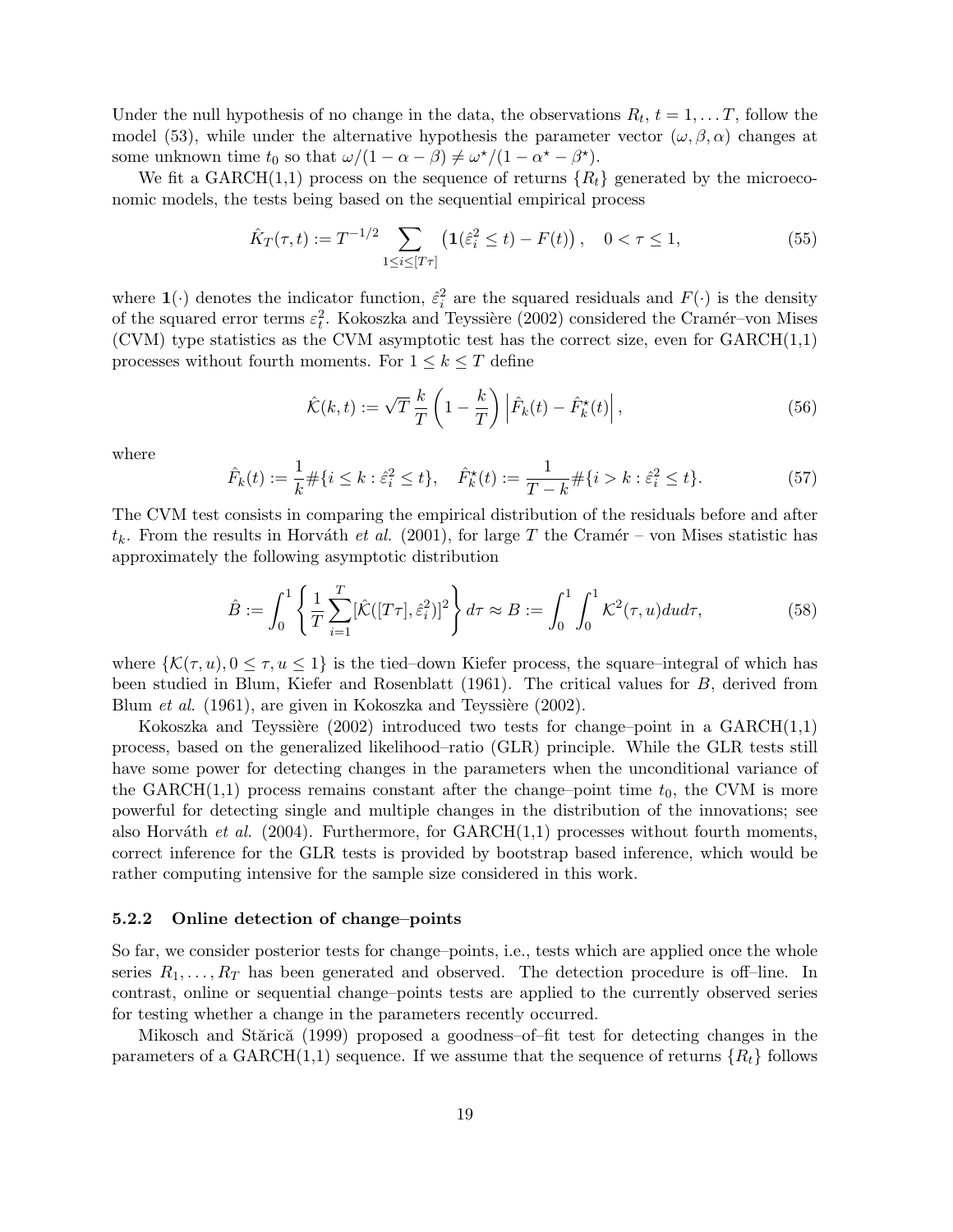Under the null hypothesis of no change in the data, the observations  $R_t$ ,  $t = 1, \ldots, T$ , follow the model (53), while under the alternative hypothesis the parameter vector  $(\omega, \beta, \alpha)$  changes at some unknown time  $t_0$  so that  $\omega/(1 - \alpha - \beta) \neq \omega^{\star}/(1 - \alpha^{\star} - \beta^{\star}).$ 

We fit a GARCH(1,1) process on the sequence of returns  ${R<sub>t</sub>}$  generated by the microeconomic models, the tests being based on the sequential empirical process

$$
\hat{K}_T(\tau, t) := T^{-1/2} \sum_{1 \le i \le [T\tau]} \left( \mathbf{1}(\hat{\varepsilon}_i^2 \le t) - F(t) \right), \quad 0 < \tau \le 1,\tag{55}
$$

where  $\mathbf{1}(\cdot)$  denotes the indicator function,  $\hat{\epsilon}_i^2$  are the squared residuals and  $F(\cdot)$  is the density of the squared error terms  $\varepsilon_t^2$ . Kokoszka and Teyssière (2002) considered the Cramér–von Mises (CVM) type statistics as the CVM asymptotic test has the correct size, even for GARCH(1,1) processes without fourth moments. For  $1 \leq k \leq T$  define

$$
\hat{\mathcal{K}}(k,t) := \sqrt{T} \frac{k}{T} \left( 1 - \frac{k}{T} \right) \left| \hat{F}_k(t) - \hat{F}_k^{\star}(t) \right|, \tag{56}
$$

where

$$
\hat{F}_k(t) := \frac{1}{k} \# \{ i \le k : \hat{\varepsilon}_i^2 \le t \}, \quad \hat{F}_k^*(t) := \frac{1}{T - k} \# \{ i > k : \hat{\varepsilon}_i^2 \le t \}. \tag{57}
$$

The CVM test consists in comparing the empirical distribution of the residuals before and after  $t_k$ . From the results in Horváth *et al.* (2001), for large T the Cramér – von Mises statistic has approximately the following asymptotic distribution

$$
\hat{B} := \int_0^1 \left\{ \frac{1}{T} \sum_{i=1}^T [\hat{\mathcal{K}}([T\tau], \hat{\varepsilon}_i^2)]^2 \right\} d\tau \approx B := \int_0^1 \int_0^1 \mathcal{K}^2(\tau, u) du d\tau,
$$
\n(58)

where  $\{\mathcal{K}(\tau, u), 0 \leq \tau, u \leq 1\}$  is the tied-down Kiefer process, the square-integral of which has been studied in Blum, Kiefer and Rosenblatt (1961). The critical values for B, derived from Blum *et al.* (1961), are given in Kokoszka and Teyssière (2002).

Kokoszka and Teyssière (2002) introduced two tests for change–point in a  $GARCH(1,1)$ process, based on the generalized likelihood–ratio (GLR) principle. While the GLR tests still have some power for detecting changes in the parameters when the unconditional variance of the GARCH $(1,1)$  process remains constant after the change–point time  $t_0$ , the CVM is more powerful for detecting single and multiple changes in the distribution of the innovations; see also Horváth *et al.* (2004). Furthermore, for  $GARCH(1,1)$  processes without fourth moments, correct inference for the GLR tests is provided by bootstrap based inference, which would be rather computing intensive for the sample size considered in this work.

#### 5.2.2 Online detection of change–points

So far, we consider posterior tests for change–points, i.e., tests which are applied once the whole series  $R_1, \ldots, R_T$  has been generated and observed. The detection procedure is off-line. In contrast, online or sequential change–points tests are applied to the currently observed series for testing whether a change in the parameters recently occurred.

Mikosch and Stărică (1999) proposed a goodness–of–fit test for detecting changes in the parameters of a GARCH(1,1) sequence. If we assume that the sequence of returns  $\{R_t\}$  follows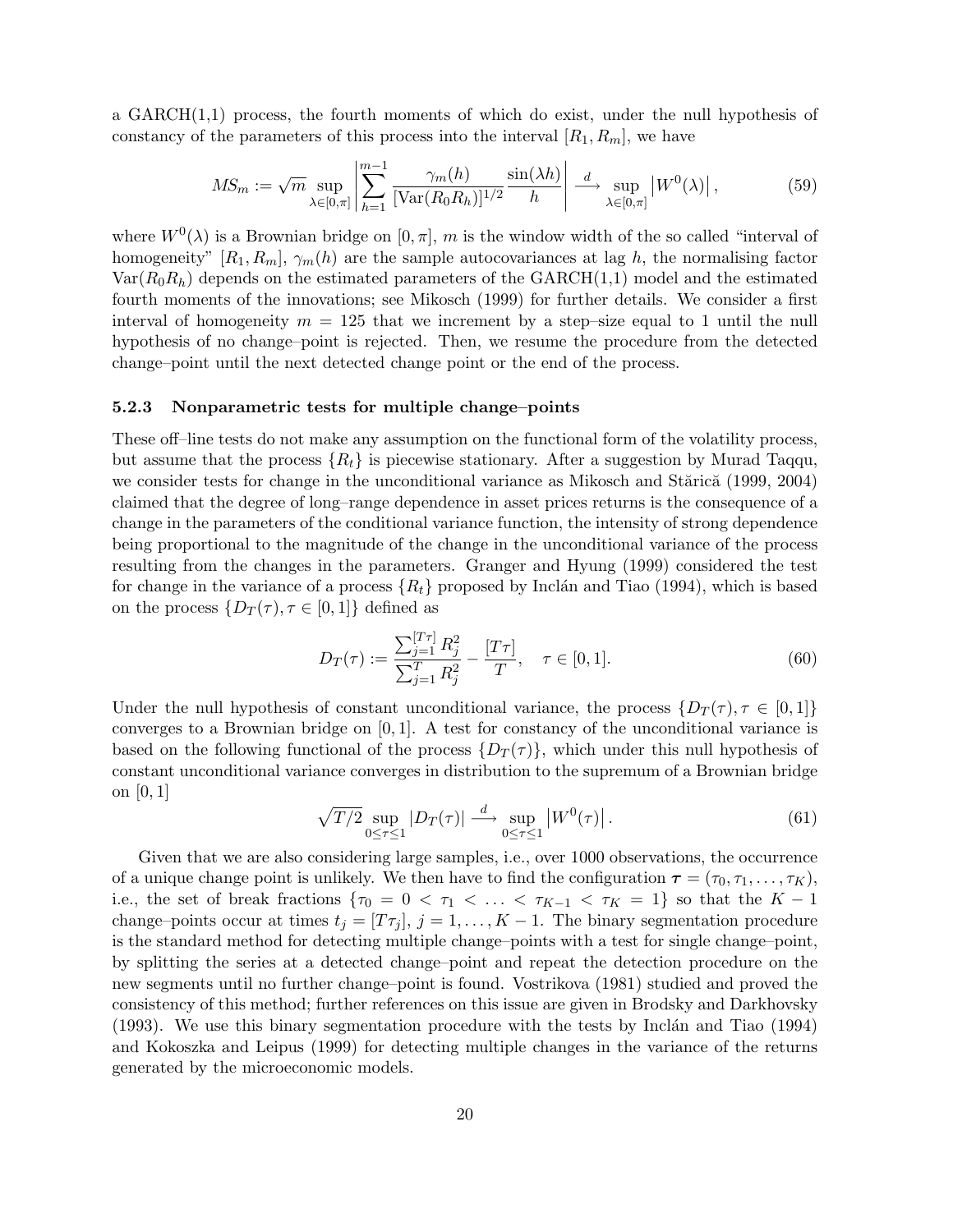a  $GARCH(1,1)$  process, the fourth moments of which do exist, under the null hypothesis of constancy of the parameters of this process into the interval  $[R_1, R_m]$ , we have

$$
MS_m := \sqrt{m} \sup_{\lambda \in [0,\pi]} \left| \sum_{h=1}^{m-1} \frac{\gamma_m(h)}{[\text{Var}(R_0 R_h)]^{1/2}} \frac{\sin(\lambda h)}{h} \right| \xrightarrow{d} \sup_{\lambda \in [0,\pi]} |W^0(\lambda)|,
$$
(59)

where  $W^0(\lambda)$  is a Brownian bridge on  $[0, \pi]$ , m is the window width of the so called "interval of homogeneity"  $[R_1, R_m], \gamma_m(h)$  are the sample autocovariances at lag h, the normalising factor  $Var(R_0R_h)$  depends on the estimated parameters of the GARCH $(1,1)$  model and the estimated fourth moments of the innovations; see Mikosch (1999) for further details. We consider a first interval of homogeneity  $m = 125$  that we increment by a step–size equal to 1 until the null hypothesis of no change–point is rejected. Then, we resume the procedure from the detected change–point until the next detected change point or the end of the process.

#### 5.2.3 Nonparametric tests for multiple change–points

These off–line tests do not make any assumption on the functional form of the volatility process, but assume that the process  $\{R_t\}$  is piecewise stationary. After a suggestion by Murad Taqqu, we consider tests for change in the unconditional variance as Mikosch and Stărică (1999, 2004) claimed that the degree of long–range dependence in asset prices returns is the consequence of a change in the parameters of the conditional variance function, the intensity of strong dependence being proportional to the magnitude of the change in the unconditional variance of the process resulting from the changes in the parameters. Granger and Hyung (1999) considered the test for change in the variance of a process  $\{R_t\}$  proposed by Inclán and Tiao (1994), which is based on the process  $\{D_T(\tau), \tau \in [0,1]\}\$  defined as

$$
D_T(\tau) := \frac{\sum_{j=1}^{[T\tau]} R_j^2}{\sum_{j=1}^T R_j^2} - \frac{[T\tau]}{T}, \quad \tau \in [0, 1].
$$
 (60)

Under the null hypothesis of constant unconditional variance, the process  $\{D_T(\tau), \tau \in [0, 1]\}\$ converges to a Brownian bridge on  $[0, 1]$ . A test for constancy of the unconditional variance is based on the following functional of the process  $\{D_T(\tau)\}\$ , which under this null hypothesis of constant unconditional variance converges in distribution to the supremum of a Brownian bridge on [0, 1]

$$
\sqrt{T/2} \sup_{0 \le \tau \le 1} |D_T(\tau)| \stackrel{d}{\longrightarrow} \sup_{0 \le \tau \le 1} |W^0(\tau)|. \tag{61}
$$

Given that we are also considering large samples, i.e., over 1000 observations, the occurrence of a unique change point is unlikely. We then have to find the configuration  $\tau = (\tau_0, \tau_1, \dots, \tau_K)$ , i.e., the set of break fractions  $\{\tau_0 = 0 < \tau_1 < \ldots < \tau_{K-1} < \tau_K = 1\}$  so that the  $K-1$ change–points occur at times  $t_j = [T\tau_j], j = 1, \ldots, K - 1$ . The binary segmentation procedure is the standard method for detecting multiple change–points with a test for single change–point, by splitting the series at a detected change–point and repeat the detection procedure on the new segments until no further change–point is found. Vostrikova (1981) studied and proved the consistency of this method; further references on this issue are given in Brodsky and Darkhovsky  $(1993)$ . We use this binary segmentation procedure with the tests by Inclán and Tiao  $(1994)$ and Kokoszka and Leipus (1999) for detecting multiple changes in the variance of the returns generated by the microeconomic models.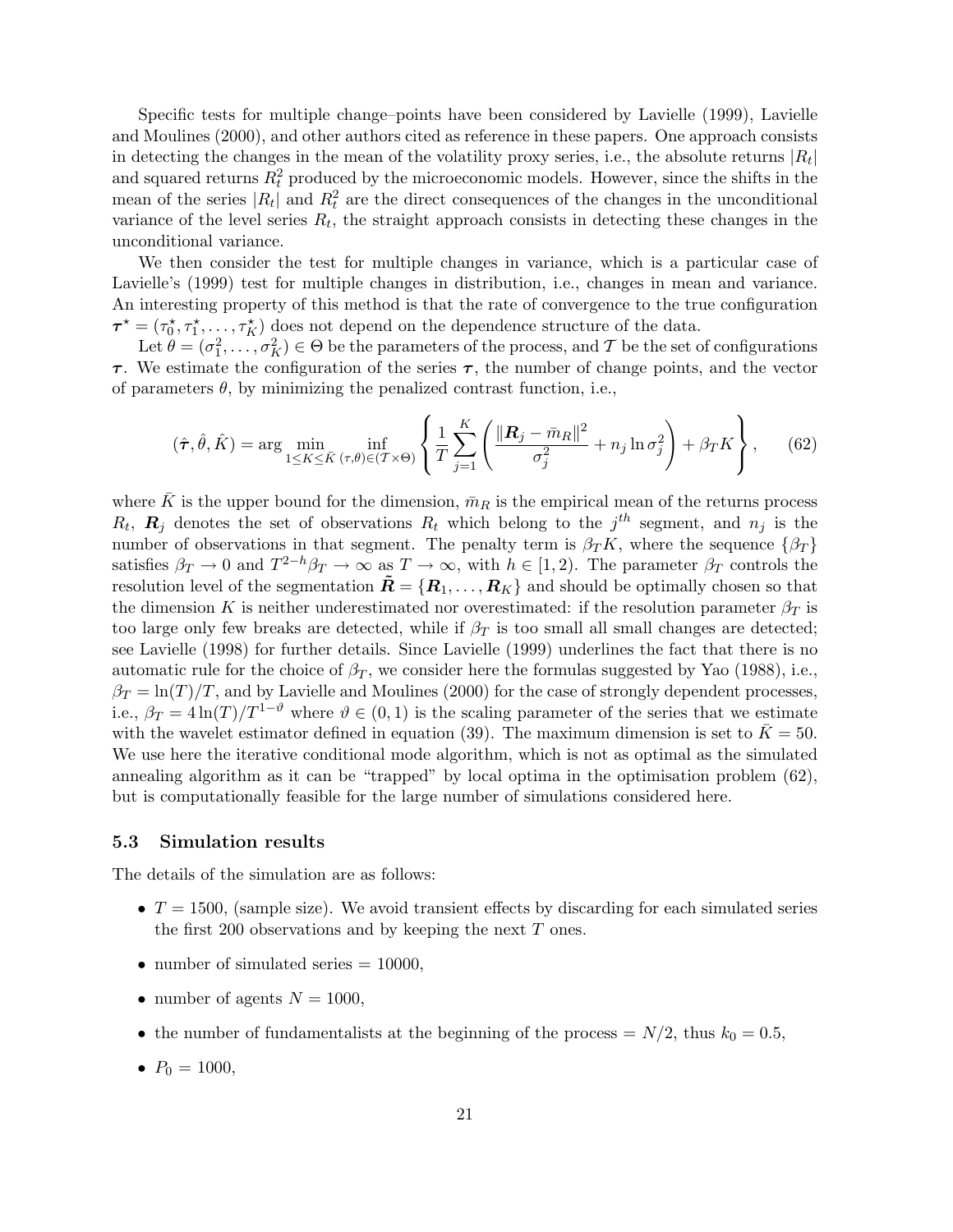Specific tests for multiple change–points have been considered by Lavielle (1999), Lavielle and Moulines (2000), and other authors cited as reference in these papers. One approach consists in detecting the changes in the mean of the volatility proxy series, i.e., the absolute returns  $|R_t|$ and squared returns  $R_t^2$  produced by the microeconomic models. However, since the shifts in the mean of the series  $|R_t|$  and  $R_t^2$  are the direct consequences of the changes in the unconditional variance of the level series  $R_t$ , the straight approach consists in detecting these changes in the unconditional variance.

We then consider the test for multiple changes in variance, which is a particular case of Lavielle's (1999) test for multiple changes in distribution, i.e., changes in mean and variance. An interesting property of this method is that the rate of convergence to the true configuration  $\tau^* = (\tau_0^*, \tau_1^*, \dots, \tau_K^*)$  does not depend on the dependence structure of the data.

Let  $\theta = (\sigma_1^2, \ldots, \sigma_K^2) \in \Theta$  be the parameters of the process, and T be the set of configurations  $\tau$ . We estimate the configuration of the series  $\tau$ , the number of change points, and the vector of parameters  $\theta$ , by minimizing the penalized contrast function, i.e.,

$$
(\hat{\boldsymbol{\tau}}, \hat{\theta}, \hat{K}) = \arg \min_{1 \leq K \leq \bar{K}} \inf_{(\tau, \theta) \in (\mathcal{T} \times \Theta)} \left\{ \frac{1}{T} \sum_{j=1}^{K} \left( \frac{\|\boldsymbol{R}_j - \bar{m}_R\|^2}{\sigma_j^2} + n_j \ln \sigma_j^2 \right) + \beta_T K \right\},\qquad(62)
$$

where K is the upper bound for the dimension,  $\bar{m}_R$  is the empirical mean of the returns process  $R_t$ ,  $\mathbf{R}_j$  denotes the set of observations  $R_t$  which belong to the  $j^{th}$  segment, and  $n_j$  is the number of observations in that segment. The penalty term is  $\beta_T K$ , where the sequence  $\{\beta_T\}$ satisfies  $\beta_T \to 0$  and  $T^{2-h}\beta_T \to \infty$  as  $T \to \infty$ , with  $h \in [1,2)$ . The parameter  $\beta_T$  controls the resolution level of the segmentation  $\tilde{\mathbf{R}} = {\mathbf{R}_1, \ldots, \mathbf{R}_K}$  and should be optimally chosen so that the dimension K is neither underestimated nor overestimated: if the resolution parameter  $\beta_T$  is too large only few breaks are detected, while if  $\beta_T$  is too small all small changes are detected; see Lavielle (1998) for further details. Since Lavielle (1999) underlines the fact that there is no automatic rule for the choice of  $\beta_T$ , we consider here the formulas suggested by Yao (1988), i.e.,  $\beta_T = \ln(T)/T$ , and by Lavielle and Moulines (2000) for the case of strongly dependent processes, i.e.,  $\beta_T = 4 \ln(T)/T^{1-\vartheta}$  where  $\vartheta \in (0,1)$  is the scaling parameter of the series that we estimate with the wavelet estimator defined in equation (39). The maximum dimension is set to  $K = 50$ . We use here the iterative conditional mode algorithm, which is not as optimal as the simulated annealing algorithm as it can be "trapped" by local optima in the optimisation problem (62), but is computationally feasible for the large number of simulations considered here.

#### 5.3 Simulation results

The details of the simulation are as follows:

- $T = 1500$ , (sample size). We avoid transient effects by discarding for each simulated series the first 200 observations and by keeping the next  $T$  ones.
- number of simulated series  $= 10000$ ,
- number of agents  $N = 1000$ ,
- the number of fundamentalists at the beginning of the process  $= N/2$ , thus  $k_0 = 0.5$ ,
- $P_0 = 1000$ ,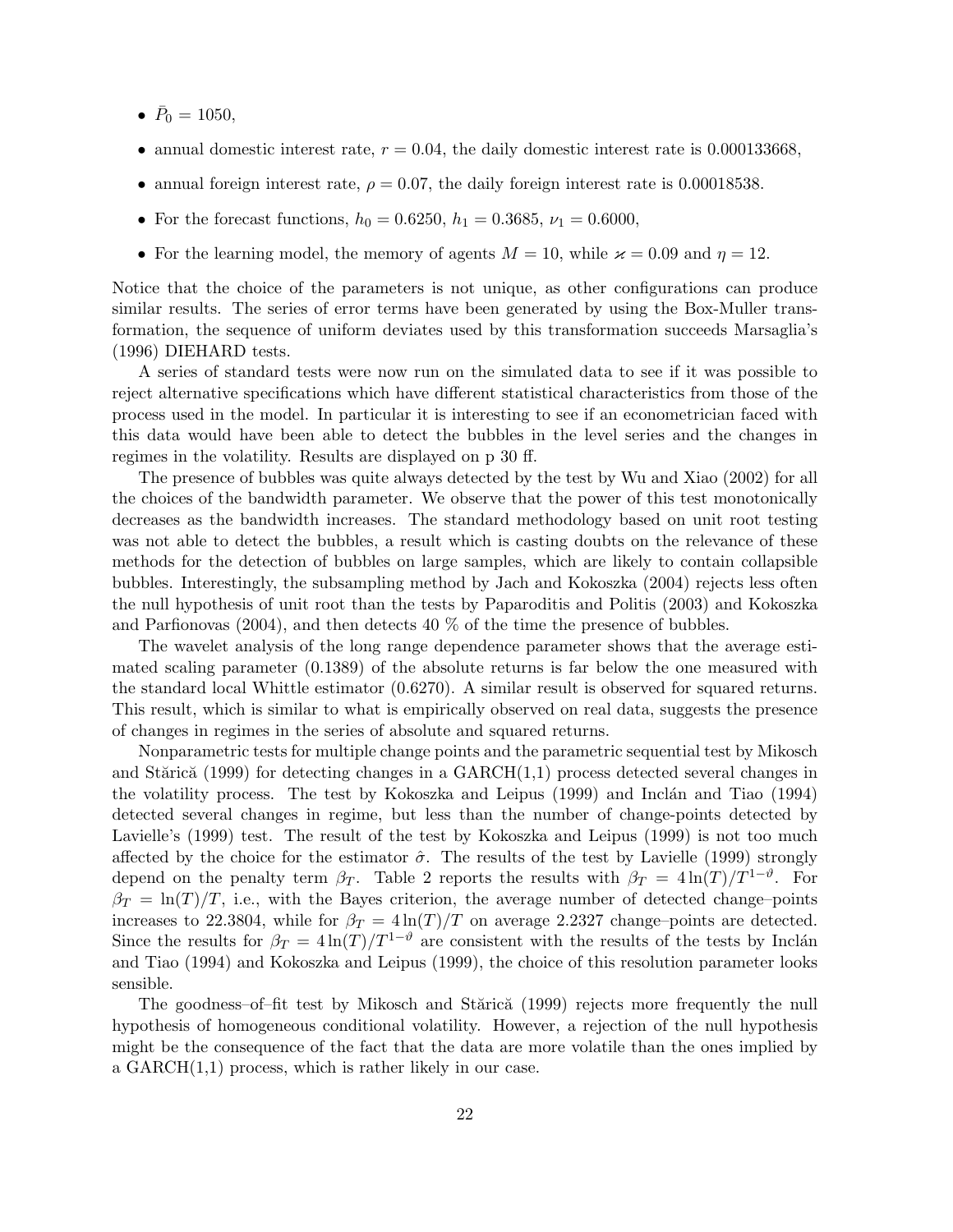- $\bar{P}_0 = 1050,$
- annual domestic interest rate,  $r = 0.04$ , the daily domestic interest rate is 0.000133668,
- annual foreign interest rate,  $\rho = 0.07$ , the daily foreign interest rate is 0.00018538.
- For the forecast functions,  $h_0 = 0.6250$ ,  $h_1 = 0.3685$ ,  $\nu_1 = 0.6000$ ,
- For the learning model, the memory of agents  $M = 10$ , while  $\varkappa = 0.09$  and  $\eta = 12$ .

Notice that the choice of the parameters is not unique, as other configurations can produce similar results. The series of error terms have been generated by using the Box-Muller transformation, the sequence of uniform deviates used by this transformation succeeds Marsaglia's (1996) DIEHARD tests.

A series of standard tests were now run on the simulated data to see if it was possible to reject alternative specifications which have different statistical characteristics from those of the process used in the model. In particular it is interesting to see if an econometrician faced with this data would have been able to detect the bubbles in the level series and the changes in regimes in the volatility. Results are displayed on p 30 ff.

The presence of bubbles was quite always detected by the test by Wu and Xiao (2002) for all the choices of the bandwidth parameter. We observe that the power of this test monotonically decreases as the bandwidth increases. The standard methodology based on unit root testing was not able to detect the bubbles, a result which is casting doubts on the relevance of these methods for the detection of bubbles on large samples, which are likely to contain collapsible bubbles. Interestingly, the subsampling method by Jach and Kokoszka (2004) rejects less often the null hypothesis of unit root than the tests by Paparoditis and Politis (2003) and Kokoszka and Parfionovas (2004), and then detects 40 % of the time the presence of bubbles.

The wavelet analysis of the long range dependence parameter shows that the average estimated scaling parameter (0.1389) of the absolute returns is far below the one measured with the standard local Whittle estimator (0.6270). A similar result is observed for squared returns. This result, which is similar to what is empirically observed on real data, suggests the presence of changes in regimes in the series of absolute and squared returns.

Nonparametric tests for multiple change points and the parametric sequential test by Mikosch and Stărică (1999) for detecting changes in a  $GARCH(1,1)$  process detected several changes in the volatility process. The test by Kokoszka and Leipus (1999) and Inclán and Tiao (1994) detected several changes in regime, but less than the number of change-points detected by Lavielle's (1999) test. The result of the test by Kokoszka and Leipus (1999) is not too much affected by the choice for the estimator  $\hat{\sigma}$ . The results of the test by Lavielle (1999) strongly depend on the penalty term  $\beta_T$ . Table 2 reports the results with  $\beta_T = 4 \ln(T)/T^{1-\vartheta}$ . For  $\beta_T = \ln(T)/T$ , i.e., with the Bayes criterion, the average number of detected change–points increases to 22.3804, while for  $\beta_T = 4 \ln(T)/T$  on average 2.2327 change–points are detected. Since the results for  $\beta_T = 4 \ln(T)/T^{1-\vartheta}$  are consistent with the results of the tests by Inclán and Tiao (1994) and Kokoszka and Leipus (1999), the choice of this resolution parameter looks sensible.

The goodness–of–fit test by Mikosch and Stărică (1999) rejects more frequently the null hypothesis of homogeneous conditional volatility. However, a rejection of the null hypothesis might be the consequence of the fact that the data are more volatile than the ones implied by a  $GARCH(1,1)$  process, which is rather likely in our case.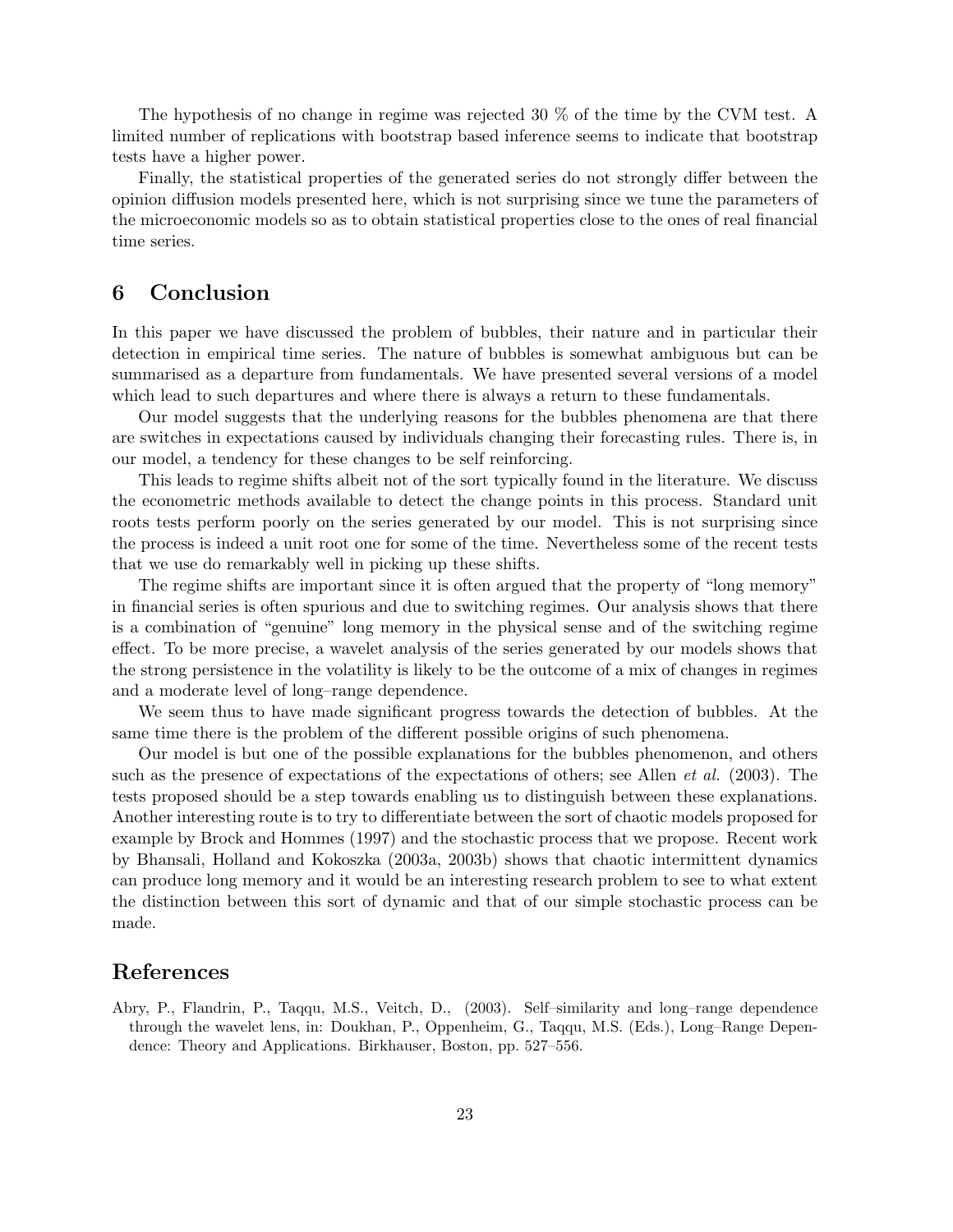The hypothesis of no change in regime was rejected 30 % of the time by the CVM test. A limited number of replications with bootstrap based inference seems to indicate that bootstrap tests have a higher power.

Finally, the statistical properties of the generated series do not strongly differ between the opinion diffusion models presented here, which is not surprising since we tune the parameters of the microeconomic models so as to obtain statistical properties close to the ones of real financial time series.

## 6 Conclusion

In this paper we have discussed the problem of bubbles, their nature and in particular their detection in empirical time series. The nature of bubbles is somewhat ambiguous but can be summarised as a departure from fundamentals. We have presented several versions of a model which lead to such departures and where there is always a return to these fundamentals.

Our model suggests that the underlying reasons for the bubbles phenomena are that there are switches in expectations caused by individuals changing their forecasting rules. There is, in our model, a tendency for these changes to be self reinforcing.

This leads to regime shifts albeit not of the sort typically found in the literature. We discuss the econometric methods available to detect the change points in this process. Standard unit roots tests perform poorly on the series generated by our model. This is not surprising since the process is indeed a unit root one for some of the time. Nevertheless some of the recent tests that we use do remarkably well in picking up these shifts.

The regime shifts are important since it is often argued that the property of "long memory" in financial series is often spurious and due to switching regimes. Our analysis shows that there is a combination of "genuine" long memory in the physical sense and of the switching regime effect. To be more precise, a wavelet analysis of the series generated by our models shows that the strong persistence in the volatility is likely to be the outcome of a mix of changes in regimes and a moderate level of long–range dependence.

We seem thus to have made significant progress towards the detection of bubbles. At the same time there is the problem of the different possible origins of such phenomena.

Our model is but one of the possible explanations for the bubbles phenomenon, and others such as the presence of expectations of the expectations of others; see Allen *et al.* (2003). The tests proposed should be a step towards enabling us to distinguish between these explanations. Another interesting route is to try to differentiate between the sort of chaotic models proposed for example by Brock and Hommes (1997) and the stochastic process that we propose. Recent work by Bhansali, Holland and Kokoszka (2003a, 2003b) shows that chaotic intermittent dynamics can produce long memory and it would be an interesting research problem to see to what extent the distinction between this sort of dynamic and that of our simple stochastic process can be made.

## References

Abry, P., Flandrin, P., Taqqu, M.S., Veitch, D., (2003). Self–similarity and long–range dependence through the wavelet lens, in: Doukhan, P., Oppenheim, G., Taqqu, M.S. (Eds.), Long–Range Dependence: Theory and Applications. Birkhauser, Boston, pp. 527–556.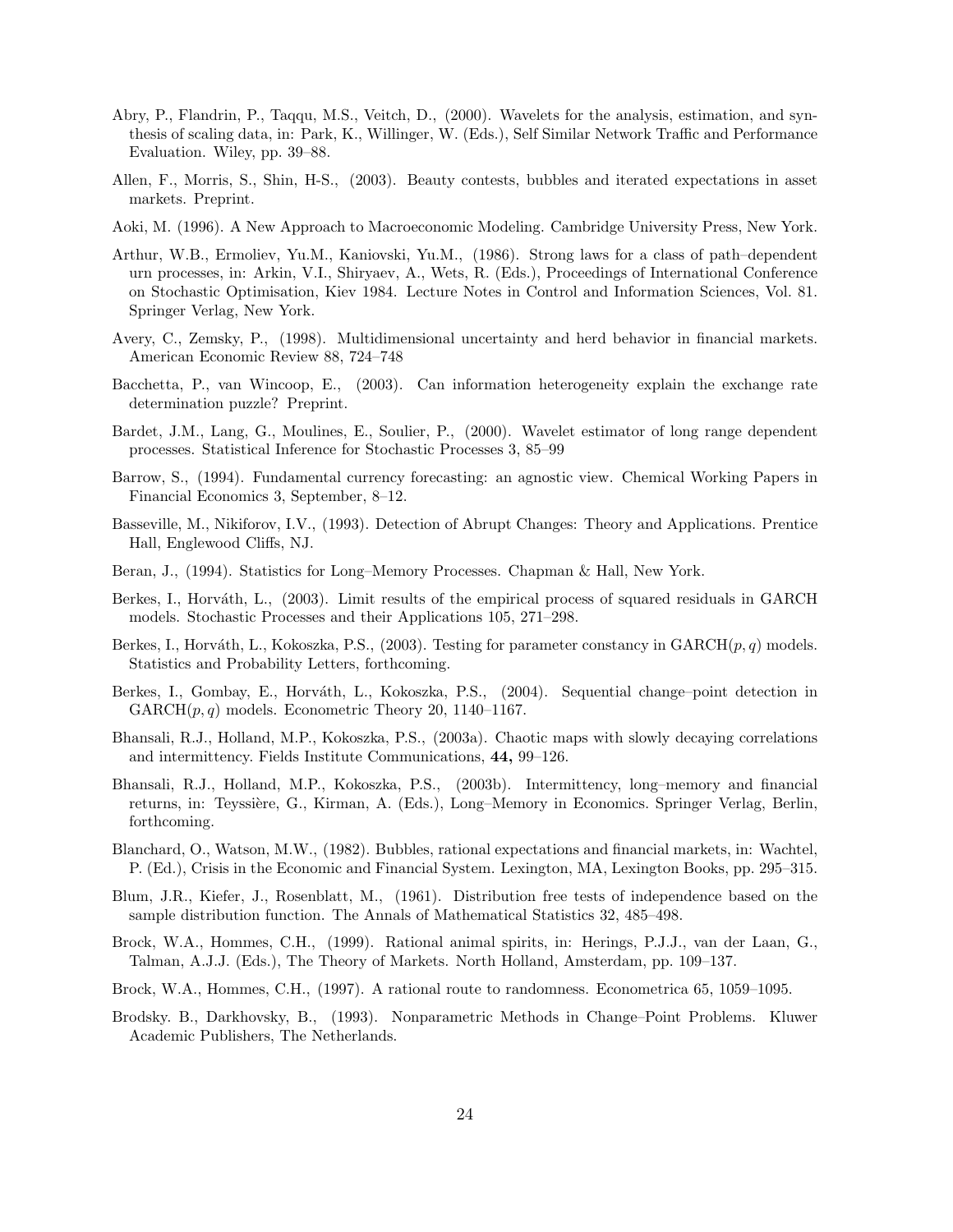- Abry, P., Flandrin, P., Taqqu, M.S., Veitch, D., (2000). Wavelets for the analysis, estimation, and synthesis of scaling data, in: Park, K., Willinger, W. (Eds.), Self Similar Network Traffic and Performance Evaluation. Wiley, pp. 39–88.
- Allen, F., Morris, S., Shin, H-S., (2003). Beauty contests, bubbles and iterated expectations in asset markets. Preprint.
- Aoki, M. (1996). A New Approach to Macroeconomic Modeling. Cambridge University Press, New York.
- Arthur, W.B., Ermoliev, Yu.M., Kaniovski, Yu.M., (1986). Strong laws for a class of path–dependent urn processes, in: Arkin, V.I., Shiryaev, A., Wets, R. (Eds.), Proceedings of International Conference on Stochastic Optimisation, Kiev 1984. Lecture Notes in Control and Information Sciences, Vol. 81. Springer Verlag, New York.
- Avery, C., Zemsky, P., (1998). Multidimensional uncertainty and herd behavior in financial markets. American Economic Review 88, 724–748
- Bacchetta, P., van Wincoop, E., (2003). Can information heterogeneity explain the exchange rate determination puzzle? Preprint.
- Bardet, J.M., Lang, G., Moulines, E., Soulier, P., (2000). Wavelet estimator of long range dependent processes. Statistical Inference for Stochastic Processes 3, 85–99
- Barrow, S., (1994). Fundamental currency forecasting: an agnostic view. Chemical Working Papers in Financial Economics 3, September, 8–12.
- Basseville, M., Nikiforov, I.V., (1993). Detection of Abrupt Changes: Theory and Applications. Prentice Hall, Englewood Cliffs, NJ.
- Beran, J., (1994). Statistics for Long–Memory Processes. Chapman & Hall, New York.
- Berkes, I., Horváth, L., (2003). Limit results of the empirical process of squared residuals in GARCH models. Stochastic Processes and their Applications 105, 271–298.
- Berkes, I., Horváth, L., Kokoszka, P.S., (2003). Testing for parameter constancy in  $GARCH(p,q)$  models. Statistics and Probability Letters, forthcoming.
- Berkes, I., Gombay, E., Horváth, L., Kokoszka, P.S., (2004). Sequential change–point detection in  $GARCH(p,q)$  models. Econometric Theory 20, 1140-1167.
- Bhansali, R.J., Holland, M.P., Kokoszka, P.S., (2003a). Chaotic maps with slowly decaying correlations and intermittency. Fields Institute Communications, 44, 99–126.
- Bhansali, R.J., Holland, M.P., Kokoszka, P.S., (2003b). Intermittency, long–memory and financial returns, in: Teyssière, G., Kirman, A. (Eds.), Long–Memory in Economics. Springer Verlag, Berlin, forthcoming.
- Blanchard, O., Watson, M.W., (1982). Bubbles, rational expectations and financial markets, in: Wachtel, P. (Ed.), Crisis in the Economic and Financial System. Lexington, MA, Lexington Books, pp. 295–315.
- Blum, J.R., Kiefer, J., Rosenblatt, M., (1961). Distribution free tests of independence based on the sample distribution function. The Annals of Mathematical Statistics 32, 485–498.
- Brock, W.A., Hommes, C.H., (1999). Rational animal spirits, in: Herings, P.J.J., van der Laan, G., Talman, A.J.J. (Eds.), The Theory of Markets. North Holland, Amsterdam, pp. 109–137.
- Brock, W.A., Hommes, C.H., (1997). A rational route to randomness. Econometrica 65, 1059–1095.
- Brodsky. B., Darkhovsky, B., (1993). Nonparametric Methods in Change–Point Problems. Kluwer Academic Publishers, The Netherlands.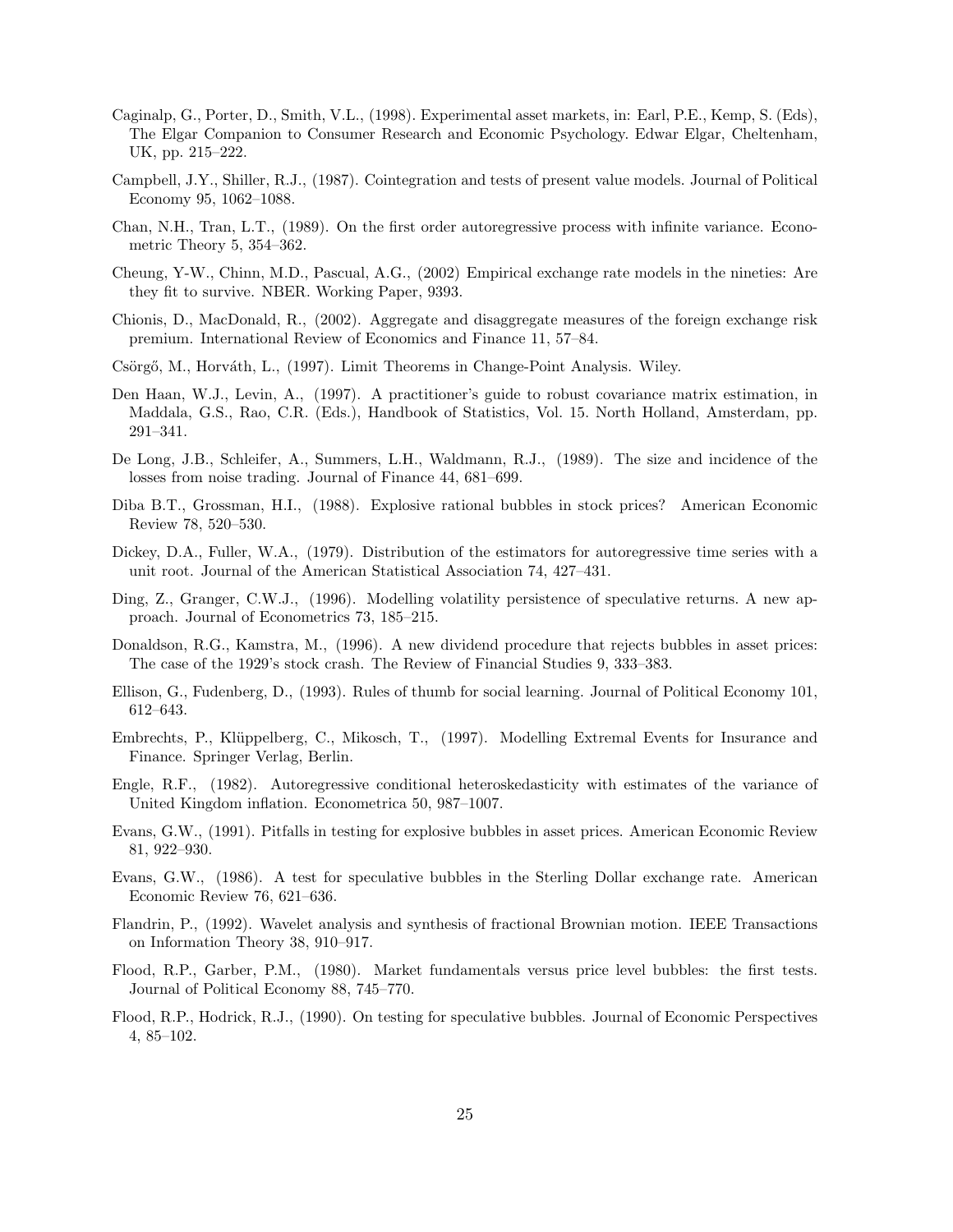- Caginalp, G., Porter, D., Smith, V.L., (1998). Experimental asset markets, in: Earl, P.E., Kemp, S. (Eds), The Elgar Companion to Consumer Research and Economic Psychology. Edwar Elgar, Cheltenham, UK, pp. 215–222.
- Campbell, J.Y., Shiller, R.J., (1987). Cointegration and tests of present value models. Journal of Political Economy 95, 1062–1088.
- Chan, N.H., Tran, L.T., (1989). On the first order autoregressive process with infinite variance. Econometric Theory 5, 354–362.
- Cheung, Y-W., Chinn, M.D., Pascual, A.G., (2002) Empirical exchange rate models in the nineties: Are they fit to survive. NBER. Working Paper, 9393.
- Chionis, D., MacDonald, R., (2002). Aggregate and disaggregate measures of the foreign exchange risk premium. International Review of Economics and Finance 11, 57–84.
- Csörgő, M., Horváth, L., (1997). Limit Theorems in Change-Point Analysis. Wiley.
- Den Haan, W.J., Levin, A., (1997). A practitioner's guide to robust covariance matrix estimation, in Maddala, G.S., Rao, C.R. (Eds.), Handbook of Statistics, Vol. 15. North Holland, Amsterdam, pp. 291–341.
- De Long, J.B., Schleifer, A., Summers, L.H., Waldmann, R.J., (1989). The size and incidence of the losses from noise trading. Journal of Finance 44, 681–699.
- Diba B.T., Grossman, H.I., (1988). Explosive rational bubbles in stock prices? American Economic Review 78, 520–530.
- Dickey, D.A., Fuller, W.A., (1979). Distribution of the estimators for autoregressive time series with a unit root. Journal of the American Statistical Association 74, 427–431.
- Ding, Z., Granger, C.W.J., (1996). Modelling volatility persistence of speculative returns. A new approach. Journal of Econometrics 73, 185–215.
- Donaldson, R.G., Kamstra, M., (1996). A new dividend procedure that rejects bubbles in asset prices: The case of the 1929's stock crash. The Review of Financial Studies 9, 333–383.
- Ellison, G., Fudenberg, D., (1993). Rules of thumb for social learning. Journal of Political Economy 101, 612–643.
- Embrechts, P., Klüppelberg, C., Mikosch, T., (1997). Modelling Extremal Events for Insurance and Finance. Springer Verlag, Berlin.
- Engle, R.F., (1982). Autoregressive conditional heteroskedasticity with estimates of the variance of United Kingdom inflation. Econometrica 50, 987–1007.
- Evans, G.W., (1991). Pitfalls in testing for explosive bubbles in asset prices. American Economic Review 81, 922–930.
- Evans, G.W., (1986). A test for speculative bubbles in the Sterling Dollar exchange rate. American Economic Review 76, 621–636.
- Flandrin, P., (1992). Wavelet analysis and synthesis of fractional Brownian motion. IEEE Transactions on Information Theory 38, 910–917.
- Flood, R.P., Garber, P.M., (1980). Market fundamentals versus price level bubbles: the first tests. Journal of Political Economy 88, 745–770.
- Flood, R.P., Hodrick, R.J., (1990). On testing for speculative bubbles. Journal of Economic Perspectives 4, 85–102.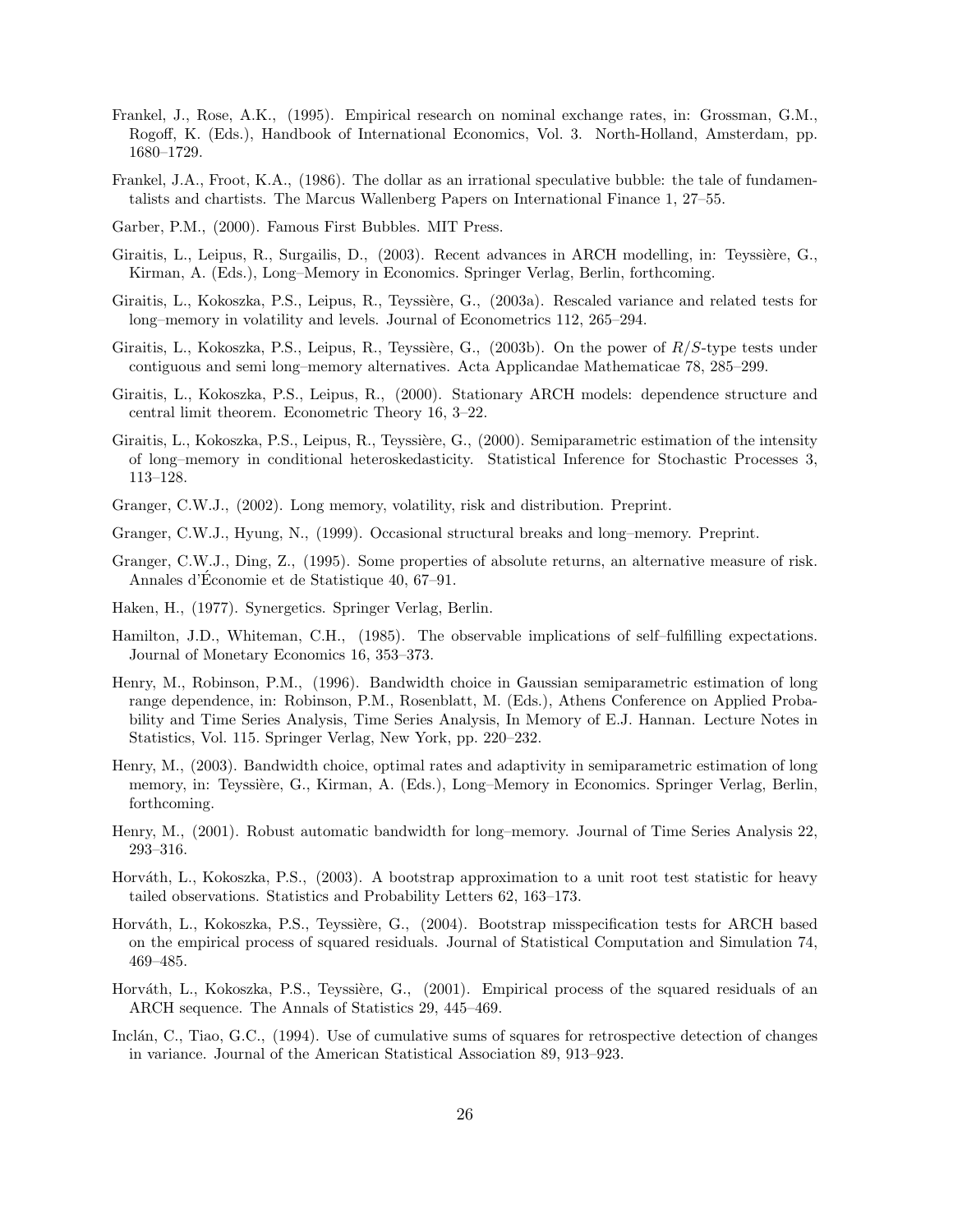- Frankel, J., Rose, A.K., (1995). Empirical research on nominal exchange rates, in: Grossman, G.M., Rogoff, K. (Eds.), Handbook of International Economics, Vol. 3. North-Holland, Amsterdam, pp. 1680–1729.
- Frankel, J.A., Froot, K.A., (1986). The dollar as an irrational speculative bubble: the tale of fundamentalists and chartists. The Marcus Wallenberg Papers on International Finance 1, 27–55.
- Garber, P.M., (2000). Famous First Bubbles. MIT Press.
- Giraitis, L., Leipus, R., Surgailis, D., (2003). Recent advances in ARCH modelling, in: Teyssière, G., Kirman, A. (Eds.), Long–Memory in Economics. Springer Verlag, Berlin, forthcoming.
- Giraitis, L., Kokoszka, P.S., Leipus, R., Teyssière, G., (2003a). Rescaled variance and related tests for long–memory in volatility and levels. Journal of Econometrics 112, 265–294.
- Giraitis, L., Kokoszka, P.S., Leipus, R., Teyssière, G., (2003b). On the power of  $R/S$ -type tests under contiguous and semi long–memory alternatives. Acta Applicandae Mathematicae 78, 285–299.
- Giraitis, L., Kokoszka, P.S., Leipus, R., (2000). Stationary ARCH models: dependence structure and central limit theorem. Econometric Theory 16, 3–22.
- Giraitis, L., Kokoszka, P.S., Leipus, R., Teyssière, G., (2000). Semiparametric estimation of the intensity of long–memory in conditional heteroskedasticity. Statistical Inference for Stochastic Processes 3, 113–128.
- Granger, C.W.J., (2002). Long memory, volatility, risk and distribution. Preprint.
- Granger, C.W.J., Hyung, N., (1999). Occasional structural breaks and long–memory. Preprint.
- Granger, C.W.J., Ding, Z., (1995). Some properties of absolute returns, an alternative measure of risk. Annales d'Economie et de Statistique 40, 67–91. ´
- Haken, H., (1977). Synergetics. Springer Verlag, Berlin.
- Hamilton, J.D., Whiteman, C.H., (1985). The observable implications of self–fulfilling expectations. Journal of Monetary Economics 16, 353–373.
- Henry, M., Robinson, P.M., (1996). Bandwidth choice in Gaussian semiparametric estimation of long range dependence, in: Robinson, P.M., Rosenblatt, M. (Eds.), Athens Conference on Applied Probability and Time Series Analysis, Time Series Analysis, In Memory of E.J. Hannan. Lecture Notes in Statistics, Vol. 115. Springer Verlag, New York, pp. 220–232.
- Henry, M., (2003). Bandwidth choice, optimal rates and adaptivity in semiparametric estimation of long memory, in: Teyssière, G., Kirman, A. (Eds.), Long–Memory in Economics. Springer Verlag, Berlin, forthcoming.
- Henry, M., (2001). Robust automatic bandwidth for long–memory. Journal of Time Series Analysis 22, 293–316.
- Horváth, L., Kokoszka, P.S., (2003). A bootstrap approximation to a unit root test statistic for heavy tailed observations. Statistics and Probability Letters 62, 163–173.
- Horváth, L., Kokoszka, P.S., Teyssière, G., (2004). Bootstrap misspecification tests for ARCH based on the empirical process of squared residuals. Journal of Statistical Computation and Simulation 74, 469–485.
- Horváth, L., Kokoszka, P.S., Teyssière, G., (2001). Empirical process of the squared residuals of an ARCH sequence. The Annals of Statistics 29, 445–469.
- Inclán, C., Tiao, G.C., (1994). Use of cumulative sums of squares for retrospective detection of changes in variance. Journal of the American Statistical Association 89, 913–923.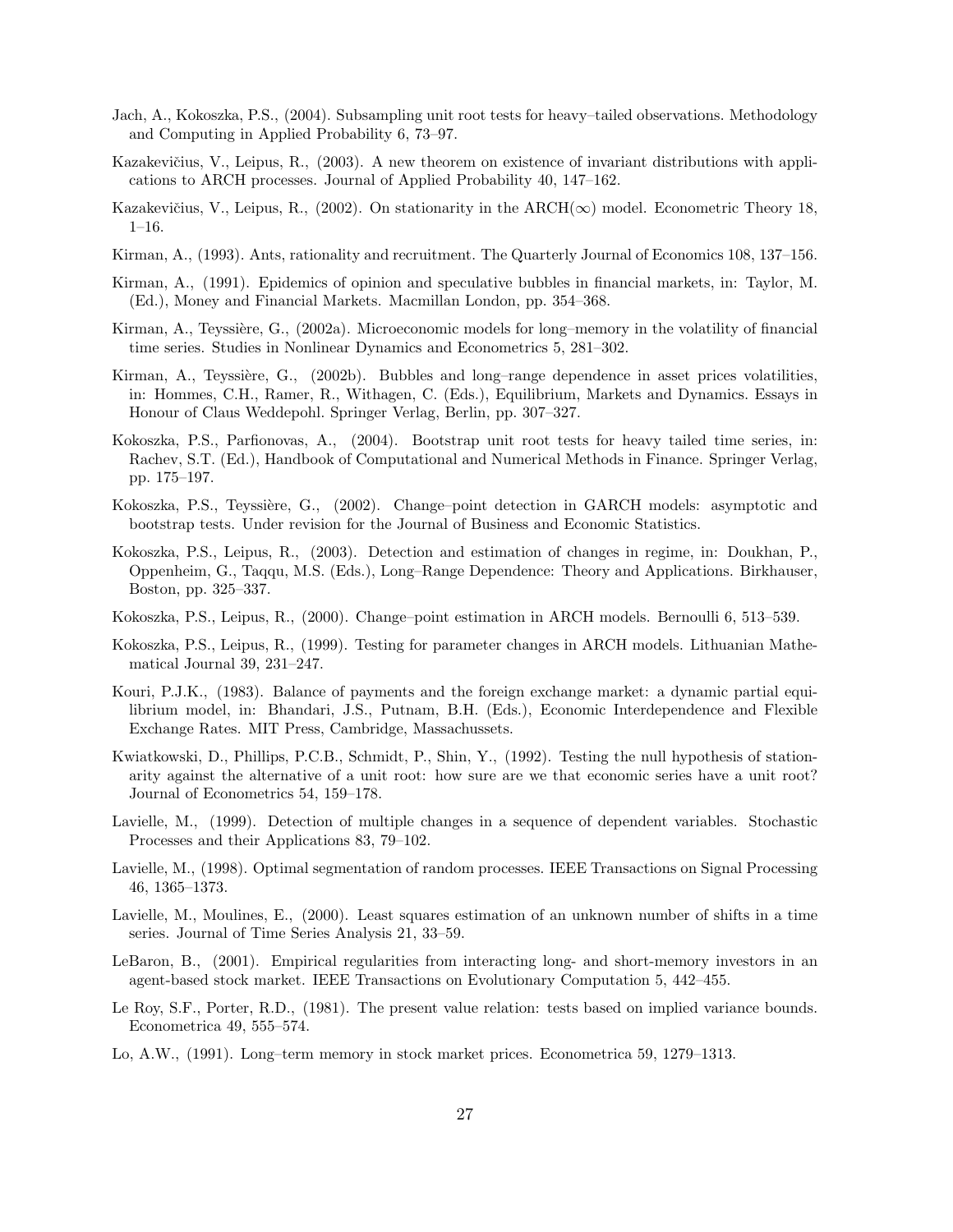- Jach, A., Kokoszka, P.S., (2004). Subsampling unit root tests for heavy–tailed observations. Methodology and Computing in Applied Probability 6, 73–97.
- Kazakevičius, V., Leipus, R., (2003). A new theorem on existence of invariant distributions with applications to ARCH processes. Journal of Applied Probability 40, 147–162.
- Kazakevičius, V., Leipus, R., (2002). On stationarity in the ARCH( $\infty$ ) model. Econometric Theory 18, 1–16.
- Kirman, A., (1993). Ants, rationality and recruitment. The Quarterly Journal of Economics 108, 137–156.
- Kirman, A., (1991). Epidemics of opinion and speculative bubbles in financial markets, in: Taylor, M. (Ed.), Money and Financial Markets. Macmillan London, pp. 354–368.
- Kirman, A., Teyssière, G., (2002a). Microeconomic models for long–memory in the volatility of financial time series. Studies in Nonlinear Dynamics and Econometrics 5, 281–302.
- Kirman, A., Teyssière, G., (2002b). Bubbles and long–range dependence in asset prices volatilities, in: Hommes, C.H., Ramer, R., Withagen, C. (Eds.), Equilibrium, Markets and Dynamics. Essays in Honour of Claus Weddepohl. Springer Verlag, Berlin, pp. 307–327.
- Kokoszka, P.S., Parfionovas, A., (2004). Bootstrap unit root tests for heavy tailed time series, in: Rachev, S.T. (Ed.), Handbook of Computational and Numerical Methods in Finance. Springer Verlag, pp. 175–197.
- Kokoszka, P.S., Teyssière, G., (2002). Change–point detection in GARCH models: asymptotic and bootstrap tests. Under revision for the Journal of Business and Economic Statistics.
- Kokoszka, P.S., Leipus, R., (2003). Detection and estimation of changes in regime, in: Doukhan, P., Oppenheim, G., Taqqu, M.S. (Eds.), Long–Range Dependence: Theory and Applications. Birkhauser, Boston, pp. 325–337.
- Kokoszka, P.S., Leipus, R., (2000). Change–point estimation in ARCH models. Bernoulli 6, 513–539.
- Kokoszka, P.S., Leipus, R., (1999). Testing for parameter changes in ARCH models. Lithuanian Mathematical Journal 39, 231–247.
- Kouri, P.J.K., (1983). Balance of payments and the foreign exchange market: a dynamic partial equilibrium model, in: Bhandari, J.S., Putnam, B.H. (Eds.), Economic Interdependence and Flexible Exchange Rates. MIT Press, Cambridge, Massachussets.
- Kwiatkowski, D., Phillips, P.C.B., Schmidt, P., Shin, Y., (1992). Testing the null hypothesis of stationarity against the alternative of a unit root: how sure are we that economic series have a unit root? Journal of Econometrics 54, 159–178.
- Lavielle, M., (1999). Detection of multiple changes in a sequence of dependent variables. Stochastic Processes and their Applications 83, 79–102.
- Lavielle, M., (1998). Optimal segmentation of random processes. IEEE Transactions on Signal Processing 46, 1365–1373.
- Lavielle, M., Moulines, E., (2000). Least squares estimation of an unknown number of shifts in a time series. Journal of Time Series Analysis 21, 33–59.
- LeBaron, B., (2001). Empirical regularities from interacting long- and short-memory investors in an agent-based stock market. IEEE Transactions on Evolutionary Computation 5, 442–455.
- Le Roy, S.F., Porter, R.D., (1981). The present value relation: tests based on implied variance bounds. Econometrica 49, 555–574.
- Lo, A.W., (1991). Long–term memory in stock market prices. Econometrica 59, 1279–1313.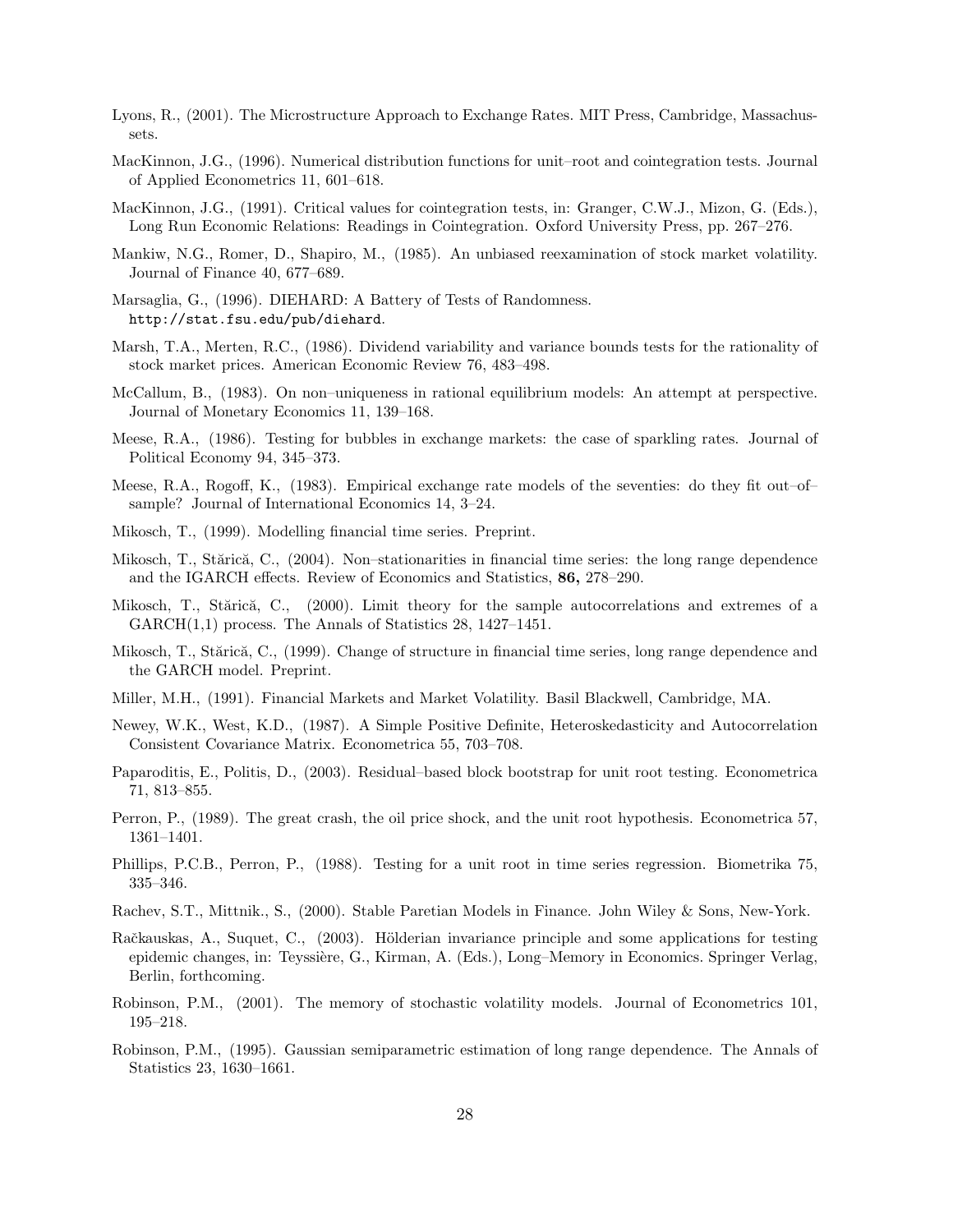- Lyons, R., (2001). The Microstructure Approach to Exchange Rates. MIT Press, Cambridge, Massachussets.
- MacKinnon, J.G., (1996). Numerical distribution functions for unit–root and cointegration tests. Journal of Applied Econometrics 11, 601–618.
- MacKinnon, J.G., (1991). Critical values for cointegration tests, in: Granger, C.W.J., Mizon, G. (Eds.), Long Run Economic Relations: Readings in Cointegration. Oxford University Press, pp. 267–276.
- Mankiw, N.G., Romer, D., Shapiro, M., (1985). An unbiased reexamination of stock market volatility. Journal of Finance 40, 677–689.
- Marsaglia, G., (1996). DIEHARD: A Battery of Tests of Randomness. http://stat.fsu.edu/pub/diehard.
- Marsh, T.A., Merten, R.C., (1986). Dividend variability and variance bounds tests for the rationality of stock market prices. American Economic Review 76, 483–498.
- McCallum, B., (1983). On non–uniqueness in rational equilibrium models: An attempt at perspective. Journal of Monetary Economics 11, 139–168.
- Meese, R.A., (1986). Testing for bubbles in exchange markets: the case of sparkling rates. Journal of Political Economy 94, 345–373.
- Meese, R.A., Rogoff, K., (1983). Empirical exchange rate models of the seventies: do they fit out–of– sample? Journal of International Economics 14, 3–24.
- Mikosch, T., (1999). Modelling financial time series. Preprint.
- Mikosch, T., Stărică, C., (2004). Non-stationarities in financial time series: the long range dependence and the IGARCH effects. Review of Economics and Statistics, 86, 278–290.
- Mikosch, T., Stărică, C., (2000). Limit theory for the sample autocorrelations and extremes of a GARCH(1,1) process. The Annals of Statistics 28, 1427–1451.
- Mikosch, T., Stărică, C., (1999). Change of structure in financial time series, long range dependence and the GARCH model. Preprint.
- Miller, M.H., (1991). Financial Markets and Market Volatility. Basil Blackwell, Cambridge, MA.
- Newey, W.K., West, K.D., (1987). A Simple Positive Definite, Heteroskedasticity and Autocorrelation Consistent Covariance Matrix. Econometrica 55, 703–708.
- Paparoditis, E., Politis, D., (2003). Residual–based block bootstrap for unit root testing. Econometrica 71, 813–855.
- Perron, P., (1989). The great crash, the oil price shock, and the unit root hypothesis. Econometrica 57, 1361–1401.
- Phillips, P.C.B., Perron, P., (1988). Testing for a unit root in time series regression. Biometrika 75, 335–346.
- Rachev, S.T., Mittnik., S., (2000). Stable Paretian Models in Finance. John Wiley & Sons, New-York.
- Račkauskas, A., Suquet, C., (2003). Hölderian invariance principle and some applications for testing epidemic changes, in: Teyssière, G., Kirman, A. (Eds.), Long–Memory in Economics. Springer Verlag, Berlin, forthcoming.
- Robinson, P.M., (2001). The memory of stochastic volatility models. Journal of Econometrics 101, 195–218.
- Robinson, P.M., (1995). Gaussian semiparametric estimation of long range dependence. The Annals of Statistics 23, 1630–1661.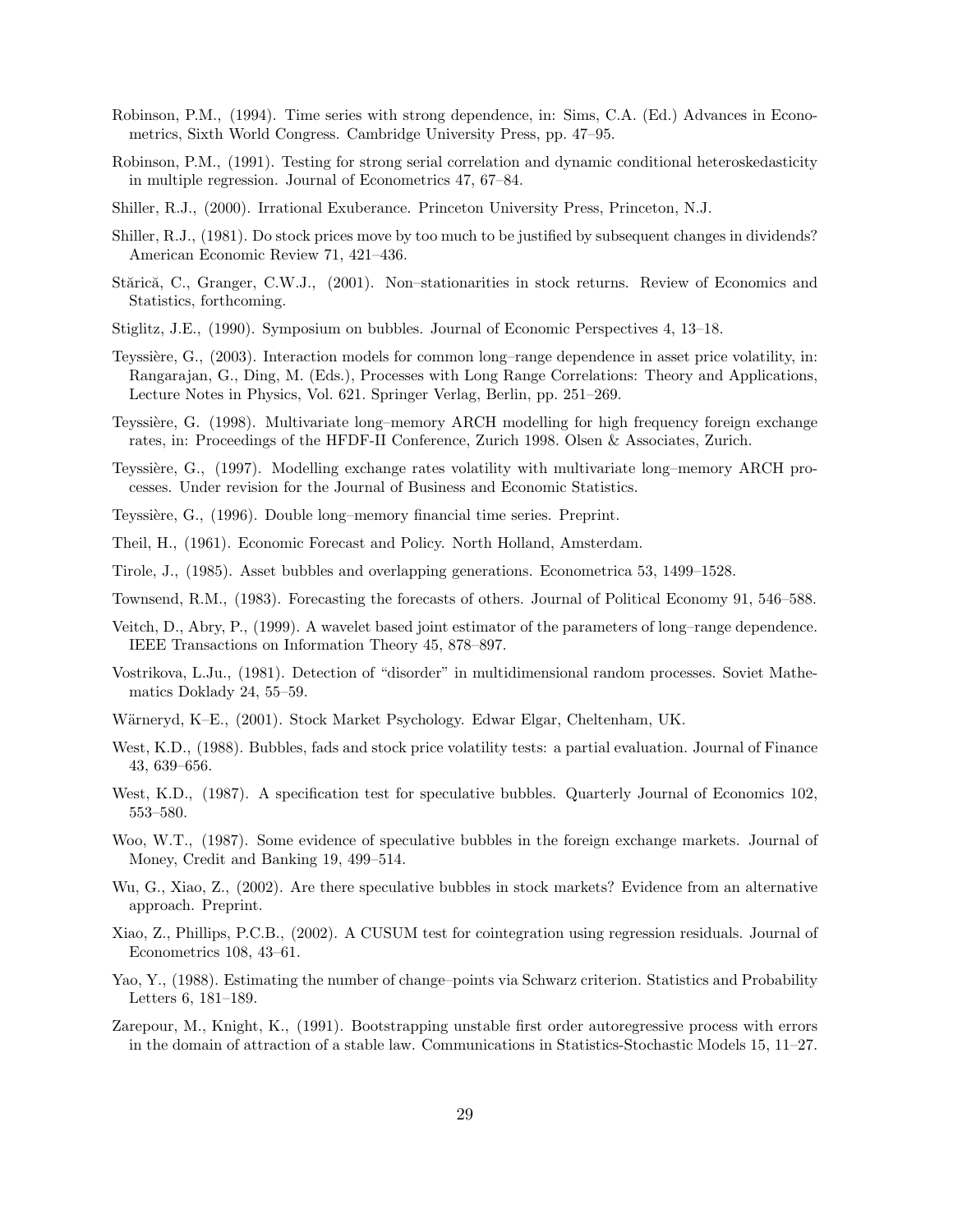- Robinson, P.M., (1994). Time series with strong dependence, in: Sims, C.A. (Ed.) Advances in Econometrics, Sixth World Congress. Cambridge University Press, pp. 47–95.
- Robinson, P.M., (1991). Testing for strong serial correlation and dynamic conditional heteroskedasticity in multiple regression. Journal of Econometrics 47, 67–84.
- Shiller, R.J., (2000). Irrational Exuberance. Princeton University Press, Princeton, N.J.
- Shiller, R.J., (1981). Do stock prices move by too much to be justified by subsequent changes in dividends? American Economic Review 71, 421–436.
- Stărică, C., Granger, C.W.J., (2001). Non-stationarities in stock returns. Review of Economics and Statistics, forthcoming.
- Stiglitz, J.E., (1990). Symposium on bubbles. Journal of Economic Perspectives 4, 13–18.
- Teyssière, G., (2003). Interaction models for common long–range dependence in asset price volatility, in: Rangarajan, G., Ding, M. (Eds.), Processes with Long Range Correlations: Theory and Applications, Lecture Notes in Physics, Vol. 621. Springer Verlag, Berlin, pp. 251–269.
- Teyssière, G. (1998). Multivariate long–memory ARCH modelling for high frequency foreign exchange rates, in: Proceedings of the HFDF-II Conference, Zurich 1998. Olsen & Associates, Zurich.
- Teyssière, G., (1997). Modelling exchange rates volatility with multivariate long–memory ARCH processes. Under revision for the Journal of Business and Economic Statistics.
- Teyssière, G., (1996). Double long–memory financial time series. Preprint.
- Theil, H., (1961). Economic Forecast and Policy. North Holland, Amsterdam.
- Tirole, J., (1985). Asset bubbles and overlapping generations. Econometrica 53, 1499–1528.
- Townsend, R.M., (1983). Forecasting the forecasts of others. Journal of Political Economy 91, 546–588.
- Veitch, D., Abry, P., (1999). A wavelet based joint estimator of the parameters of long–range dependence. IEEE Transactions on Information Theory 45, 878–897.
- Vostrikova, L.Ju., (1981). Detection of "disorder" in multidimensional random processes. Soviet Mathematics Doklady 24, 55–59.
- Wärneryd, K–E., (2001). Stock Market Psychology. Edwar Elgar, Cheltenham, UK.
- West, K.D., (1988). Bubbles, fads and stock price volatility tests: a partial evaluation. Journal of Finance 43, 639–656.
- West, K.D., (1987). A specification test for speculative bubbles. Quarterly Journal of Economics 102, 553–580.
- Woo, W.T., (1987). Some evidence of speculative bubbles in the foreign exchange markets. Journal of Money, Credit and Banking 19, 499–514.
- Wu, G., Xiao, Z., (2002). Are there speculative bubbles in stock markets? Evidence from an alternative approach. Preprint.
- Xiao, Z., Phillips, P.C.B., (2002). A CUSUM test for cointegration using regression residuals. Journal of Econometrics 108, 43–61.
- Yao, Y., (1988). Estimating the number of change–points via Schwarz criterion. Statistics and Probability Letters 6, 181–189.
- Zarepour, M., Knight, K., (1991). Bootstrapping unstable first order autoregressive process with errors in the domain of attraction of a stable law. Communications in Statistics-Stochastic Models 15, 11–27.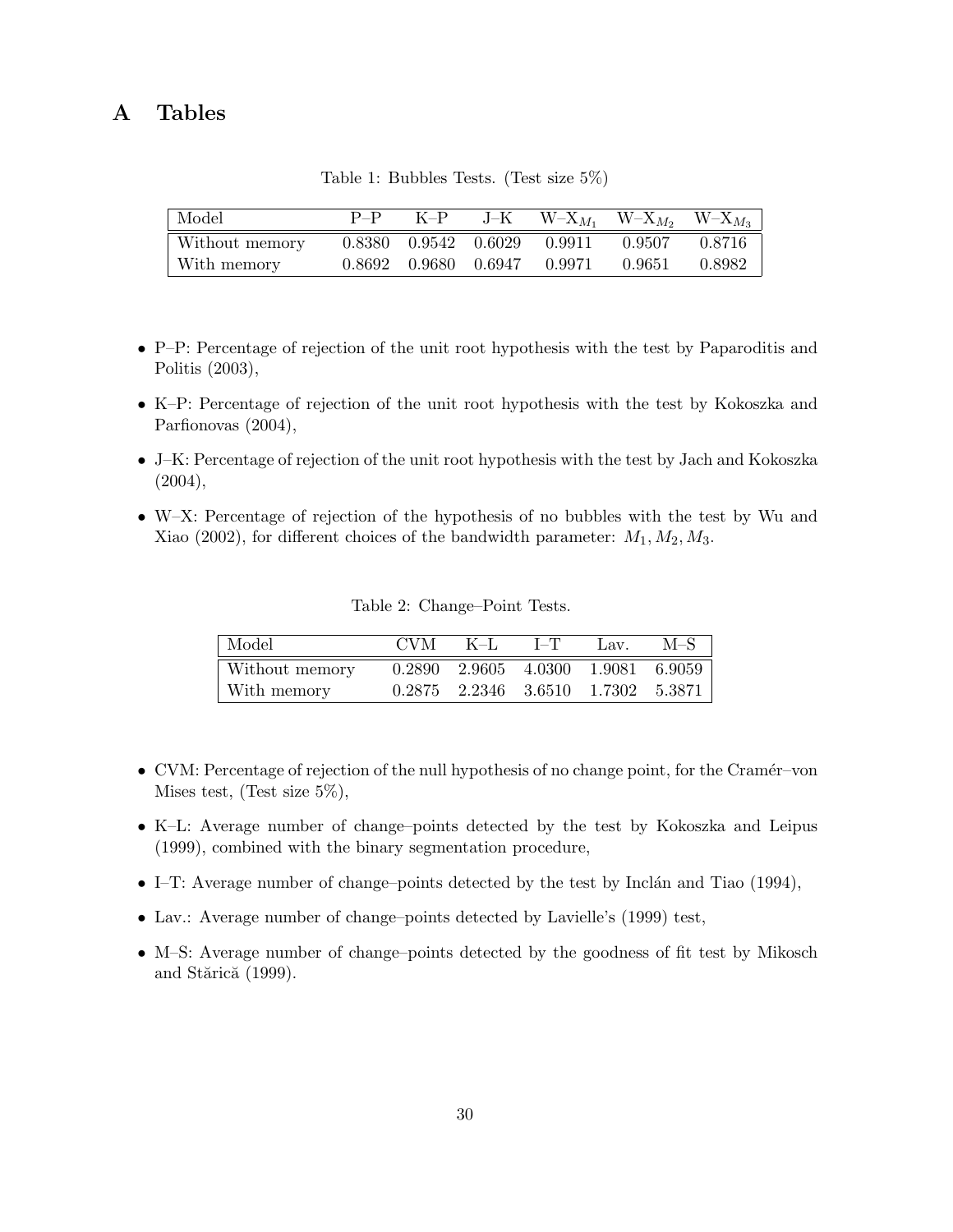## A Tables

Table 1: Bubbles Tests. (Test size 5%)

| Model          | $P_P$ | $K-P$ | $J-K$ |                                     | $W-X_{M_1}$ $W-X_{M_2}$ $W-X_{M_3}$ |        |
|----------------|-------|-------|-------|-------------------------------------|-------------------------------------|--------|
| Without memory |       |       |       | $0.8380$ $0.9542$ $0.6029$ $0.9911$ | 0.9507                              | 0.8716 |
| With memory    |       |       |       | $0.8692$ $0.9680$ $0.6947$ $0.9971$ | 0.9651                              | 0.8982 |

- P–P: Percentage of rejection of the unit root hypothesis with the test by Paparoditis and Politis (2003),
- K–P: Percentage of rejection of the unit root hypothesis with the test by Kokoszka and Parfionovas (2004),
- J–K: Percentage of rejection of the unit root hypothesis with the test by Jach and Kokoszka  $(2004),$
- W–X: Percentage of rejection of the hypothesis of no bubbles with the test by Wu and Xiao (2002), for different choices of the bandwidth parameter:  $M_1, M_2, M_3$ .

|  | Table 2: Change–Point Tests. |  |
|--|------------------------------|--|
|--|------------------------------|--|

| Model          | CVM | $K-I$ | $I-T$                              | Lav. | $M-S$ |
|----------------|-----|-------|------------------------------------|------|-------|
| Without memory |     |       | 0.2890 2.9605 4.0300 1.9081 6.9059 |      |       |
| With memory    |     |       | 0.2875 2.2346 3.6510 1.7302 5.3871 |      |       |

- CVM: Percentage of rejection of the null hypothesis of no change point, for the Cramér–von Mises test, (Test size 5%),
- K–L: Average number of change–points detected by the test by Kokoszka and Leipus (1999), combined with the binary segmentation procedure,
- I–T: Average number of change–points detected by the test by Inclán and Tiao (1994),
- Lav.: Average number of change–points detected by Lavielle's (1999) test,
- M–S: Average number of change–points detected by the goodness of fit test by Mikosch and Stărică (1999).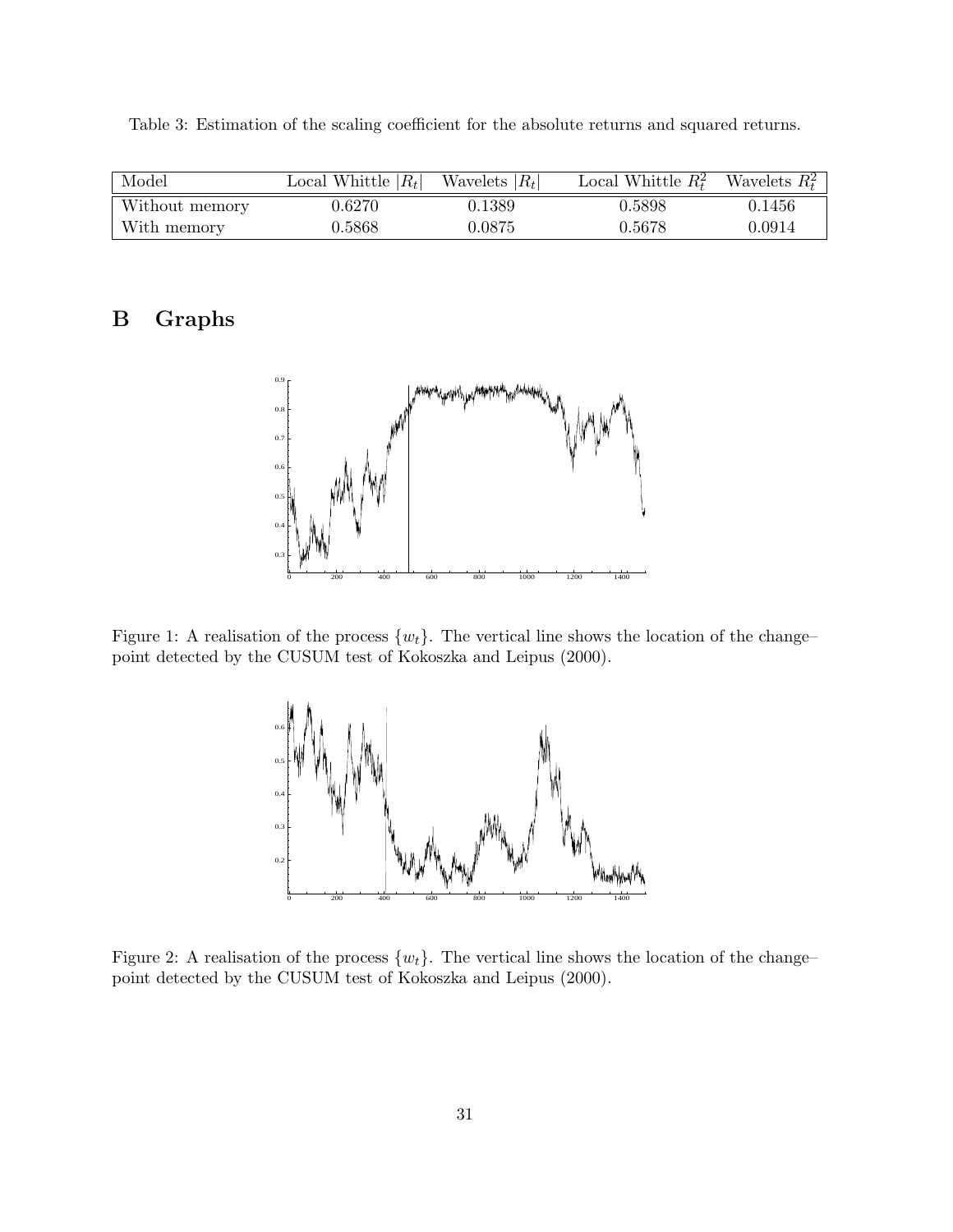Table 3: Estimation of the scaling coefficient for the absolute returns and squared returns.

| Model          | Local Whittle $ R_t $ | Wavelets $ R_t $ | Local Whittle $R_t^2$ | Wavelets $R_t^2$ |
|----------------|-----------------------|------------------|-----------------------|------------------|
| Without memory | 9.6270-               | 0.1389           | 0.5898                | 0.1456           |
| With memory    | 0.5868                | 0.0875           | 0.5678                | 0.0914           |

# B Graphs



Figure 1: A realisation of the process  $\{w_t\}$ . The vertical line shows the location of the change– point detected by the CUSUM test of Kokoszka and Leipus (2000).



Figure 2: A realisation of the process  $\{w_t\}$ . The vertical line shows the location of the change– point detected by the CUSUM test of Kokoszka and Leipus (2000).